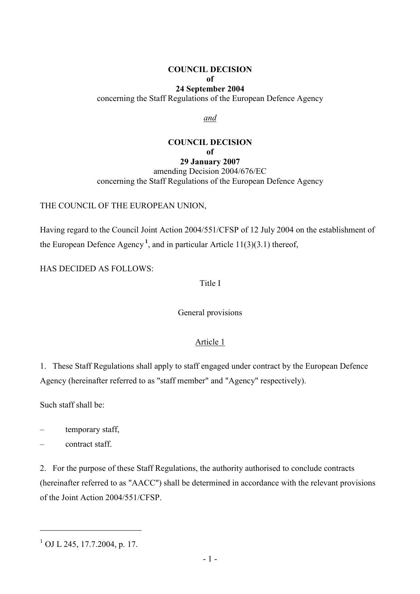## COUNCIL DECISION

#### of

#### 24 September 2004

concerning the Staff Regulations of the European Defence Agency

and

# COUNCIL DECISION of

29 January 2007 amending Decision 2004/676/EC concerning the Staff Regulations of the European Defence Agency

#### THE COUNCIL OF THE EUROPEAN UNION,

Having regard to the Council Joint Action 2004/551/CFSP of 12 July 2004 on the establishment of the European Defence Agency<sup>1</sup>, and in particular Article 11(3)(3.1) thereof,

HAS DECIDED AS FOLLOWS:

Title I

General provisions

## Article 1

1. These Staff Regulations shall apply to staff engaged under contract by the European Defence Agency (hereinafter referred to as "staff member" and "Agency" respectively).

Such staff shall be:

- temporary staff,
- contract staff.

2. For the purpose of these Staff Regulations, the authority authorised to conclude contracts (hereinafter referred to as "AACC") shall be determined in accordance with the relevant provisions of the Joint Action 2004/551/CFSP.

 $\overline{a}$ 

<sup>&</sup>lt;sup>1</sup> OJ L 245, 17.7.2004, p. 17.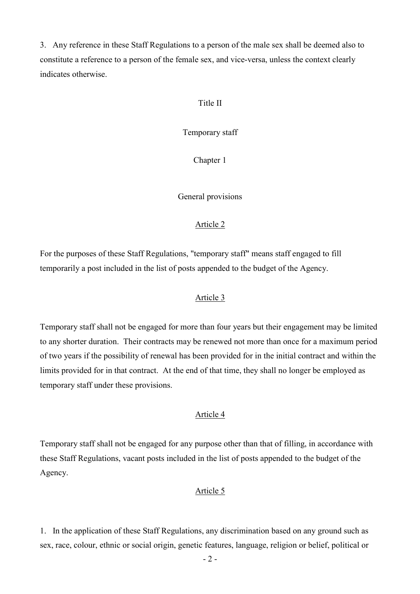3. Any reference in these Staff Regulations to a person of the male sex shall be deemed also to constitute a reference to a person of the female sex, and vice-versa, unless the context clearly indicates otherwise.

## Title II

Temporary staff

Chapter 1

General provisions

## Article 2

For the purposes of these Staff Regulations, "temporary staff" means staff engaged to fill temporarily a post included in the list of posts appended to the budget of the Agency.

## Article 3

Temporary staff shall not be engaged for more than four years but their engagement may be limited to any shorter duration. Their contracts may be renewed not more than once for a maximum period of two years if the possibility of renewal has been provided for in the initial contract and within the limits provided for in that contract. At the end of that time, they shall no longer be employed as temporary staff under these provisions.

## Article 4

Temporary staff shall not be engaged for any purpose other than that of filling, in accordance with these Staff Regulations, vacant posts included in the list of posts appended to the budget of the Agency.

## Article 5

1. In the application of these Staff Regulations, any discrimination based on any ground such as sex, race, colour, ethnic or social origin, genetic features, language, religion or belief, political or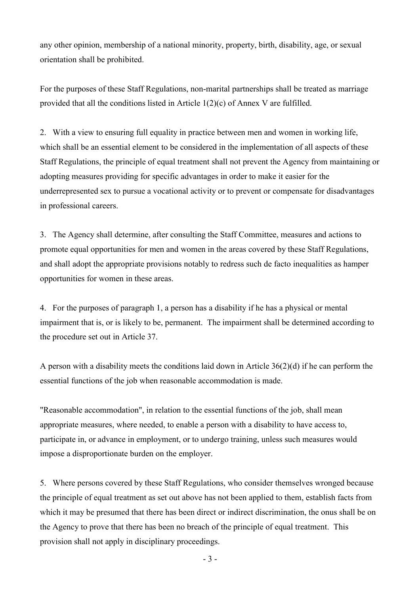any other opinion, membership of a national minority, property, birth, disability, age, or sexual orientation shall be prohibited.

For the purposes of these Staff Regulations, non-marital partnerships shall be treated as marriage provided that all the conditions listed in Article 1(2)(c) of Annex V are fulfilled.

2. With a view to ensuring full equality in practice between men and women in working life, which shall be an essential element to be considered in the implementation of all aspects of these Staff Regulations, the principle of equal treatment shall not prevent the Agency from maintaining or adopting measures providing for specific advantages in order to make it easier for the underrepresented sex to pursue a vocational activity or to prevent or compensate for disadvantages in professional careers.

3. The Agency shall determine, after consulting the Staff Committee, measures and actions to promote equal opportunities for men and women in the areas covered by these Staff Regulations, and shall adopt the appropriate provisions notably to redress such de facto inequalities as hamper opportunities for women in these areas.

4. For the purposes of paragraph 1, a person has a disability if he has a physical or mental impairment that is, or is likely to be, permanent. The impairment shall be determined according to the procedure set out in Article 37.

A person with a disability meets the conditions laid down in Article 36(2)(d) if he can perform the essential functions of the job when reasonable accommodation is made.

"Reasonable accommodation", in relation to the essential functions of the job, shall mean appropriate measures, where needed, to enable a person with a disability to have access to, participate in, or advance in employment, or to undergo training, unless such measures would impose a disproportionate burden on the employer.

5. Where persons covered by these Staff Regulations, who consider themselves wronged because the principle of equal treatment as set out above has not been applied to them, establish facts from which it may be presumed that there has been direct or indirect discrimination, the onus shall be on the Agency to prove that there has been no breach of the principle of equal treatment. This provision shall not apply in disciplinary proceedings.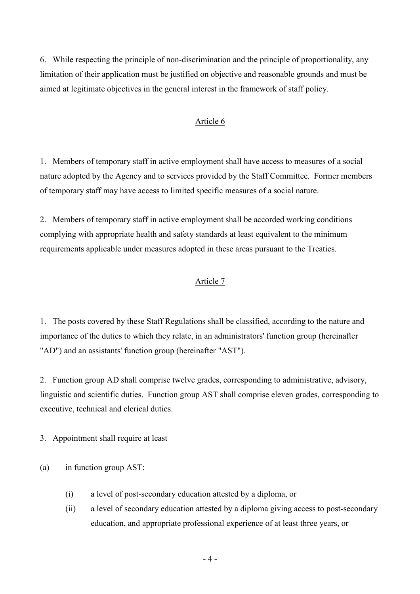6. While respecting the principle of non-discrimination and the principle of proportionality, any limitation of their application must be justified on objective and reasonable grounds and must be aimed at legitimate objectives in the general interest in the framework of staff policy.

## Article 6

1. Members of temporary staff in active employment shall have access to measures of a social nature adopted by the Agency and to services provided by the Staff Committee. Former members of temporary staff may have access to limited specific measures of a social nature.

2. Members of temporary staff in active employment shall be accorded working conditions complying with appropriate health and safety standards at least equivalent to the minimum requirements applicable under measures adopted in these areas pursuant to the Treaties.

## Article 7

1. The posts covered by these Staff Regulations shall be classified, according to the nature and importance of the duties to which they relate, in an administrators' function group (hereinafter "AD") and an assistants' function group (hereinafter "AST").

2. Function group AD shall comprise twelve grades, corresponding to administrative, advisory, linguistic and scientific duties. Function group AST shall comprise eleven grades, corresponding to executive, technical and clerical duties.

3. Appointment shall require at least

(a) in function group AST:

- (i) a level of post-secondary education attested by a diploma, or
- (ii) a level of secondary education attested by a diploma giving access to post-secondary education, and appropriate professional experience of at least three years, or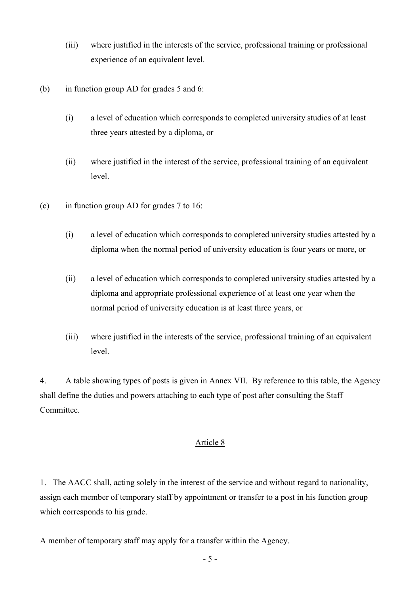- (iii) where justified in the interests of the service, professional training or professional experience of an equivalent level.
- (b) in function group AD for grades 5 and 6:
	- (i) a level of education which corresponds to completed university studies of at least three years attested by a diploma, or
	- (ii) where justified in the interest of the service, professional training of an equivalent level.
- (c) in function group AD for grades 7 to 16:
	- (i) a level of education which corresponds to completed university studies attested by a diploma when the normal period of university education is four years or more, or
	- (ii) a level of education which corresponds to completed university studies attested by a diploma and appropriate professional experience of at least one year when the normal period of university education is at least three years, or
	- (iii) where justified in the interests of the service, professional training of an equivalent level.

4. A table showing types of posts is given in Annex VII. By reference to this table, the Agency shall define the duties and powers attaching to each type of post after consulting the Staff Committee.

## Article 8

1. The AACC shall, acting solely in the interest of the service and without regard to nationality, assign each member of temporary staff by appointment or transfer to a post in his function group which corresponds to his grade.

A member of temporary staff may apply for a transfer within the Agency.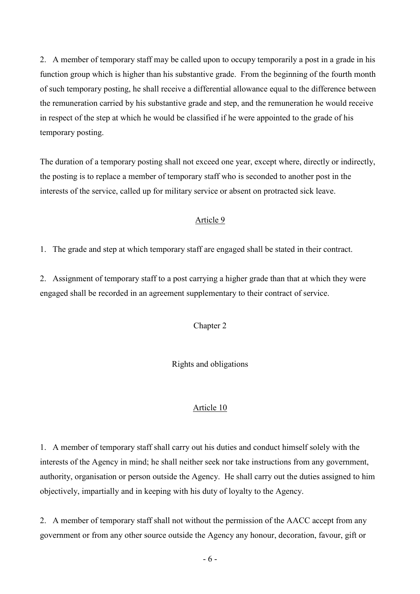2. A member of temporary staff may be called upon to occupy temporarily a post in a grade in his function group which is higher than his substantive grade. From the beginning of the fourth month of such temporary posting, he shall receive a differential allowance equal to the difference between the remuneration carried by his substantive grade and step, and the remuneration he would receive in respect of the step at which he would be classified if he were appointed to the grade of his temporary posting.

The duration of a temporary posting shall not exceed one year, except where, directly or indirectly, the posting is to replace a member of temporary staff who is seconded to another post in the interests of the service, called up for military service or absent on protracted sick leave.

## Article 9

1. The grade and step at which temporary staff are engaged shall be stated in their contract.

2. Assignment of temporary staff to a post carrying a higher grade than that at which they were engaged shall be recorded in an agreement supplementary to their contract of service.

## Chapter 2

Rights and obligations

## Article 10

1. A member of temporary staff shall carry out his duties and conduct himself solely with the interests of the Agency in mind; he shall neither seek nor take instructions from any government, authority, organisation or person outside the Agency. He shall carry out the duties assigned to him objectively, impartially and in keeping with his duty of loyalty to the Agency.

2. A member of temporary staff shall not without the permission of the AACC accept from any government or from any other source outside the Agency any honour, decoration, favour, gift or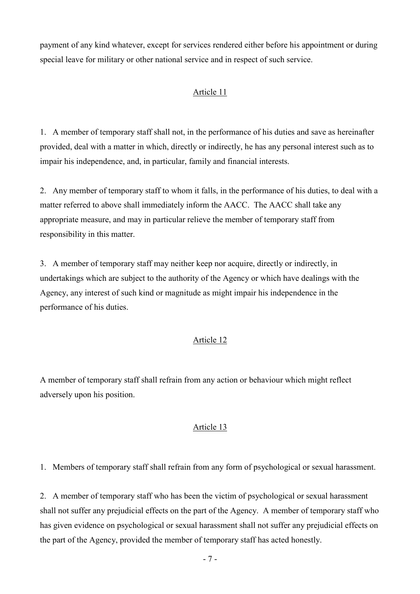payment of any kind whatever, except for services rendered either before his appointment or during special leave for military or other national service and in respect of such service.

## Article 11

1. A member of temporary staff shall not, in the performance of his duties and save as hereinafter provided, deal with a matter in which, directly or indirectly, he has any personal interest such as to impair his independence, and, in particular, family and financial interests.

2. Any member of temporary staff to whom it falls, in the performance of his duties, to deal with a matter referred to above shall immediately inform the AACC. The AACC shall take any appropriate measure, and may in particular relieve the member of temporary staff from responsibility in this matter.

3. A member of temporary staff may neither keep nor acquire, directly or indirectly, in undertakings which are subject to the authority of the Agency or which have dealings with the Agency, any interest of such kind or magnitude as might impair his independence in the performance of his duties.

## Article 12

A member of temporary staff shall refrain from any action or behaviour which might reflect adversely upon his position.

## Article 13

1. Members of temporary staff shall refrain from any form of psychological or sexual harassment.

2. A member of temporary staff who has been the victim of psychological or sexual harassment shall not suffer any prejudicial effects on the part of the Agency. A member of temporary staff who has given evidence on psychological or sexual harassment shall not suffer any prejudicial effects on the part of the Agency, provided the member of temporary staff has acted honestly.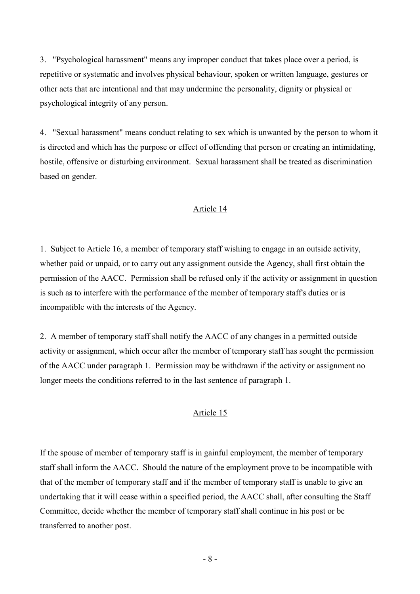3. "Psychological harassment" means any improper conduct that takes place over a period, is repetitive or systematic and involves physical behaviour, spoken or written language, gestures or other acts that are intentional and that may undermine the personality, dignity or physical or psychological integrity of any person.

4. "Sexual harassment" means conduct relating to sex which is unwanted by the person to whom it is directed and which has the purpose or effect of offending that person or creating an intimidating, hostile, offensive or disturbing environment. Sexual harassment shall be treated as discrimination based on gender.

## Article 14

1. Subject to Article 16, a member of temporary staff wishing to engage in an outside activity, whether paid or unpaid, or to carry out any assignment outside the Agency, shall first obtain the permission of the AACC. Permission shall be refused only if the activity or assignment in question is such as to interfere with the performance of the member of temporary staff's duties or is incompatible with the interests of the Agency.

2. A member of temporary staff shall notify the AACC of any changes in a permitted outside activity or assignment, which occur after the member of temporary staff has sought the permission of the AACC under paragraph 1. Permission may be withdrawn if the activity or assignment no longer meets the conditions referred to in the last sentence of paragraph 1.

#### Article 15

If the spouse of member of temporary staff is in gainful employment, the member of temporary staff shall inform the AACC. Should the nature of the employment prove to be incompatible with that of the member of temporary staff and if the member of temporary staff is unable to give an undertaking that it will cease within a specified period, the AACC shall, after consulting the Staff Committee, decide whether the member of temporary staff shall continue in his post or be transferred to another post.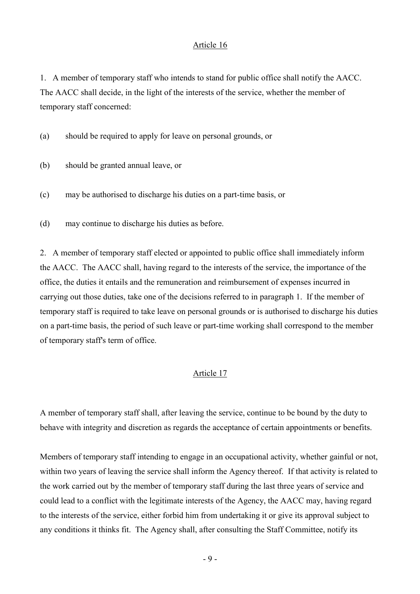1. A member of temporary staff who intends to stand for public office shall notify the AACC. The AACC shall decide, in the light of the interests of the service, whether the member of temporary staff concerned:

(a) should be required to apply for leave on personal grounds, or

- (b) should be granted annual leave, or
- (c) may be authorised to discharge his duties on a part-time basis, or

(d) may continue to discharge his duties as before.

2. A member of temporary staff elected or appointed to public office shall immediately inform the AACC. The AACC shall, having regard to the interests of the service, the importance of the office, the duties it entails and the remuneration and reimbursement of expenses incurred in carrying out those duties, take one of the decisions referred to in paragraph 1. If the member of temporary staff is required to take leave on personal grounds or is authorised to discharge his duties on a part-time basis, the period of such leave or part-time working shall correspond to the member of temporary staff's term of office.

#### Article 17

A member of temporary staff shall, after leaving the service, continue to be bound by the duty to behave with integrity and discretion as regards the acceptance of certain appointments or benefits.

Members of temporary staff intending to engage in an occupational activity, whether gainful or not, within two years of leaving the service shall inform the Agency thereof. If that activity is related to the work carried out by the member of temporary staff during the last three years of service and could lead to a conflict with the legitimate interests of the Agency, the AACC may, having regard to the interests of the service, either forbid him from undertaking it or give its approval subject to any conditions it thinks fit. The Agency shall, after consulting the Staff Committee, notify its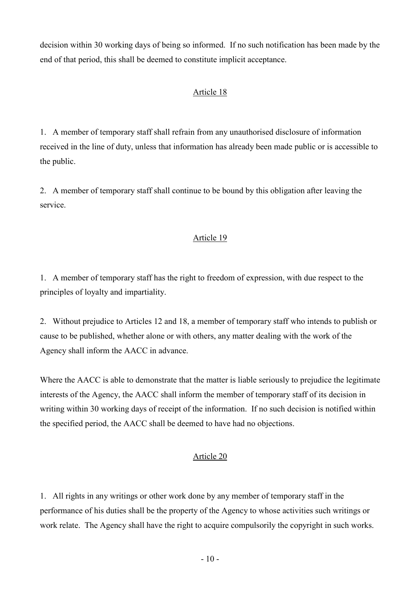decision within 30 working days of being so informed. If no such notification has been made by the end of that period, this shall be deemed to constitute implicit acceptance.

# Article 18

1. A member of temporary staff shall refrain from any unauthorised disclosure of information received in the line of duty, unless that information has already been made public or is accessible to the public.

2. A member of temporary staff shall continue to be bound by this obligation after leaving the service.

## Article 19

1. A member of temporary staff has the right to freedom of expression, with due respect to the principles of loyalty and impartiality.

2. Without prejudice to Articles 12 and 18, a member of temporary staff who intends to publish or cause to be published, whether alone or with others, any matter dealing with the work of the Agency shall inform the AACC in advance.

Where the AACC is able to demonstrate that the matter is liable seriously to prejudice the legitimate interests of the Agency, the AACC shall inform the member of temporary staff of its decision in writing within 30 working days of receipt of the information. If no such decision is notified within the specified period, the AACC shall be deemed to have had no objections.

## Article 20

1. All rights in any writings or other work done by any member of temporary staff in the performance of his duties shall be the property of the Agency to whose activities such writings or work relate. The Agency shall have the right to acquire compulsorily the copyright in such works.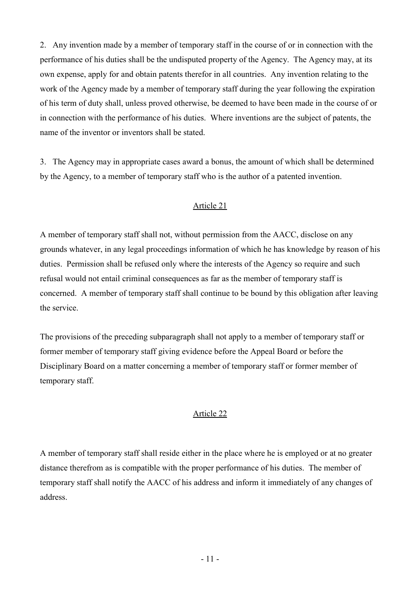2. Any invention made by a member of temporary staff in the course of or in connection with the performance of his duties shall be the undisputed property of the Agency. The Agency may, at its own expense, apply for and obtain patents therefor in all countries. Any invention relating to the work of the Agency made by a member of temporary staff during the year following the expiration of his term of duty shall, unless proved otherwise, be deemed to have been made in the course of or in connection with the performance of his duties. Where inventions are the subject of patents, the name of the inventor or inventors shall be stated.

3. The Agency may in appropriate cases award a bonus, the amount of which shall be determined by the Agency, to a member of temporary staff who is the author of a patented invention.

## Article 21

A member of temporary staff shall not, without permission from the AACC, disclose on any grounds whatever, in any legal proceedings information of which he has knowledge by reason of his duties. Permission shall be refused only where the interests of the Agency so require and such refusal would not entail criminal consequences as far as the member of temporary staff is concerned. A member of temporary staff shall continue to be bound by this obligation after leaving the service.

The provisions of the preceding subparagraph shall not apply to a member of temporary staff or former member of temporary staff giving evidence before the Appeal Board or before the Disciplinary Board on a matter concerning a member of temporary staff or former member of temporary staff.

#### Article 22

A member of temporary staff shall reside either in the place where he is employed or at no greater distance therefrom as is compatible with the proper performance of his duties. The member of temporary staff shall notify the AACC of his address and inform it immediately of any changes of address.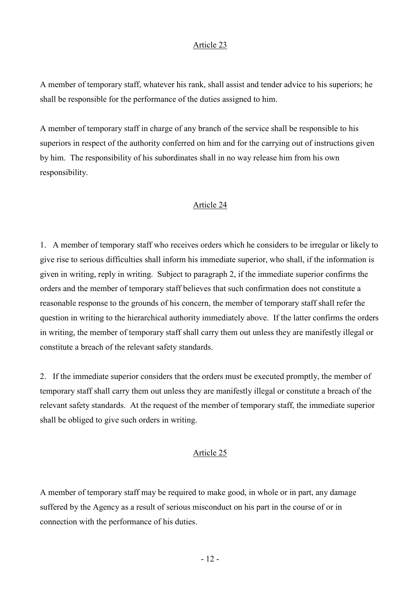A member of temporary staff, whatever his rank, shall assist and tender advice to his superiors; he shall be responsible for the performance of the duties assigned to him.

A member of temporary staff in charge of any branch of the service shall be responsible to his superiors in respect of the authority conferred on him and for the carrying out of instructions given by him. The responsibility of his subordinates shall in no way release him from his own responsibility.

### Article 24

1. A member of temporary staff who receives orders which he considers to be irregular or likely to give rise to serious difficulties shall inform his immediate superior, who shall, if the information is given in writing, reply in writing. Subject to paragraph 2, if the immediate superior confirms the orders and the member of temporary staff believes that such confirmation does not constitute a reasonable response to the grounds of his concern, the member of temporary staff shall refer the question in writing to the hierarchical authority immediately above. If the latter confirms the orders in writing, the member of temporary staff shall carry them out unless they are manifestly illegal or constitute a breach of the relevant safety standards.

2. If the immediate superior considers that the orders must be executed promptly, the member of temporary staff shall carry them out unless they are manifestly illegal or constitute a breach of the relevant safety standards. At the request of the member of temporary staff, the immediate superior shall be obliged to give such orders in writing.

## Article 25

A member of temporary staff may be required to make good, in whole or in part, any damage suffered by the Agency as a result of serious misconduct on his part in the course of or in connection with the performance of his duties.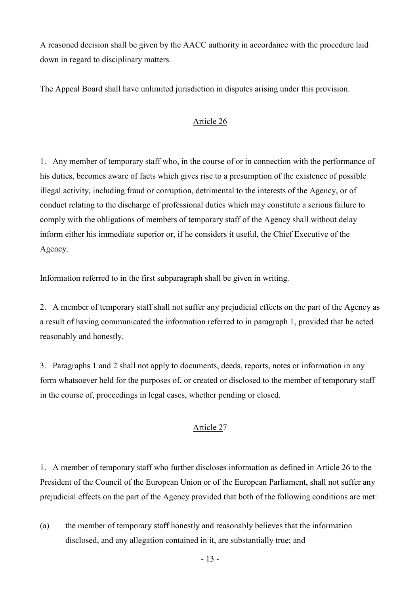A reasoned decision shall be given by the AACC authority in accordance with the procedure laid down in regard to disciplinary matters.

The Appeal Board shall have unlimited jurisdiction in disputes arising under this provision.

# Article 26

1. Any member of temporary staff who, in the course of or in connection with the performance of his duties, becomes aware of facts which gives rise to a presumption of the existence of possible illegal activity, including fraud or corruption, detrimental to the interests of the Agency, or of conduct relating to the discharge of professional duties which may constitute a serious failure to comply with the obligations of members of temporary staff of the Agency shall without delay inform either his immediate superior or, if he considers it useful, the Chief Executive of the Agency.

Information referred to in the first subparagraph shall be given in writing.

2. A member of temporary staff shall not suffer any prejudicial effects on the part of the Agency as a result of having communicated the information referred to in paragraph 1, provided that he acted reasonably and honestly.

3. Paragraphs 1 and 2 shall not apply to documents, deeds, reports, notes or information in any form whatsoever held for the purposes of, or created or disclosed to the member of temporary staff in the course of, proceedings in legal cases, whether pending or closed.

## Article 27

1. A member of temporary staff who further discloses information as defined in Article 26 to the President of the Council of the European Union or of the European Parliament, shall not suffer any prejudicial effects on the part of the Agency provided that both of the following conditions are met:

(a) the member of temporary staff honestly and reasonably believes that the information disclosed, and any allegation contained in it, are substantially true; and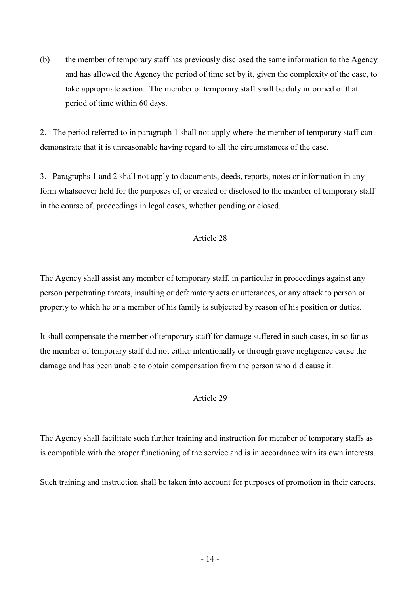(b) the member of temporary staff has previously disclosed the same information to the Agency and has allowed the Agency the period of time set by it, given the complexity of the case, to take appropriate action. The member of temporary staff shall be duly informed of that period of time within 60 days.

2. The period referred to in paragraph 1 shall not apply where the member of temporary staff can demonstrate that it is unreasonable having regard to all the circumstances of the case.

3. Paragraphs 1 and 2 shall not apply to documents, deeds, reports, notes or information in any form whatsoever held for the purposes of, or created or disclosed to the member of temporary staff in the course of, proceedings in legal cases, whether pending or closed.

## Article 28

The Agency shall assist any member of temporary staff, in particular in proceedings against any person perpetrating threats, insulting or defamatory acts or utterances, or any attack to person or property to which he or a member of his family is subjected by reason of his position or duties.

It shall compensate the member of temporary staff for damage suffered in such cases, in so far as the member of temporary staff did not either intentionally or through grave negligence cause the damage and has been unable to obtain compensation from the person who did cause it.

## Article 29

The Agency shall facilitate such further training and instruction for member of temporary staffs as is compatible with the proper functioning of the service and is in accordance with its own interests.

Such training and instruction shall be taken into account for purposes of promotion in their careers.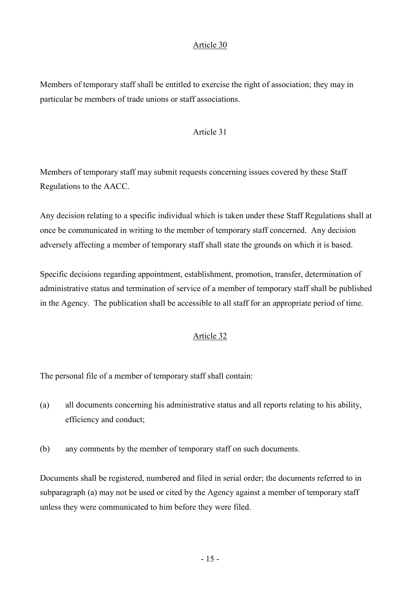Members of temporary staff shall be entitled to exercise the right of association; they may in particular be members of trade unions or staff associations.

#### Article 31

Members of temporary staff may submit requests concerning issues covered by these Staff Regulations to the AACC.

Any decision relating to a specific individual which is taken under these Staff Regulations shall at once be communicated in writing to the member of temporary staff concerned. Any decision adversely affecting a member of temporary staff shall state the grounds on which it is based.

Specific decisions regarding appointment, establishment, promotion, transfer, determination of administrative status and termination of service of a member of temporary staff shall be published in the Agency. The publication shall be accessible to all staff for an appropriate period of time.

## Article 32

The personal file of a member of temporary staff shall contain:

- (a) all documents concerning his administrative status and all reports relating to his ability, efficiency and conduct;
- (b) any comments by the member of temporary staff on such documents.

Documents shall be registered, numbered and filed in serial order; the documents referred to in subparagraph (a) may not be used or cited by the Agency against a member of temporary staff unless they were communicated to him before they were filed.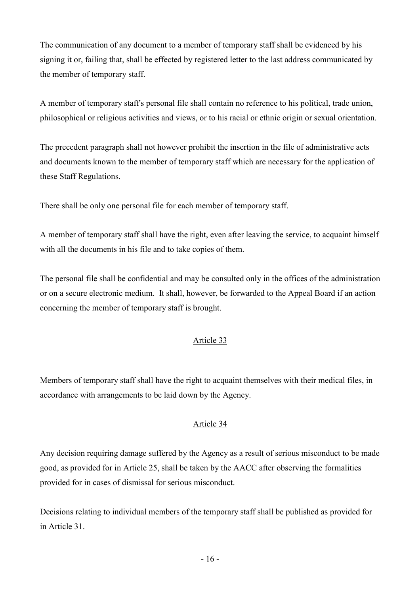The communication of any document to a member of temporary staff shall be evidenced by his signing it or, failing that, shall be effected by registered letter to the last address communicated by the member of temporary staff.

A member of temporary staff's personal file shall contain no reference to his political, trade union, philosophical or religious activities and views, or to his racial or ethnic origin or sexual orientation.

The precedent paragraph shall not however prohibit the insertion in the file of administrative acts and documents known to the member of temporary staff which are necessary for the application of these Staff Regulations.

There shall be only one personal file for each member of temporary staff.

A member of temporary staff shall have the right, even after leaving the service, to acquaint himself with all the documents in his file and to take copies of them.

The personal file shall be confidential and may be consulted only in the offices of the administration or on a secure electronic medium. It shall, however, be forwarded to the Appeal Board if an action concerning the member of temporary staff is brought.

## Article 33

Members of temporary staff shall have the right to acquaint themselves with their medical files, in accordance with arrangements to be laid down by the Agency.

## Article 34

Any decision requiring damage suffered by the Agency as a result of serious misconduct to be made good, as provided for in Article 25, shall be taken by the AACC after observing the formalities provided for in cases of dismissal for serious misconduct.

Decisions relating to individual members of the temporary staff shall be published as provided for in Article 31.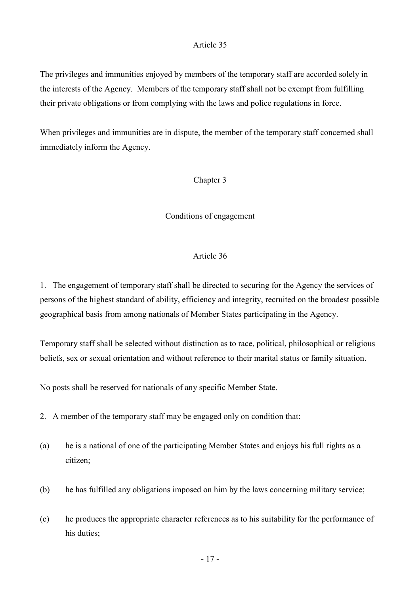The privileges and immunities enjoyed by members of the temporary staff are accorded solely in the interests of the Agency. Members of the temporary staff shall not be exempt from fulfilling their private obligations or from complying with the laws and police regulations in force.

When privileges and immunities are in dispute, the member of the temporary staff concerned shall immediately inform the Agency.

#### Chapter 3

#### Conditions of engagement

#### Article 36

1. The engagement of temporary staff shall be directed to securing for the Agency the services of persons of the highest standard of ability, efficiency and integrity, recruited on the broadest possible geographical basis from among nationals of Member States participating in the Agency.

Temporary staff shall be selected without distinction as to race, political, philosophical or religious beliefs, sex or sexual orientation and without reference to their marital status or family situation.

No posts shall be reserved for nationals of any specific Member State.

- 2. A member of the temporary staff may be engaged only on condition that:
- (a) he is a national of one of the participating Member States and enjoys his full rights as a citizen;
- (b) he has fulfilled any obligations imposed on him by the laws concerning military service;
- (c) he produces the appropriate character references as to his suitability for the performance of his duties;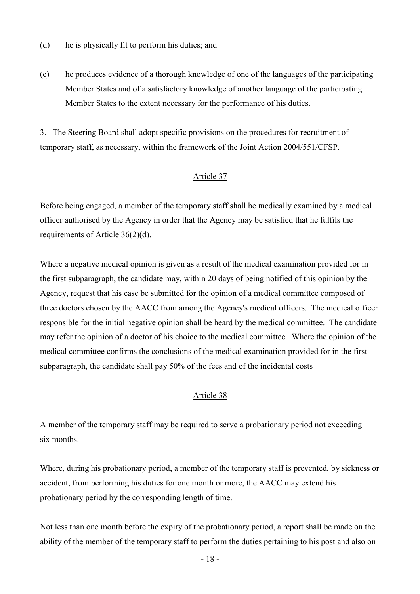- (d) he is physically fit to perform his duties; and
- (e) he produces evidence of a thorough knowledge of one of the languages of the participating Member States and of a satisfactory knowledge of another language of the participating Member States to the extent necessary for the performance of his duties.

3. The Steering Board shall adopt specific provisions on the procedures for recruitment of temporary staff, as necessary, within the framework of the Joint Action 2004/551/CFSP.

#### Article 37

Before being engaged, a member of the temporary staff shall be medically examined by a medical officer authorised by the Agency in order that the Agency may be satisfied that he fulfils the requirements of Article 36(2)(d).

Where a negative medical opinion is given as a result of the medical examination provided for in the first subparagraph, the candidate may, within 20 days of being notified of this opinion by the Agency, request that his case be submitted for the opinion of a medical committee composed of three doctors chosen by the AACC from among the Agency's medical officers. The medical officer responsible for the initial negative opinion shall be heard by the medical committee. The candidate may refer the opinion of a doctor of his choice to the medical committee. Where the opinion of the medical committee confirms the conclusions of the medical examination provided for in the first subparagraph, the candidate shall pay 50% of the fees and of the incidental costs

## Article 38

A member of the temporary staff may be required to serve a probationary period not exceeding six months.

Where, during his probationary period, a member of the temporary staff is prevented, by sickness or accident, from performing his duties for one month or more, the AACC may extend his probationary period by the corresponding length of time.

Not less than one month before the expiry of the probationary period, a report shall be made on the ability of the member of the temporary staff to perform the duties pertaining to his post and also on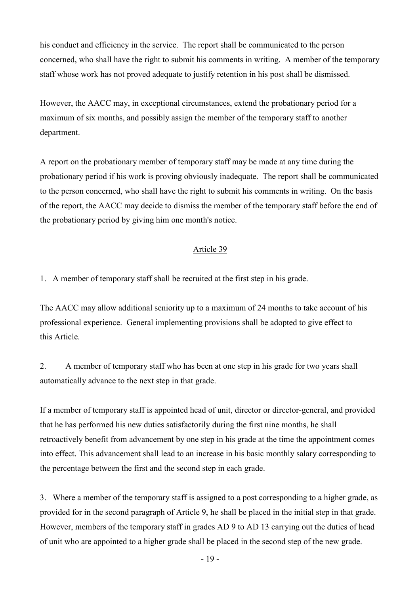his conduct and efficiency in the service. The report shall be communicated to the person concerned, who shall have the right to submit his comments in writing. A member of the temporary staff whose work has not proved adequate to justify retention in his post shall be dismissed.

However, the AACC may, in exceptional circumstances, extend the probationary period for a maximum of six months, and possibly assign the member of the temporary staff to another department.

A report on the probationary member of temporary staff may be made at any time during the probationary period if his work is proving obviously inadequate. The report shall be communicated to the person concerned, who shall have the right to submit his comments in writing. On the basis of the report, the AACC may decide to dismiss the member of the temporary staff before the end of the probationary period by giving him one month's notice.

## Article 39

1. A member of temporary staff shall be recruited at the first step in his grade.

The AACC may allow additional seniority up to a maximum of 24 months to take account of his professional experience. General implementing provisions shall be adopted to give effect to this Article.

2. A member of temporary staff who has been at one step in his grade for two years shall automatically advance to the next step in that grade.

If a member of temporary staff is appointed head of unit, director or director-general, and provided that he has performed his new duties satisfactorily during the first nine months, he shall retroactively benefit from advancement by one step in his grade at the time the appointment comes into effect. This advancement shall lead to an increase in his basic monthly salary corresponding to the percentage between the first and the second step in each grade.

3. Where a member of the temporary staff is assigned to a post corresponding to a higher grade, as provided for in the second paragraph of Article 9, he shall be placed in the initial step in that grade. However, members of the temporary staff in grades AD 9 to AD 13 carrying out the duties of head of unit who are appointed to a higher grade shall be placed in the second step of the new grade.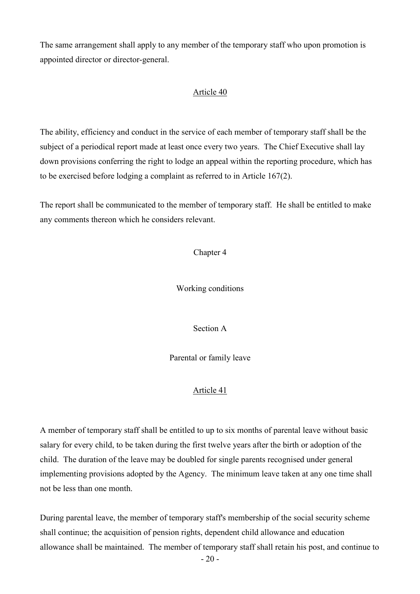The same arrangement shall apply to any member of the temporary staff who upon promotion is appointed director or director-general.

### Article 40

The ability, efficiency and conduct in the service of each member of temporary staff shall be the subject of a periodical report made at least once every two years. The Chief Executive shall lay down provisions conferring the right to lodge an appeal within the reporting procedure, which has to be exercised before lodging a complaint as referred to in Article 167(2).

The report shall be communicated to the member of temporary staff. He shall be entitled to make any comments thereon which he considers relevant.

Chapter 4

Working conditions

Section A

Parental or family leave

## Article 41

A member of temporary staff shall be entitled to up to six months of parental leave without basic salary for every child, to be taken during the first twelve years after the birth or adoption of the child. The duration of the leave may be doubled for single parents recognised under general implementing provisions adopted by the Agency. The minimum leave taken at any one time shall not be less than one month.

During parental leave, the member of temporary staff's membership of the social security scheme shall continue; the acquisition of pension rights, dependent child allowance and education allowance shall be maintained. The member of temporary staff shall retain his post, and continue to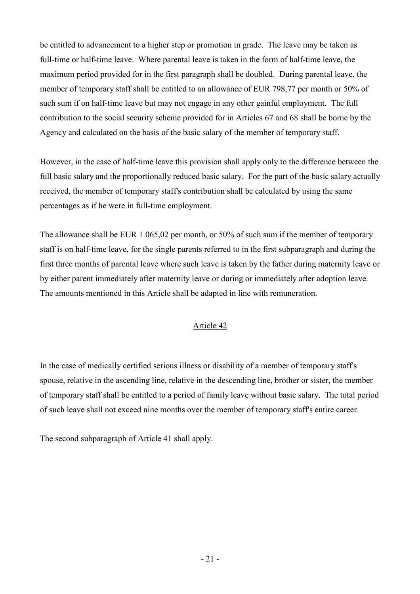be entitled to advancement to a higher step or promotion in grade. The leave may be taken as full-time or half-time leave. Where parental leave is taken in the form of half-time leave, the maximum period provided for in the first paragraph shall be doubled. During parental leave, the member of temporary staff shall be entitled to an allowance of EUR 798,77 per month or 50% of such sum if on half-time leave but may not engage in any other gainful employment. The full contribution to the social security scheme provided for in Articles 67 and 68 shall be borne by the Agency and calculated on the basis of the basic salary of the member of temporary staff.

However, in the case of half-time leave this provision shall apply only to the difference between the full basic salary and the proportionally reduced basic salary. For the part of the basic salary actually received, the member of temporary staff's contribution shall be calculated by using the same percentages as if he were in full-time employment.

The allowance shall be EUR 1 065,02 per month, or 50% of such sum if the member of temporary staff is on half-time leave, for the single parents referred to in the first subparagraph and during the first three months of parental leave where such leave is taken by the father during maternity leave or by either parent immediately after maternity leave or during or immediately after adoption leave. The amounts mentioned in this Article shall be adapted in line with remuneration.

## Article 42

In the case of medically certified serious illness or disability of a member of temporary staff's spouse, relative in the ascending line, relative in the descending line, brother or sister, the member of temporary staff shall be entitled to a period of family leave without basic salary. The total period of such leave shall not exceed nine months over the member of temporary staff's entire career.

The second subparagraph of Article 41 shall apply.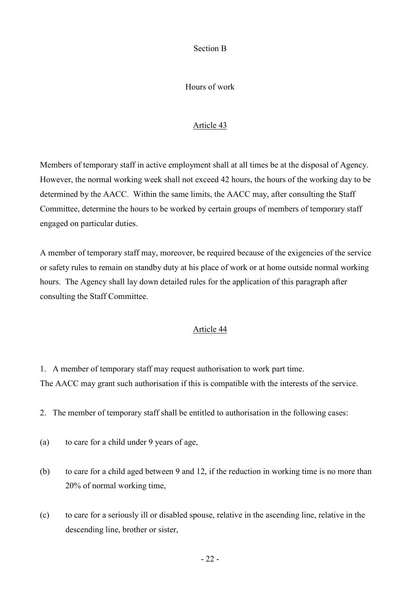Section B

Hours of work

## Article 43

Members of temporary staff in active employment shall at all times be at the disposal of Agency. However, the normal working week shall not exceed 42 hours, the hours of the working day to be determined by the AACC. Within the same limits, the AACC may, after consulting the Staff Committee, determine the hours to be worked by certain groups of members of temporary staff engaged on particular duties.

A member of temporary staff may, moreover, be required because of the exigencies of the service or safety rules to remain on standby duty at his place of work or at home outside normal working hours. The Agency shall lay down detailed rules for the application of this paragraph after consulting the Staff Committee.

## Article 44

- 1. A member of temporary staff may request authorisation to work part time. The AACC may grant such authorisation if this is compatible with the interests of the service.
- 2. The member of temporary staff shall be entitled to authorisation in the following cases:
- (a) to care for a child under 9 years of age,
- (b) to care for a child aged between 9 and 12, if the reduction in working time is no more than 20% of normal working time,
- (c) to care for a seriously ill or disabled spouse, relative in the ascending line, relative in the descending line, brother or sister,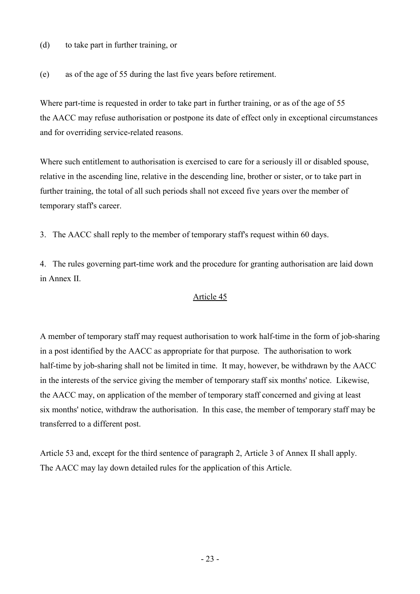## (d) to take part in further training, or

(e) as of the age of 55 during the last five years before retirement.

Where part-time is requested in order to take part in further training, or as of the age of 55 the AACC may refuse authorisation or postpone its date of effect only in exceptional circumstances and for overriding service-related reasons.

Where such entitlement to authorisation is exercised to care for a seriously ill or disabled spouse, relative in the ascending line, relative in the descending line, brother or sister, or to take part in further training, the total of all such periods shall not exceed five years over the member of temporary staff's career.

3. The AACC shall reply to the member of temporary staff's request within 60 days.

4. The rules governing part-time work and the procedure for granting authorisation are laid down in Annex II.

### Article 45

A member of temporary staff may request authorisation to work half-time in the form of job-sharing in a post identified by the AACC as appropriate for that purpose. The authorisation to work half-time by job-sharing shall not be limited in time. It may, however, be withdrawn by the AACC in the interests of the service giving the member of temporary staff six months' notice. Likewise, the AACC may, on application of the member of temporary staff concerned and giving at least six months' notice, withdraw the authorisation. In this case, the member of temporary staff may be transferred to a different post.

Article 53 and, except for the third sentence of paragraph 2, Article 3 of Annex II shall apply. The AACC may lay down detailed rules for the application of this Article.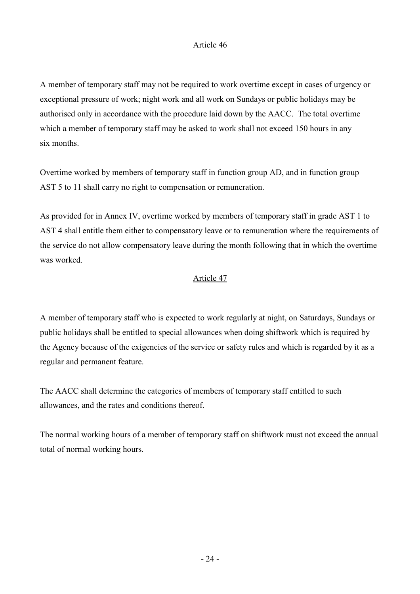A member of temporary staff may not be required to work overtime except in cases of urgency or exceptional pressure of work; night work and all work on Sundays or public holidays may be authorised only in accordance with the procedure laid down by the AACC. The total overtime which a member of temporary staff may be asked to work shall not exceed 150 hours in any six months.

Overtime worked by members of temporary staff in function group AD, and in function group AST 5 to 11 shall carry no right to compensation or remuneration.

As provided for in Annex IV, overtime worked by members of temporary staff in grade AST 1 to AST 4 shall entitle them either to compensatory leave or to remuneration where the requirements of the service do not allow compensatory leave during the month following that in which the overtime was worked.

## Article 47

A member of temporary staff who is expected to work regularly at night, on Saturdays, Sundays or public holidays shall be entitled to special allowances when doing shiftwork which is required by the Agency because of the exigencies of the service or safety rules and which is regarded by it as a regular and permanent feature.

The AACC shall determine the categories of members of temporary staff entitled to such allowances, and the rates and conditions thereof.

The normal working hours of a member of temporary staff on shiftwork must not exceed the annual total of normal working hours.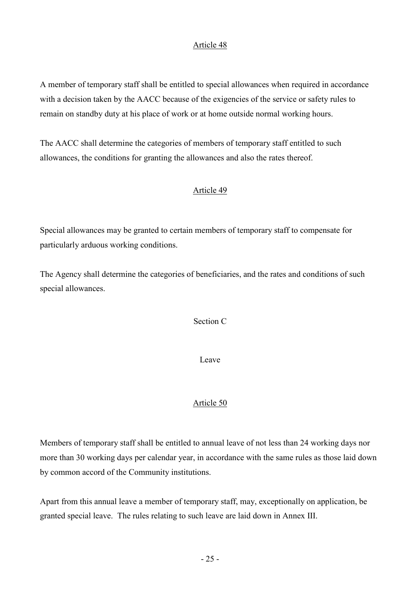A member of temporary staff shall be entitled to special allowances when required in accordance with a decision taken by the AACC because of the exigencies of the service or safety rules to remain on standby duty at his place of work or at home outside normal working hours.

The AACC shall determine the categories of members of temporary staff entitled to such allowances, the conditions for granting the allowances and also the rates thereof.

## Article 49

Special allowances may be granted to certain members of temporary staff to compensate for particularly arduous working conditions.

The Agency shall determine the categories of beneficiaries, and the rates and conditions of such special allowances.

Section C

Leave

## Article 50

Members of temporary staff shall be entitled to annual leave of not less than 24 working days nor more than 30 working days per calendar year, in accordance with the same rules as those laid down by common accord of the Community institutions.

Apart from this annual leave a member of temporary staff, may, exceptionally on application, be granted special leave. The rules relating to such leave are laid down in Annex III.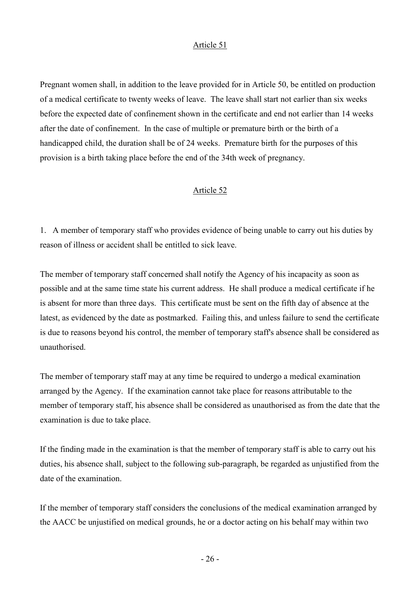Pregnant women shall, in addition to the leave provided for in Article 50, be entitled on production of a medical certificate to twenty weeks of leave. The leave shall start not earlier than six weeks before the expected date of confinement shown in the certificate and end not earlier than 14 weeks after the date of confinement. In the case of multiple or premature birth or the birth of a handicapped child, the duration shall be of 24 weeks. Premature birth for the purposes of this provision is a birth taking place before the end of the 34th week of pregnancy.

## Article 52

1. A member of temporary staff who provides evidence of being unable to carry out his duties by reason of illness or accident shall be entitled to sick leave.

The member of temporary staff concerned shall notify the Agency of his incapacity as soon as possible and at the same time state his current address. He shall produce a medical certificate if he is absent for more than three days. This certificate must be sent on the fifth day of absence at the latest, as evidenced by the date as postmarked. Failing this, and unless failure to send the certificate is due to reasons beyond his control, the member of temporary staff's absence shall be considered as unauthorised.

The member of temporary staff may at any time be required to undergo a medical examination arranged by the Agency. If the examination cannot take place for reasons attributable to the member of temporary staff, his absence shall be considered as unauthorised as from the date that the examination is due to take place.

If the finding made in the examination is that the member of temporary staff is able to carry out his duties, his absence shall, subject to the following sub-paragraph, be regarded as unjustified from the date of the examination.

If the member of temporary staff considers the conclusions of the medical examination arranged by the AACC be unjustified on medical grounds, he or a doctor acting on his behalf may within two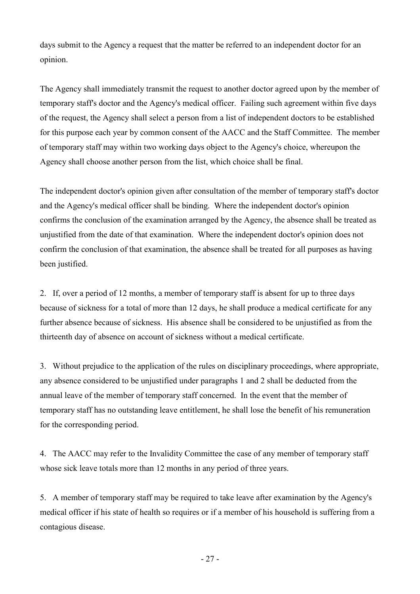days submit to the Agency a request that the matter be referred to an independent doctor for an opinion.

The Agency shall immediately transmit the request to another doctor agreed upon by the member of temporary staff's doctor and the Agency's medical officer. Failing such agreement within five days of the request, the Agency shall select a person from a list of independent doctors to be established for this purpose each year by common consent of the AACC and the Staff Committee. The member of temporary staff may within two working days object to the Agency's choice, whereupon the Agency shall choose another person from the list, which choice shall be final.

The independent doctor's opinion given after consultation of the member of temporary staff's doctor and the Agency's medical officer shall be binding. Where the independent doctor's opinion confirms the conclusion of the examination arranged by the Agency, the absence shall be treated as unjustified from the date of that examination. Where the independent doctor's opinion does not confirm the conclusion of that examination, the absence shall be treated for all purposes as having been justified.

2. If, over a period of 12 months, a member of temporary staff is absent for up to three days because of sickness for a total of more than 12 days, he shall produce a medical certificate for any further absence because of sickness. His absence shall be considered to be unjustified as from the thirteenth day of absence on account of sickness without a medical certificate.

3. Without prejudice to the application of the rules on disciplinary proceedings, where appropriate, any absence considered to be unjustified under paragraphs 1 and 2 shall be deducted from the annual leave of the member of temporary staff concerned. In the event that the member of temporary staff has no outstanding leave entitlement, he shall lose the benefit of his remuneration for the corresponding period.

4. The AACC may refer to the Invalidity Committee the case of any member of temporary staff whose sick leave totals more than 12 months in any period of three years.

5. A member of temporary staff may be required to take leave after examination by the Agency's medical officer if his state of health so requires or if a member of his household is suffering from a contagious disease.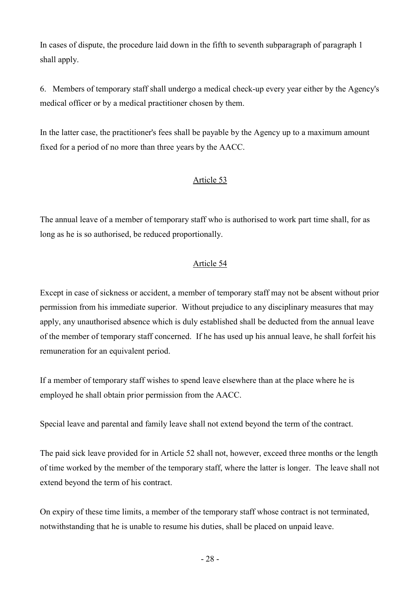In cases of dispute, the procedure laid down in the fifth to seventh subparagraph of paragraph 1 shall apply.

6. Members of temporary staff shall undergo a medical check-up every year either by the Agency's medical officer or by a medical practitioner chosen by them.

In the latter case, the practitioner's fees shall be payable by the Agency up to a maximum amount fixed for a period of no more than three years by the AACC.

## Article 53

The annual leave of a member of temporary staff who is authorised to work part time shall, for as long as he is so authorised, be reduced proportionally.

## Article 54

Except in case of sickness or accident, a member of temporary staff may not be absent without prior permission from his immediate superior. Without prejudice to any disciplinary measures that may apply, any unauthorised absence which is duly established shall be deducted from the annual leave of the member of temporary staff concerned. If he has used up his annual leave, he shall forfeit his remuneration for an equivalent period.

If a member of temporary staff wishes to spend leave elsewhere than at the place where he is employed he shall obtain prior permission from the AACC.

Special leave and parental and family leave shall not extend beyond the term of the contract.

The paid sick leave provided for in Article 52 shall not, however, exceed three months or the length of time worked by the member of the temporary staff, where the latter is longer. The leave shall not extend beyond the term of his contract.

On expiry of these time limits, a member of the temporary staff whose contract is not terminated, notwithstanding that he is unable to resume his duties, shall be placed on unpaid leave.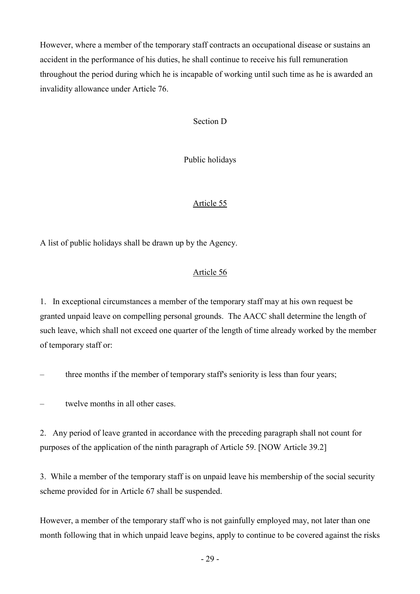However, where a member of the temporary staff contracts an occupational disease or sustains an accident in the performance of his duties, he shall continue to receive his full remuneration throughout the period during which he is incapable of working until such time as he is awarded an invalidity allowance under Article 76.

## Section D

Public holidays

## Article 55

A list of public holidays shall be drawn up by the Agency.

## Article 56

1. In exceptional circumstances a member of the temporary staff may at his own request be granted unpaid leave on compelling personal grounds. The AACC shall determine the length of such leave, which shall not exceed one quarter of the length of time already worked by the member of temporary staff or:

– three months if the member of temporary staff's seniority is less than four years;

twelve months in all other cases.

2. Any period of leave granted in accordance with the preceding paragraph shall not count for purposes of the application of the ninth paragraph of Article 59. [NOW Article 39.2]

3. While a member of the temporary staff is on unpaid leave his membership of the social security scheme provided for in Article 67 shall be suspended.

However, a member of the temporary staff who is not gainfully employed may, not later than one month following that in which unpaid leave begins, apply to continue to be covered against the risks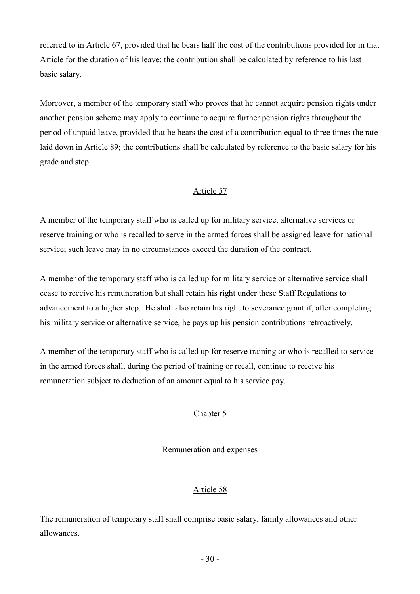referred to in Article 67, provided that he bears half the cost of the contributions provided for in that Article for the duration of his leave; the contribution shall be calculated by reference to his last basic salary.

Moreover, a member of the temporary staff who proves that he cannot acquire pension rights under another pension scheme may apply to continue to acquire further pension rights throughout the period of unpaid leave, provided that he bears the cost of a contribution equal to three times the rate laid down in Article 89; the contributions shall be calculated by reference to the basic salary for his grade and step.

## Article 57

A member of the temporary staff who is called up for military service, alternative services or reserve training or who is recalled to serve in the armed forces shall be assigned leave for national service; such leave may in no circumstances exceed the duration of the contract.

A member of the temporary staff who is called up for military service or alternative service shall cease to receive his remuneration but shall retain his right under these Staff Regulations to advancement to a higher step. He shall also retain his right to severance grant if, after completing his military service or alternative service, he pays up his pension contributions retroactively.

A member of the temporary staff who is called up for reserve training or who is recalled to service in the armed forces shall, during the period of training or recall, continue to receive his remuneration subject to deduction of an amount equal to his service pay.

## Chapter 5

## Remuneration and expenses

## Article 58

The remuneration of temporary staff shall comprise basic salary, family allowances and other allowances.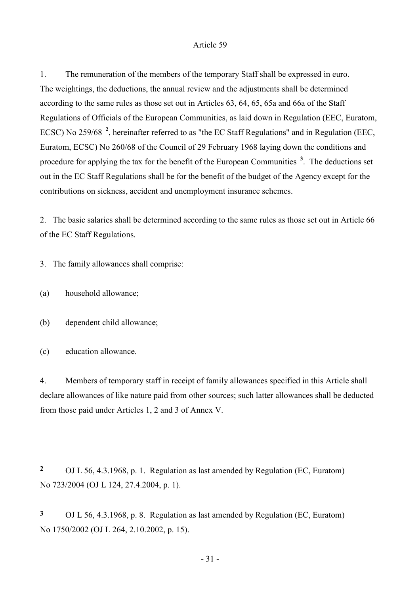1. The remuneration of the members of the temporary Staff shall be expressed in euro. The weightings, the deductions, the annual review and the adjustments shall be determined according to the same rules as those set out in Articles 63, 64, 65, 65a and 66a of the Staff Regulations of Officials of the European Communities, as laid down in Regulation (EEC, Euratom, ECSC) No 259/68<sup>2</sup>, hereinafter referred to as "the EC Staff Regulations" and in Regulation (EEC, Euratom, ECSC) No 260/68 of the Council of 29 February 1968 laying down the conditions and procedure for applying the tax for the benefit of the European Communities<sup>3</sup>. The deductions set out in the EC Staff Regulations shall be for the benefit of the budget of the Agency except for the contributions on sickness, accident and unemployment insurance schemes.

2. The basic salaries shall be determined according to the same rules as those set out in Article 66 of the EC Staff Regulations.

3. The family allowances shall comprise:

- (a) household allowance;
- (b) dependent child allowance;
- (c) education allowance.

 $\overline{a}$ 

4. Members of temporary staff in receipt of family allowances specified in this Article shall declare allowances of like nature paid from other sources; such latter allowances shall be deducted from those paid under Articles 1, 2 and 3 of Annex V.

<sup>2</sup> OJ L 56, 4.3.1968, p. 1. Regulation as last amended by Regulation (EC, Euratom) No 723/2004 (OJ L 124, 27.4.2004, p. 1).

<sup>3</sup> OJ L 56, 4.3.1968, p. 8. Regulation as last amended by Regulation (EC, Euratom) No 1750/2002 (OJ L 264, 2.10.2002, p. 15).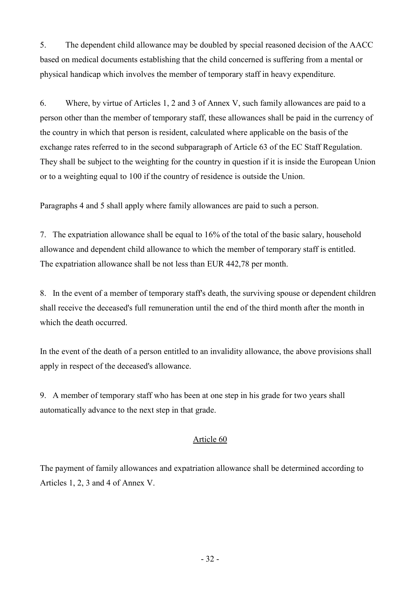5. The dependent child allowance may be doubled by special reasoned decision of the AACC based on medical documents establishing that the child concerned is suffering from a mental or physical handicap which involves the member of temporary staff in heavy expenditure.

6. Where, by virtue of Articles 1, 2 and 3 of Annex V, such family allowances are paid to a person other than the member of temporary staff, these allowances shall be paid in the currency of the country in which that person is resident, calculated where applicable on the basis of the exchange rates referred to in the second subparagraph of Article 63 of the EC Staff Regulation. They shall be subject to the weighting for the country in question if it is inside the European Union or to a weighting equal to 100 if the country of residence is outside the Union.

Paragraphs 4 and 5 shall apply where family allowances are paid to such a person.

7. The expatriation allowance shall be equal to 16% of the total of the basic salary, household allowance and dependent child allowance to which the member of temporary staff is entitled. The expatriation allowance shall be not less than EUR 442,78 per month.

8. In the event of a member of temporary staff's death, the surviving spouse or dependent children shall receive the deceased's full remuneration until the end of the third month after the month in which the death occurred.

In the event of the death of a person entitled to an invalidity allowance, the above provisions shall apply in respect of the deceased's allowance.

9. A member of temporary staff who has been at one step in his grade for two years shall automatically advance to the next step in that grade.

## Article 60

The payment of family allowances and expatriation allowance shall be determined according to Articles 1, 2, 3 and 4 of Annex V.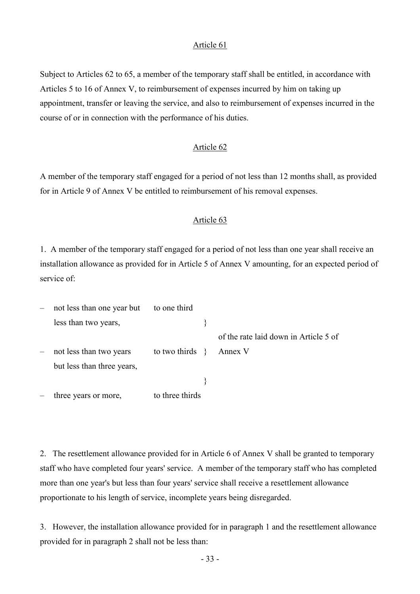Subject to Articles 62 to 65, a member of the temporary staff shall be entitled, in accordance with Articles 5 to 16 of Annex V, to reimbursement of expenses incurred by him on taking up appointment, transfer or leaving the service, and also to reimbursement of expenses incurred in the course of or in connection with the performance of his duties.

## Article 62

A member of the temporary staff engaged for a period of not less than 12 months shall, as provided for in Article 9 of Annex V be entitled to reimbursement of his removal expenses.

#### Article 63

1. A member of the temporary staff engaged for a period of not less than one year shall receive an installation allowance as provided for in Article 5 of Annex V amounting, for an expected period of service of:

| $\qquad \qquad -$ | not less than one year but | to one third       |                                       |
|-------------------|----------------------------|--------------------|---------------------------------------|
|                   | less than two years,       |                    |                                       |
|                   |                            |                    | of the rate laid down in Article 5 of |
| $\qquad \qquad -$ | not less than two years    | to two thirds $\{$ | Annex V                               |
|                   | but less than three years, |                    |                                       |
|                   |                            |                    |                                       |
|                   | three years or more,       | to three thirds    |                                       |

2. The resettlement allowance provided for in Article 6 of Annex V shall be granted to temporary staff who have completed four years' service. A member of the temporary staff who has completed more than one year's but less than four years' service shall receive a resettlement allowance proportionate to his length of service, incomplete years being disregarded.

3. However, the installation allowance provided for in paragraph 1 and the resettlement allowance provided for in paragraph 2 shall not be less than: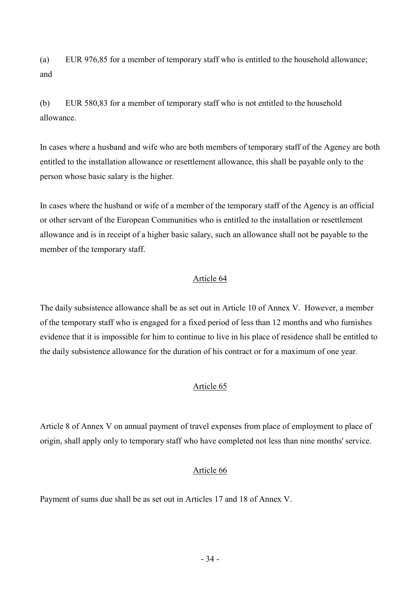(a) EUR 976,85 for a member of temporary staff who is entitled to the household allowance; and

(b) EUR 580,83 for a member of temporary staff who is not entitled to the household allowance.

In cases where a husband and wife who are both members of temporary staff of the Agency are both entitled to the installation allowance or resettlement allowance, this shall be payable only to the person whose basic salary is the higher.

In cases where the husband or wife of a member of the temporary staff of the Agency is an official or other servant of the European Communities who is entitled to the installation or resettlement allowance and is in receipt of a higher basic salary, such an allowance shall not be payable to the member of the temporary staff.

## Article 64

The daily subsistence allowance shall be as set out in Article 10 of Annex V. However, a member of the temporary staff who is engaged for a fixed period of less than 12 months and who furnishes evidence that it is impossible for him to continue to live in his place of residence shall be entitled to the daily subsistence allowance for the duration of his contract or for a maximum of one year.

## Article 65

Article 8 of Annex V on annual payment of travel expenses from place of employment to place of origin, shall apply only to temporary staff who have completed not less than nine months' service.

## Article 66

Payment of sums due shall be as set out in Articles 17 and 18 of Annex V.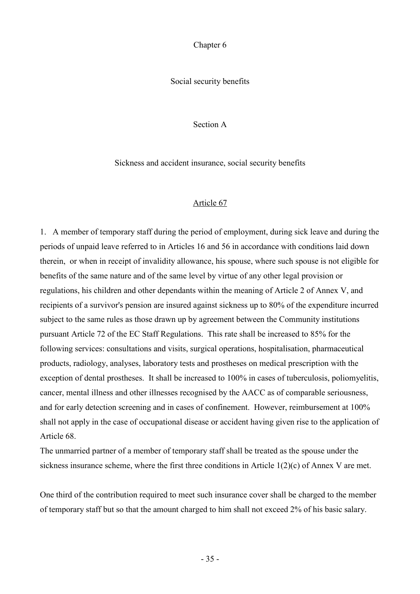Chapter 6

Social security benefits

Section A

Sickness and accident insurance, social security benefits

## Article 67

1. A member of temporary staff during the period of employment, during sick leave and during the periods of unpaid leave referred to in Articles 16 and 56 in accordance with conditions laid down therein, or when in receipt of invalidity allowance, his spouse, where such spouse is not eligible for benefits of the same nature and of the same level by virtue of any other legal provision or regulations, his children and other dependants within the meaning of Article 2 of Annex V, and recipients of a survivor's pension are insured against sickness up to 80% of the expenditure incurred subject to the same rules as those drawn up by agreement between the Community institutions pursuant Article 72 of the EC Staff Regulations. This rate shall be increased to 85% for the following services: consultations and visits, surgical operations, hospitalisation, pharmaceutical products, radiology, analyses, laboratory tests and prostheses on medical prescription with the exception of dental prostheses. It shall be increased to 100% in cases of tuberculosis, poliomyelitis, cancer, mental illness and other illnesses recognised by the AACC as of comparable seriousness, and for early detection screening and in cases of confinement. However, reimbursement at 100% shall not apply in the case of occupational disease or accident having given rise to the application of Article 68.

The unmarried partner of a member of temporary staff shall be treated as the spouse under the sickness insurance scheme, where the first three conditions in Article 1(2)(c) of Annex V are met.

One third of the contribution required to meet such insurance cover shall be charged to the member of temporary staff but so that the amount charged to him shall not exceed 2% of his basic salary.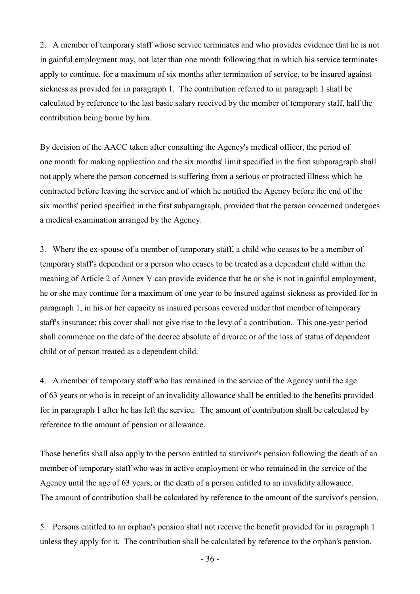2. A member of temporary staff whose service terminates and who provides evidence that he is not in gainful employment may, not later than one month following that in which his service terminates apply to continue, for a maximum of six months after termination of service, to be insured against sickness as provided for in paragraph 1. The contribution referred to in paragraph 1 shall be calculated by reference to the last basic salary received by the member of temporary staff, half the contribution being borne by him.

By decision of the AACC taken after consulting the Agency's medical officer, the period of one month for making application and the six months' limit specified in the first subparagraph shall not apply where the person concerned is suffering from a serious or protracted illness which he contracted before leaving the service and of which he notified the Agency before the end of the six months' period specified in the first subparagraph, provided that the person concerned undergoes a medical examination arranged by the Agency.

3. Where the ex-spouse of a member of temporary staff, a child who ceases to be a member of temporary staff's dependant or a person who ceases to be treated as a dependent child within the meaning of Article 2 of Annex V can provide evidence that he or she is not in gainful employment, he or she may continue for a maximum of one year to be insured against sickness as provided for in paragraph 1, in his or her capacity as insured persons covered under that member of temporary staff's insurance; this cover shall not give rise to the levy of a contribution. This one-year period shall commence on the date of the decree absolute of divorce or of the loss of status of dependent child or of person treated as a dependent child.

4. A member of temporary staff who has remained in the service of the Agency until the age of 63 years or who is in receipt of an invalidity allowance shall be entitled to the benefits provided for in paragraph 1 after he has left the service. The amount of contribution shall be calculated by reference to the amount of pension or allowance.

Those benefits shall also apply to the person entitled to survivor's pension following the death of an member of temporary staff who was in active employment or who remained in the service of the Agency until the age of 63 years, or the death of a person entitled to an invalidity allowance. The amount of contribution shall be calculated by reference to the amount of the survivor's pension.

5. Persons entitled to an orphan's pension shall not receive the benefit provided for in paragraph 1 unless they apply for it. The contribution shall be calculated by reference to the orphan's pension.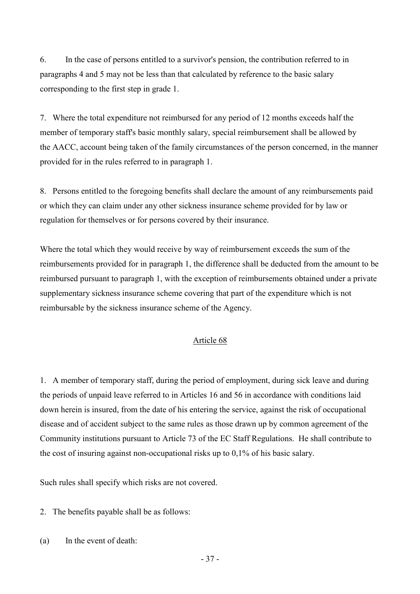6. In the case of persons entitled to a survivor's pension, the contribution referred to in paragraphs 4 and 5 may not be less than that calculated by reference to the basic salary corresponding to the first step in grade 1.

7. Where the total expenditure not reimbursed for any period of 12 months exceeds half the member of temporary staff's basic monthly salary, special reimbursement shall be allowed by the AACC, account being taken of the family circumstances of the person concerned, in the manner provided for in the rules referred to in paragraph 1.

8. Persons entitled to the foregoing benefits shall declare the amount of any reimbursements paid or which they can claim under any other sickness insurance scheme provided for by law or regulation for themselves or for persons covered by their insurance.

Where the total which they would receive by way of reimbursement exceeds the sum of the reimbursements provided for in paragraph 1, the difference shall be deducted from the amount to be reimbursed pursuant to paragraph 1, with the exception of reimbursements obtained under a private supplementary sickness insurance scheme covering that part of the expenditure which is not reimbursable by the sickness insurance scheme of the Agency.

## Article 68

1. A member of temporary staff, during the period of employment, during sick leave and during the periods of unpaid leave referred to in Articles 16 and 56 in accordance with conditions laid down herein is insured, from the date of his entering the service, against the risk of occupational disease and of accident subject to the same rules as those drawn up by common agreement of the Community institutions pursuant to Article 73 of the EC Staff Regulations. He shall contribute to the cost of insuring against non-occupational risks up to 0,1% of his basic salary.

Such rules shall specify which risks are not covered.

2. The benefits payable shall be as follows:

(a) In the event of death: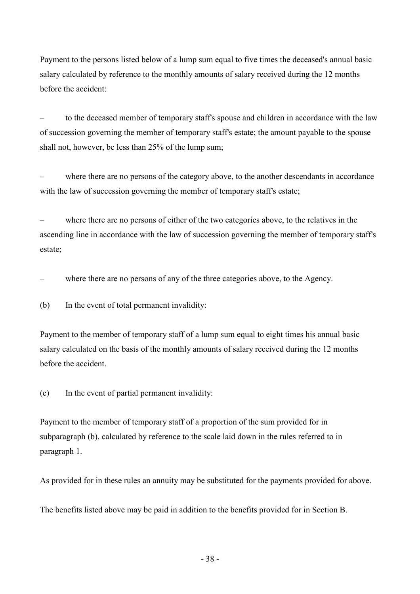Payment to the persons listed below of a lump sum equal to five times the deceased's annual basic salary calculated by reference to the monthly amounts of salary received during the 12 months before the accident:

– to the deceased member of temporary staff's spouse and children in accordance with the law of succession governing the member of temporary staff's estate; the amount payable to the spouse shall not, however, be less than 25% of the lump sum;

– where there are no persons of the category above, to the another descendants in accordance with the law of succession governing the member of temporary staff's estate;

– where there are no persons of either of the two categories above, to the relatives in the ascending line in accordance with the law of succession governing the member of temporary staff's estate;

where there are no persons of any of the three categories above, to the Agency.

(b) In the event of total permanent invalidity:

Payment to the member of temporary staff of a lump sum equal to eight times his annual basic salary calculated on the basis of the monthly amounts of salary received during the 12 months before the accident.

(c) In the event of partial permanent invalidity:

Payment to the member of temporary staff of a proportion of the sum provided for in subparagraph (b), calculated by reference to the scale laid down in the rules referred to in paragraph 1.

As provided for in these rules an annuity may be substituted for the payments provided for above.

The benefits listed above may be paid in addition to the benefits provided for in Section B.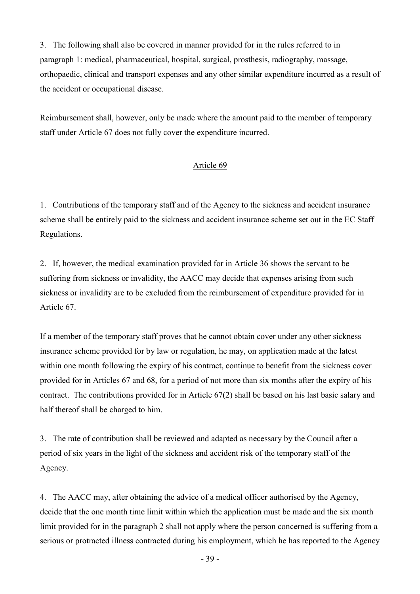3. The following shall also be covered in manner provided for in the rules referred to in paragraph 1: medical, pharmaceutical, hospital, surgical, prosthesis, radiography, massage, orthopaedic, clinical and transport expenses and any other similar expenditure incurred as a result of the accident or occupational disease.

Reimbursement shall, however, only be made where the amount paid to the member of temporary staff under Article 67 does not fully cover the expenditure incurred.

## Article 69

1. Contributions of the temporary staff and of the Agency to the sickness and accident insurance scheme shall be entirely paid to the sickness and accident insurance scheme set out in the EC Staff Regulations.

2. If, however, the medical examination provided for in Article 36 shows the servant to be suffering from sickness or invalidity, the AACC may decide that expenses arising from such sickness or invalidity are to be excluded from the reimbursement of expenditure provided for in Article 67.

If a member of the temporary staff proves that he cannot obtain cover under any other sickness insurance scheme provided for by law or regulation, he may, on application made at the latest within one month following the expiry of his contract, continue to benefit from the sickness cover provided for in Articles 67 and 68, for a period of not more than six months after the expiry of his contract. The contributions provided for in Article 67(2) shall be based on his last basic salary and half thereof shall be charged to him.

3. The rate of contribution shall be reviewed and adapted as necessary by the Council after a period of six years in the light of the sickness and accident risk of the temporary staff of the Agency.

4. The AACC may, after obtaining the advice of a medical officer authorised by the Agency, decide that the one month time limit within which the application must be made and the six month limit provided for in the paragraph 2 shall not apply where the person concerned is suffering from a serious or protracted illness contracted during his employment, which he has reported to the Agency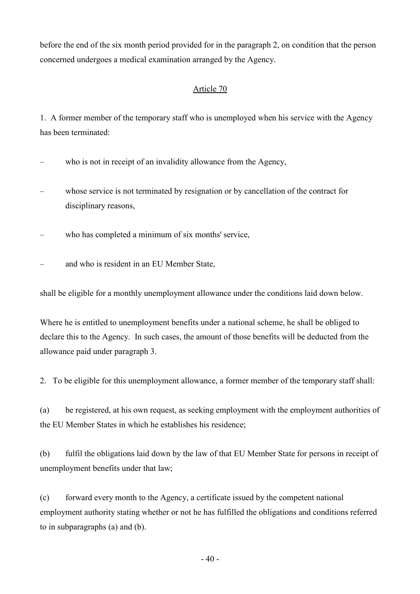before the end of the six month period provided for in the paragraph 2, on condition that the person concerned undergoes a medical examination arranged by the Agency.

## Article 70

1. A former member of the temporary staff who is unemployed when his service with the Agency has been terminated:

- who is not in receipt of an invalidity allowance from the Agency,
- whose service is not terminated by resignation or by cancellation of the contract for disciplinary reasons,
- who has completed a minimum of six months' service,
- and who is resident in an EU Member State,

shall be eligible for a monthly unemployment allowance under the conditions laid down below.

Where he is entitled to unemployment benefits under a national scheme, he shall be obliged to declare this to the Agency. In such cases, the amount of those benefits will be deducted from the allowance paid under paragraph 3.

2. To be eligible for this unemployment allowance, a former member of the temporary staff shall:

(a) be registered, at his own request, as seeking employment with the employment authorities of the EU Member States in which he establishes his residence;

(b) fulfil the obligations laid down by the law of that EU Member State for persons in receipt of unemployment benefits under that law;

(c) forward every month to the Agency, a certificate issued by the competent national employment authority stating whether or not he has fulfilled the obligations and conditions referred to in subparagraphs (a) and (b).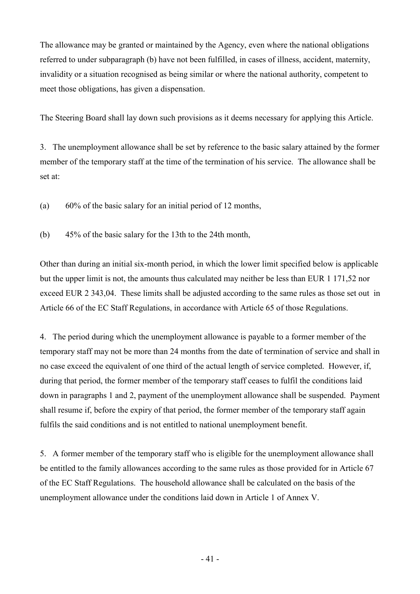The allowance may be granted or maintained by the Agency, even where the national obligations referred to under subparagraph (b) have not been fulfilled, in cases of illness, accident, maternity, invalidity or a situation recognised as being similar or where the national authority, competent to meet those obligations, has given a dispensation.

The Steering Board shall lay down such provisions as it deems necessary for applying this Article.

3. The unemployment allowance shall be set by reference to the basic salary attained by the former member of the temporary staff at the time of the termination of his service. The allowance shall be set at:

(a) 60% of the basic salary for an initial period of 12 months,

(b) 45% of the basic salary for the 13th to the 24th month,

Other than during an initial six-month period, in which the lower limit specified below is applicable but the upper limit is not, the amounts thus calculated may neither be less than EUR 1 171,52 nor exceed EUR 2 343,04. These limits shall be adjusted according to the same rules as those set out in Article 66 of the EC Staff Regulations, in accordance with Article 65 of those Regulations.

4. The period during which the unemployment allowance is payable to a former member of the temporary staff may not be more than 24 months from the date of termination of service and shall in no case exceed the equivalent of one third of the actual length of service completed. However, if, during that period, the former member of the temporary staff ceases to fulfil the conditions laid down in paragraphs 1 and 2, payment of the unemployment allowance shall be suspended. Payment shall resume if, before the expiry of that period, the former member of the temporary staff again fulfils the said conditions and is not entitled to national unemployment benefit.

5. A former member of the temporary staff who is eligible for the unemployment allowance shall be entitled to the family allowances according to the same rules as those provided for in Article 67 of the EC Staff Regulations. The household allowance shall be calculated on the basis of the unemployment allowance under the conditions laid down in Article 1 of Annex V.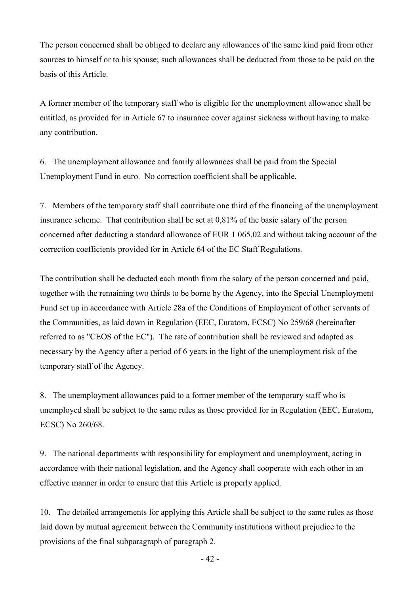The person concerned shall be obliged to declare any allowances of the same kind paid from other sources to himself or to his spouse; such allowances shall be deducted from those to be paid on the basis of this Article.

A former member of the temporary staff who is eligible for the unemployment allowance shall be entitled, as provided for in Article 67 to insurance cover against sickness without having to make any contribution.

6. The unemployment allowance and family allowances shall be paid from the Special Unemployment Fund in euro. No correction coefficient shall be applicable.

7. Members of the temporary staff shall contribute one third of the financing of the unemployment insurance scheme. That contribution shall be set at 0,81% of the basic salary of the person concerned after deducting a standard allowance of EUR 1 065,02 and without taking account of the correction coefficients provided for in Article 64 of the EC Staff Regulations.

The contribution shall be deducted each month from the salary of the person concerned and paid, together with the remaining two thirds to be borne by the Agency, into the Special Unemployment Fund set up in accordance with Article 28a of the Conditions of Employment of other servants of the Communities, as laid down in Regulation (EEC, Euratom, ECSC) No 259/68 (hereinafter referred to as "CEOS of the EC"). The rate of contribution shall be reviewed and adapted as necessary by the Agency after a period of 6 years in the light of the unemployment risk of the temporary staff of the Agency.

8. The unemployment allowances paid to a former member of the temporary staff who is unemployed shall be subject to the same rules as those provided for in Regulation (EEC, Euratom, ECSC) No 260/68.

9. The national departments with responsibility for employment and unemployment, acting in accordance with their national legislation, and the Agency shall cooperate with each other in an effective manner in order to ensure that this Article is properly applied.

10. The detailed arrangements for applying this Article shall be subject to the same rules as those laid down by mutual agreement between the Community institutions without prejudice to the provisions of the final subparagraph of paragraph 2.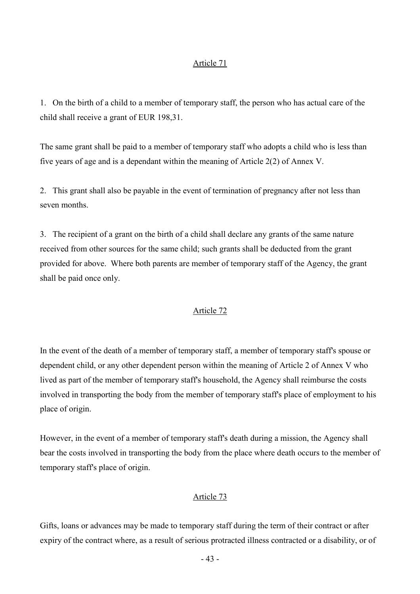1. On the birth of a child to a member of temporary staff, the person who has actual care of the child shall receive a grant of EUR 198,31.

The same grant shall be paid to a member of temporary staff who adopts a child who is less than five years of age and is a dependant within the meaning of Article 2(2) of Annex V.

2. This grant shall also be payable in the event of termination of pregnancy after not less than seven months.

3. The recipient of a grant on the birth of a child shall declare any grants of the same nature received from other sources for the same child; such grants shall be deducted from the grant provided for above. Where both parents are member of temporary staff of the Agency, the grant shall be paid once only.

#### Article 72

In the event of the death of a member of temporary staff, a member of temporary staff's spouse or dependent child, or any other dependent person within the meaning of Article 2 of Annex V who lived as part of the member of temporary staff's household, the Agency shall reimburse the costs involved in transporting the body from the member of temporary staff's place of employment to his place of origin.

However, in the event of a member of temporary staff's death during a mission, the Agency shall bear the costs involved in transporting the body from the place where death occurs to the member of temporary staff's place of origin.

### Article 73

Gifts, loans or advances may be made to temporary staff during the term of their contract or after expiry of the contract where, as a result of serious protracted illness contracted or a disability, or of

- 43 -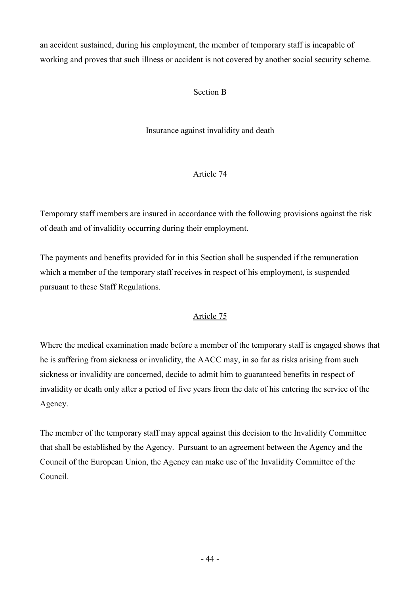an accident sustained, during his employment, the member of temporary staff is incapable of working and proves that such illness or accident is not covered by another social security scheme.

## Section B

Insurance against invalidity and death

# Article 74

Temporary staff members are insured in accordance with the following provisions against the risk of death and of invalidity occurring during their employment.

The payments and benefits provided for in this Section shall be suspended if the remuneration which a member of the temporary staff receives in respect of his employment, is suspended pursuant to these Staff Regulations.

## Article 75

Where the medical examination made before a member of the temporary staff is engaged shows that he is suffering from sickness or invalidity, the AACC may, in so far as risks arising from such sickness or invalidity are concerned, decide to admit him to guaranteed benefits in respect of invalidity or death only after a period of five years from the date of his entering the service of the Agency.

The member of the temporary staff may appeal against this decision to the Invalidity Committee that shall be established by the Agency. Pursuant to an agreement between the Agency and the Council of the European Union, the Agency can make use of the Invalidity Committee of the Council.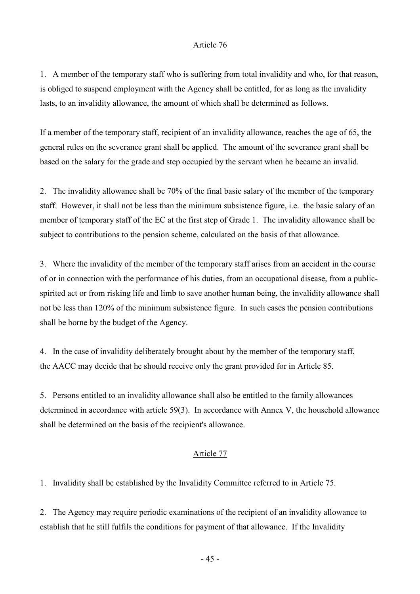1. A member of the temporary staff who is suffering from total invalidity and who, for that reason, is obliged to suspend employment with the Agency shall be entitled, for as long as the invalidity lasts, to an invalidity allowance, the amount of which shall be determined as follows.

If a member of the temporary staff, recipient of an invalidity allowance, reaches the age of 65, the general rules on the severance grant shall be applied. The amount of the severance grant shall be based on the salary for the grade and step occupied by the servant when he became an invalid.

2. The invalidity allowance shall be 70% of the final basic salary of the member of the temporary staff. However, it shall not be less than the minimum subsistence figure, i.e. the basic salary of an member of temporary staff of the EC at the first step of Grade 1. The invalidity allowance shall be subject to contributions to the pension scheme, calculated on the basis of that allowance.

3. Where the invalidity of the member of the temporary staff arises from an accident in the course of or in connection with the performance of his duties, from an occupational disease, from a publicspirited act or from risking life and limb to save another human being, the invalidity allowance shall not be less than 120% of the minimum subsistence figure. In such cases the pension contributions shall be borne by the budget of the Agency.

4. In the case of invalidity deliberately brought about by the member of the temporary staff, the AACC may decide that he should receive only the grant provided for in Article 85.

5. Persons entitled to an invalidity allowance shall also be entitled to the family allowances determined in accordance with article 59(3). In accordance with Annex V, the household allowance shall be determined on the basis of the recipient's allowance.

### Article 77

1. Invalidity shall be established by the Invalidity Committee referred to in Article 75.

2. The Agency may require periodic examinations of the recipient of an invalidity allowance to establish that he still fulfils the conditions for payment of that allowance. If the Invalidity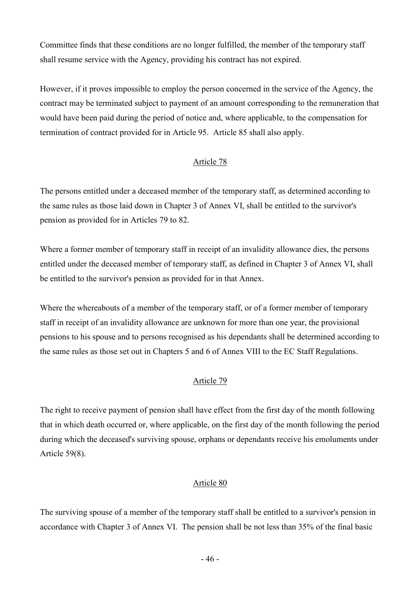Committee finds that these conditions are no longer fulfilled, the member of the temporary staff shall resume service with the Agency, providing his contract has not expired.

However, if it proves impossible to employ the person concerned in the service of the Agency, the contract may be terminated subject to payment of an amount corresponding to the remuneration that would have been paid during the period of notice and, where applicable, to the compensation for termination of contract provided for in Article 95. Article 85 shall also apply.

## Article 78

The persons entitled under a deceased member of the temporary staff, as determined according to the same rules as those laid down in Chapter 3 of Annex VI, shall be entitled to the survivor's pension as provided for in Articles 79 to 82.

Where a former member of temporary staff in receipt of an invalidity allowance dies, the persons entitled under the deceased member of temporary staff, as defined in Chapter 3 of Annex VI, shall be entitled to the survivor's pension as provided for in that Annex.

Where the whereabouts of a member of the temporary staff, or of a former member of temporary staff in receipt of an invalidity allowance are unknown for more than one year, the provisional pensions to his spouse and to persons recognised as his dependants shall be determined according to the same rules as those set out in Chapters 5 and 6 of Annex VIII to the EC Staff Regulations.

## Article 79

The right to receive payment of pension shall have effect from the first day of the month following that in which death occurred or, where applicable, on the first day of the month following the period during which the deceased's surviving spouse, orphans or dependants receive his emoluments under Article 59(8).

## Article 80

The surviving spouse of a member of the temporary staff shall be entitled to a survivor's pension in accordance with Chapter 3 of Annex VI. The pension shall be not less than 35% of the final basic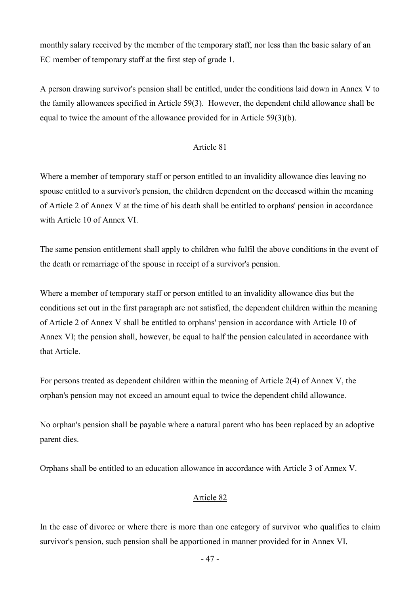monthly salary received by the member of the temporary staff, nor less than the basic salary of an EC member of temporary staff at the first step of grade 1.

A person drawing survivor's pension shall be entitled, under the conditions laid down in Annex V to the family allowances specified in Article 59(3). However, the dependent child allowance shall be equal to twice the amount of the allowance provided for in Article 59(3)(b).

## Article 81

Where a member of temporary staff or person entitled to an invalidity allowance dies leaving no spouse entitled to a survivor's pension, the children dependent on the deceased within the meaning of Article 2 of Annex V at the time of his death shall be entitled to orphans' pension in accordance with Article 10 of Annex VI.

The same pension entitlement shall apply to children who fulfil the above conditions in the event of the death or remarriage of the spouse in receipt of a survivor's pension.

Where a member of temporary staff or person entitled to an invalidity allowance dies but the conditions set out in the first paragraph are not satisfied, the dependent children within the meaning of Article 2 of Annex V shall be entitled to orphans' pension in accordance with Article 10 of Annex VI; the pension shall, however, be equal to half the pension calculated in accordance with that Article.

For persons treated as dependent children within the meaning of Article 2(4) of Annex V, the orphan's pension may not exceed an amount equal to twice the dependent child allowance.

No orphan's pension shall be payable where a natural parent who has been replaced by an adoptive parent dies.

Orphans shall be entitled to an education allowance in accordance with Article 3 of Annex V.

## Article 82

In the case of divorce or where there is more than one category of survivor who qualifies to claim survivor's pension, such pension shall be apportioned in manner provided for in Annex VI.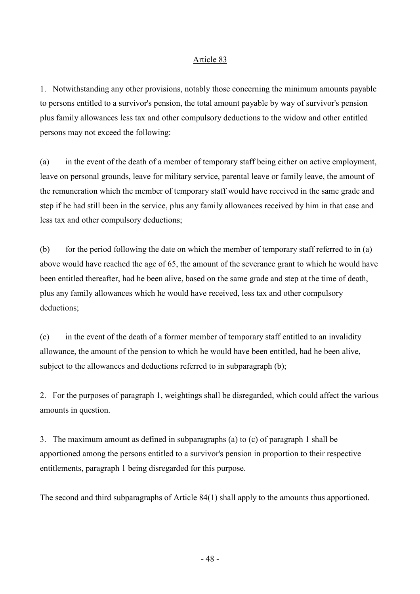1. Notwithstanding any other provisions, notably those concerning the minimum amounts payable to persons entitled to a survivor's pension, the total amount payable by way of survivor's pension plus family allowances less tax and other compulsory deductions to the widow and other entitled persons may not exceed the following:

(a) in the event of the death of a member of temporary staff being either on active employment, leave on personal grounds, leave for military service, parental leave or family leave, the amount of the remuneration which the member of temporary staff would have received in the same grade and step if he had still been in the service, plus any family allowances received by him in that case and less tax and other compulsory deductions;

(b) for the period following the date on which the member of temporary staff referred to in (a) above would have reached the age of 65, the amount of the severance grant to which he would have been entitled thereafter, had he been alive, based on the same grade and step at the time of death, plus any family allowances which he would have received, less tax and other compulsory deductions;

(c) in the event of the death of a former member of temporary staff entitled to an invalidity allowance, the amount of the pension to which he would have been entitled, had he been alive, subject to the allowances and deductions referred to in subparagraph (b);

2. For the purposes of paragraph 1, weightings shall be disregarded, which could affect the various amounts in question.

3. The maximum amount as defined in subparagraphs (a) to (c) of paragraph 1 shall be apportioned among the persons entitled to a survivor's pension in proportion to their respective entitlements, paragraph 1 being disregarded for this purpose.

The second and third subparagraphs of Article 84(1) shall apply to the amounts thus apportioned.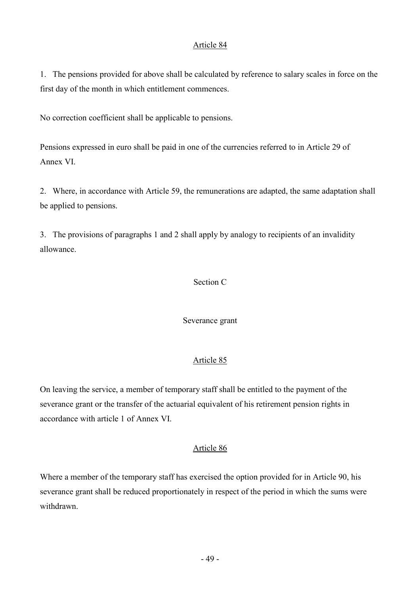1. The pensions provided for above shall be calculated by reference to salary scales in force on the first day of the month in which entitlement commences.

No correction coefficient shall be applicable to pensions.

Pensions expressed in euro shall be paid in one of the currencies referred to in Article 29 of Annex VI.

2. Where, in accordance with Article 59, the remunerations are adapted, the same adaptation shall be applied to pensions.

3. The provisions of paragraphs 1 and 2 shall apply by analogy to recipients of an invalidity allowance.

## Section C

Severance grant

## Article 85

On leaving the service, a member of temporary staff shall be entitled to the payment of the severance grant or the transfer of the actuarial equivalent of his retirement pension rights in accordance with article 1 of Annex VI.

## Article 86

Where a member of the temporary staff has exercised the option provided for in Article 90, his severance grant shall be reduced proportionately in respect of the period in which the sums were withdrawn.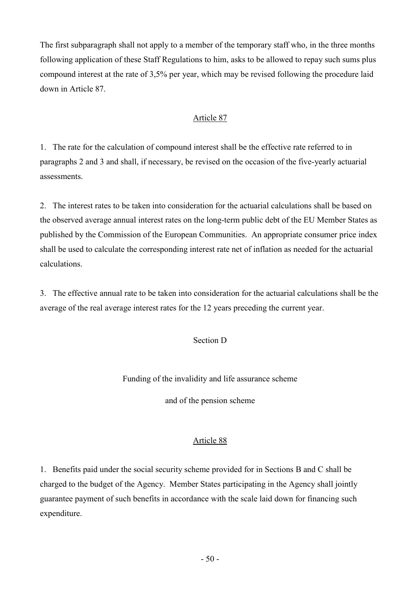The first subparagraph shall not apply to a member of the temporary staff who, in the three months following application of these Staff Regulations to him, asks to be allowed to repay such sums plus compound interest at the rate of 3,5% per year, which may be revised following the procedure laid down in Article 87.

## Article 87

1. The rate for the calculation of compound interest shall be the effective rate referred to in paragraphs 2 and 3 and shall, if necessary, be revised on the occasion of the five-yearly actuarial assessments.

2. The interest rates to be taken into consideration for the actuarial calculations shall be based on the observed average annual interest rates on the long-term public debt of the EU Member States as published by the Commission of the European Communities. An appropriate consumer price index shall be used to calculate the corresponding interest rate net of inflation as needed for the actuarial calculations.

3. The effective annual rate to be taken into consideration for the actuarial calculations shall be the average of the real average interest rates for the 12 years preceding the current year.

## Section D

Funding of the invalidity and life assurance scheme

and of the pension scheme

## Article 88

1. Benefits paid under the social security scheme provided for in Sections B and C shall be charged to the budget of the Agency. Member States participating in the Agency shall jointly guarantee payment of such benefits in accordance with the scale laid down for financing such expenditure.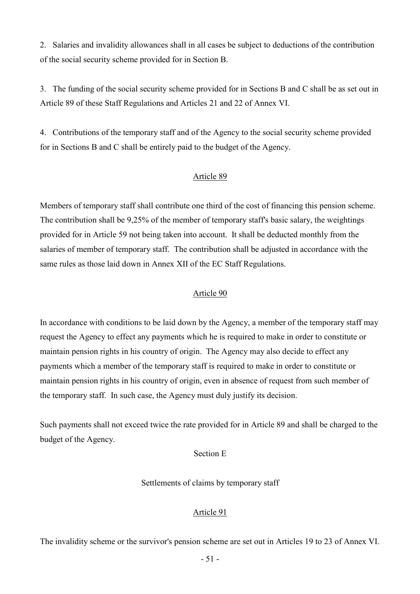2. Salaries and invalidity allowances shall in all cases be subject to deductions of the contribution of the social security scheme provided for in Section B.

3. The funding of the social security scheme provided for in Sections B and C shall be as set out in Article 89 of these Staff Regulations and Articles 21 and 22 of Annex VI.

4. Contributions of the temporary staff and of the Agency to the social security scheme provided for in Sections B and C shall be entirely paid to the budget of the Agency.

### Article 89

Members of temporary staff shall contribute one third of the cost of financing this pension scheme. The contribution shall be 9,25% of the member of temporary staff's basic salary, the weightings provided for in Article 59 not being taken into account. It shall be deducted monthly from the salaries of member of temporary staff. The contribution shall be adjusted in accordance with the same rules as those laid down in Annex XII of the EC Staff Regulations.

### Article 90

In accordance with conditions to be laid down by the Agency, a member of the temporary staff may request the Agency to effect any payments which he is required to make in order to constitute or maintain pension rights in his country of origin. The Agency may also decide to effect any payments which a member of the temporary staff is required to make in order to constitute or maintain pension rights in his country of origin, even in absence of request from such member of the temporary staff. In such case, the Agency must duly justify its decision.

Such payments shall not exceed twice the rate provided for in Article 89 and shall be charged to the budget of the Agency.

### Section E

Settlements of claims by temporary staff

### Article 91

The invalidity scheme or the survivor's pension scheme are set out in Articles 19 to 23 of Annex VI.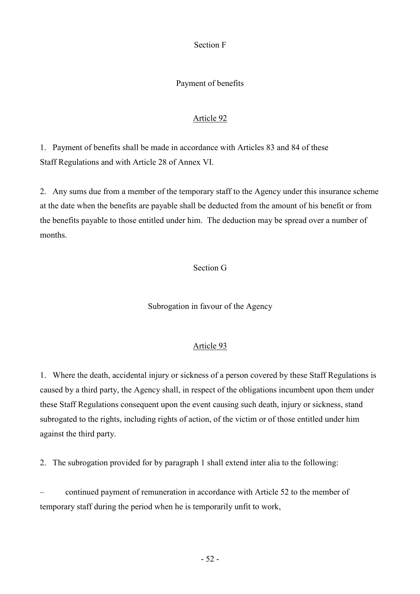Section F

# Payment of benefits

# Article 92

1. Payment of benefits shall be made in accordance with Articles 83 and 84 of these Staff Regulations and with Article 28 of Annex VI.

2. Any sums due from a member of the temporary staff to the Agency under this insurance scheme at the date when the benefits are payable shall be deducted from the amount of his benefit or from the benefits payable to those entitled under him. The deduction may be spread over a number of months.

# Section G

Subrogation in favour of the Agency

## Article 93

1. Where the death, accidental injury or sickness of a person covered by these Staff Regulations is caused by a third party, the Agency shall, in respect of the obligations incumbent upon them under these Staff Regulations consequent upon the event causing such death, injury or sickness, stand subrogated to the rights, including rights of action, of the victim or of those entitled under him against the third party.

2. The subrogation provided for by paragraph 1 shall extend inter alia to the following:

– continued payment of remuneration in accordance with Article 52 to the member of temporary staff during the period when he is temporarily unfit to work,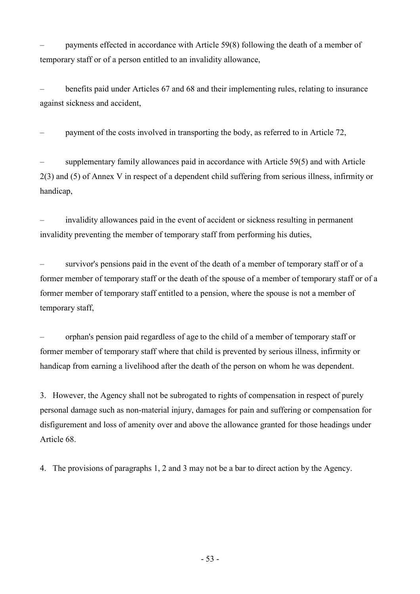– payments effected in accordance with Article 59(8) following the death of a member of temporary staff or of a person entitled to an invalidity allowance,

– benefits paid under Articles 67 and 68 and their implementing rules, relating to insurance against sickness and accident,

– payment of the costs involved in transporting the body, as referred to in Article 72,

supplementary family allowances paid in accordance with Article 59(5) and with Article 2(3) and (5) of Annex V in respect of a dependent child suffering from serious illness, infirmity or handicap,

– invalidity allowances paid in the event of accident or sickness resulting in permanent invalidity preventing the member of temporary staff from performing his duties,

– survivor's pensions paid in the event of the death of a member of temporary staff or of a former member of temporary staff or the death of the spouse of a member of temporary staff or of a former member of temporary staff entitled to a pension, where the spouse is not a member of temporary staff,

– orphan's pension paid regardless of age to the child of a member of temporary staff or former member of temporary staff where that child is prevented by serious illness, infirmity or handicap from earning a livelihood after the death of the person on whom he was dependent.

3. However, the Agency shall not be subrogated to rights of compensation in respect of purely personal damage such as non-material injury, damages for pain and suffering or compensation for disfigurement and loss of amenity over and above the allowance granted for those headings under Article 68.

4. The provisions of paragraphs 1, 2 and 3 may not be a bar to direct action by the Agency.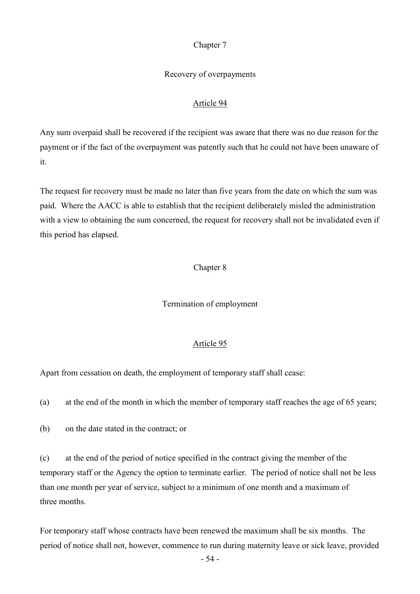### Chapter 7

### Recovery of overpayments

### Article 94

Any sum overpaid shall be recovered if the recipient was aware that there was no due reason for the payment or if the fact of the overpayment was patently such that he could not have been unaware of it.

The request for recovery must be made no later than five years from the date on which the sum was paid. Where the AACC is able to establish that the recipient deliberately misled the administration with a view to obtaining the sum concerned, the request for recovery shall not be invalidated even if this period has elapsed.

### Chapter 8

### Termination of employment

#### Article 95

Apart from cessation on death, the employment of temporary staff shall cease:

(a) at the end of the month in which the member of temporary staff reaches the age of 65 years;

(b) on the date stated in the contract; or

(c) at the end of the period of notice specified in the contract giving the member of the temporary staff or the Agency the option to terminate earlier. The period of notice shall not be less than one month per year of service, subject to a minimum of one month and a maximum of three months.

For temporary staff whose contracts have been renewed the maximum shall be six months. The period of notice shall not, however, commence to run during maternity leave or sick leave, provided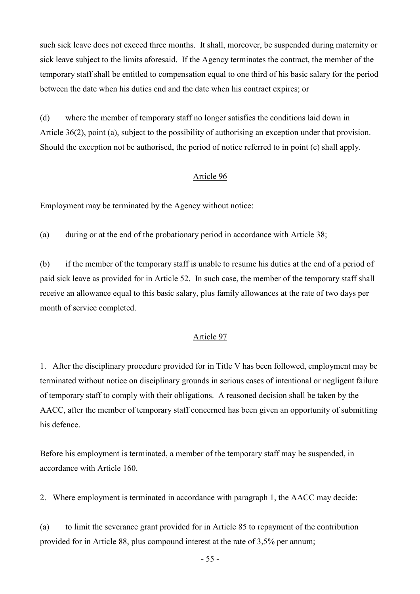such sick leave does not exceed three months. It shall, moreover, be suspended during maternity or sick leave subject to the limits aforesaid. If the Agency terminates the contract, the member of the temporary staff shall be entitled to compensation equal to one third of his basic salary for the period between the date when his duties end and the date when his contract expires; or

(d) where the member of temporary staff no longer satisfies the conditions laid down in Article 36(2), point (a), subject to the possibility of authorising an exception under that provision. Should the exception not be authorised, the period of notice referred to in point (c) shall apply.

### Article 96

Employment may be terminated by the Agency without notice:

(a) during or at the end of the probationary period in accordance with Article 38;

(b) if the member of the temporary staff is unable to resume his duties at the end of a period of paid sick leave as provided for in Article 52. In such case, the member of the temporary staff shall receive an allowance equal to this basic salary, plus family allowances at the rate of two days per month of service completed.

### Article 97

1. After the disciplinary procedure provided for in Title V has been followed, employment may be terminated without notice on disciplinary grounds in serious cases of intentional or negligent failure of temporary staff to comply with their obligations. A reasoned decision shall be taken by the AACC, after the member of temporary staff concerned has been given an opportunity of submitting his defence.

Before his employment is terminated, a member of the temporary staff may be suspended, in accordance with Article 160.

2. Where employment is terminated in accordance with paragraph 1, the AACC may decide:

(a) to limit the severance grant provided for in Article 85 to repayment of the contribution provided for in Article 88, plus compound interest at the rate of 3,5% per annum;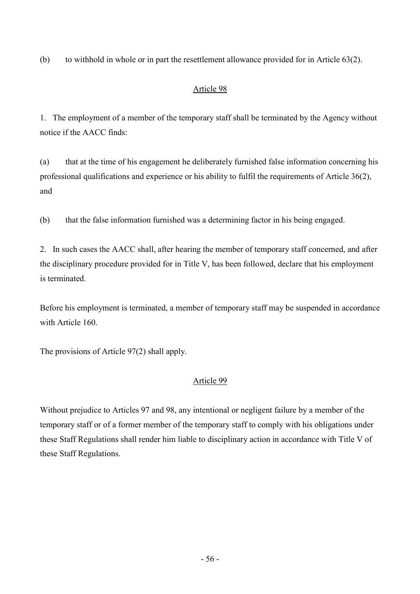(b) to withhold in whole or in part the resettlement allowance provided for in Article 63(2).

# Article 98

1. The employment of a member of the temporary staff shall be terminated by the Agency without notice if the AACC finds:

(a) that at the time of his engagement he deliberately furnished false information concerning his professional qualifications and experience or his ability to fulfil the requirements of Article 36(2), and

(b) that the false information furnished was a determining factor in his being engaged.

2. In such cases the AACC shall, after hearing the member of temporary staff concerned, and after the disciplinary procedure provided for in Title V, has been followed, declare that his employment is terminated.

Before his employment is terminated, a member of temporary staff may be suspended in accordance with Article 160.

The provisions of Article 97(2) shall apply.

# Article 99

Without prejudice to Articles 97 and 98, any intentional or negligent failure by a member of the temporary staff or of a former member of the temporary staff to comply with his obligations under these Staff Regulations shall render him liable to disciplinary action in accordance with Title V of these Staff Regulations.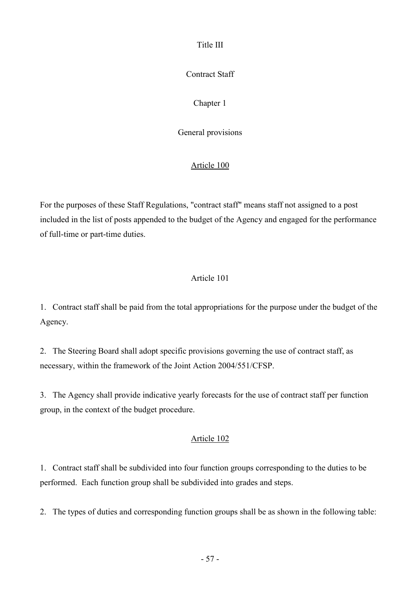Title III

Contract Staff

Chapter 1

General provisions

# Article 100

For the purposes of these Staff Regulations, "contract staff" means staff not assigned to a post included in the list of posts appended to the budget of the Agency and engaged for the performance of full-time or part-time duties.

# Article 101

1. Contract staff shall be paid from the total appropriations for the purpose under the budget of the Agency.

2. The Steering Board shall adopt specific provisions governing the use of contract staff, as necessary, within the framework of the Joint Action 2004/551/CFSP.

3. The Agency shall provide indicative yearly forecasts for the use of contract staff per function group, in the context of the budget procedure.

# Article 102

1. Contract staff shall be subdivided into four function groups corresponding to the duties to be performed. Each function group shall be subdivided into grades and steps.

2. The types of duties and corresponding function groups shall be as shown in the following table: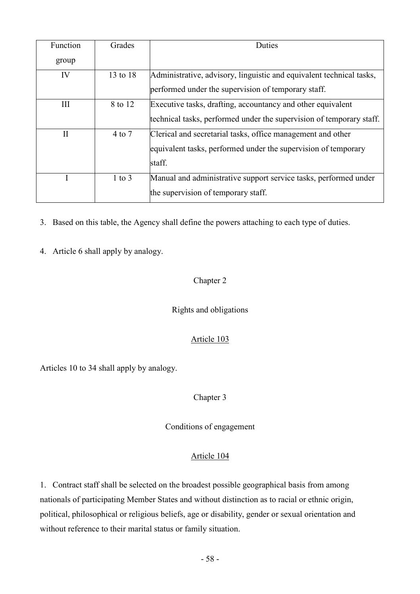| Function     | Grades     | Duties                                                               |
|--------------|------------|----------------------------------------------------------------------|
| group        |            |                                                                      |
| IV           | 13 to 18   | Administrative, advisory, linguistic and equivalent technical tasks, |
|              |            | performed under the supervision of temporary staff.                  |
| III          | 8 to 12    | Executive tasks, drafting, accountancy and other equivalent          |
|              |            | technical tasks, performed under the supervision of temporary staff. |
| $\mathbf{I}$ | $4$ to $7$ | Clerical and secretarial tasks, office management and other          |
|              |            | equivalent tasks, performed under the supervision of temporary       |
|              |            | staff.                                                               |
|              | $1$ to $3$ | Manual and administrative support service tasks, performed under     |
|              |            | the supervision of temporary staff.                                  |

3. Based on this table, the Agency shall define the powers attaching to each type of duties.

4. Article 6 shall apply by analogy.

# Chapter 2

# Rights and obligations

# Article 103

Articles 10 to 34 shall apply by analogy.

Chapter 3

Conditions of engagement

# Article 104

1. Contract staff shall be selected on the broadest possible geographical basis from among nationals of participating Member States and without distinction as to racial or ethnic origin, political, philosophical or religious beliefs, age or disability, gender or sexual orientation and without reference to their marital status or family situation.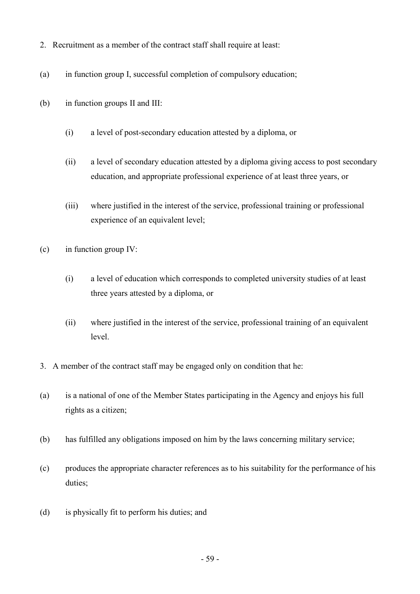- 2. Recruitment as a member of the contract staff shall require at least:
- (a) in function group I, successful completion of compulsory education;
- (b) in function groups II and III:
	- (i) a level of post-secondary education attested by a diploma, or
	- (ii) a level of secondary education attested by a diploma giving access to post secondary education, and appropriate professional experience of at least three years, or
	- (iii) where justified in the interest of the service, professional training or professional experience of an equivalent level:
- (c) in function group IV:
	- (i) a level of education which corresponds to completed university studies of at least three years attested by a diploma, or
	- (ii) where justified in the interest of the service, professional training of an equivalent level.
- 3. A member of the contract staff may be engaged only on condition that he:
- (a) is a national of one of the Member States participating in the Agency and enjoys his full rights as a citizen;
- (b) has fulfilled any obligations imposed on him by the laws concerning military service;
- (c) produces the appropriate character references as to his suitability for the performance of his duties;
- (d) is physically fit to perform his duties; and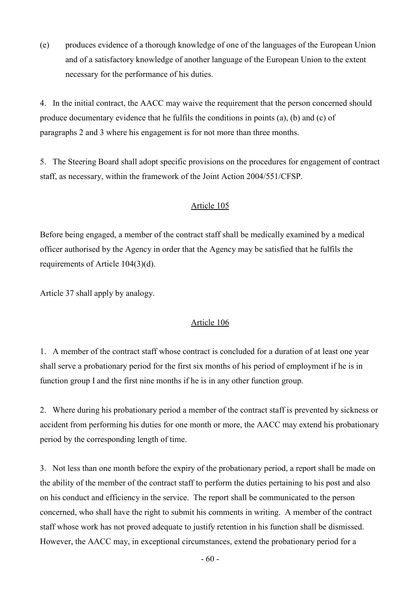(e) produces evidence of a thorough knowledge of one of the languages of the European Union and of a satisfactory knowledge of another language of the European Union to the extent necessary for the performance of his duties.

4. In the initial contract, the AACC may waive the requirement that the person concerned should produce documentary evidence that he fulfils the conditions in points (a), (b) and (c) of paragraphs 2 and 3 where his engagement is for not more than three months.

5. The Steering Board shall adopt specific provisions on the procedures for engagement of contract staff, as necessary, within the framework of the Joint Action 2004/551/CFSP.

## Article 105

Before being engaged, a member of the contract staff shall be medically examined by a medical officer authorised by the Agency in order that the Agency may be satisfied that he fulfils the requirements of Article 104(3)(d).

Article 37 shall apply by analogy.

## Article 106

1. A member of the contract staff whose contract is concluded for a duration of at least one year shall serve a probationary period for the first six months of his period of employment if he is in function group I and the first nine months if he is in any other function group.

2. Where during his probationary period a member of the contract staff is prevented by sickness or accident from performing his duties for one month or more, the AACC may extend his probationary period by the corresponding length of time.

3. Not less than one month before the expiry of the probationary period, a report shall be made on the ability of the member of the contract staff to perform the duties pertaining to his post and also on his conduct and efficiency in the service. The report shall be communicated to the person concerned, who shall have the right to submit his comments in writing. A member of the contract staff whose work has not proved adequate to justify retention in his function shall be dismissed. However, the AACC may, in exceptional circumstances, extend the probationary period for a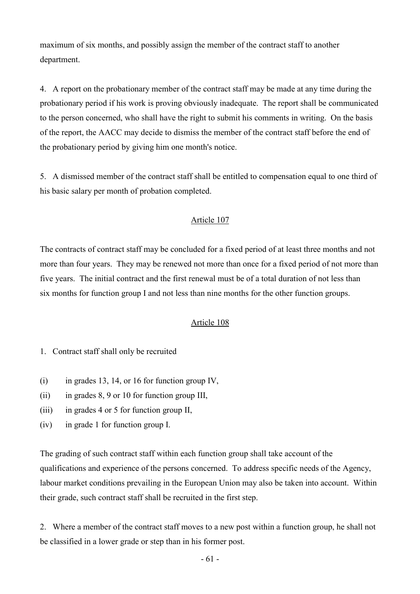maximum of six months, and possibly assign the member of the contract staff to another department.

4. A report on the probationary member of the contract staff may be made at any time during the probationary period if his work is proving obviously inadequate. The report shall be communicated to the person concerned, who shall have the right to submit his comments in writing. On the basis of the report, the AACC may decide to dismiss the member of the contract staff before the end of the probationary period by giving him one month's notice.

5. A dismissed member of the contract staff shall be entitled to compensation equal to one third of his basic salary per month of probation completed.

### Article 107

The contracts of contract staff may be concluded for a fixed period of at least three months and not more than four years. They may be renewed not more than once for a fixed period of not more than five years. The initial contract and the first renewal must be of a total duration of not less than six months for function group I and not less than nine months for the other function groups.

### Article 108

- 1. Contract staff shall only be recruited
- (i) in grades 13, 14, or 16 for function group IV,
- (ii) in grades 8, 9 or 10 for function group III,
- (iii) in grades 4 or 5 for function group II,
- (iv) in grade 1 for function group I.

The grading of such contract staff within each function group shall take account of the qualifications and experience of the persons concerned. To address specific needs of the Agency, labour market conditions prevailing in the European Union may also be taken into account. Within their grade, such contract staff shall be recruited in the first step.

2. Where a member of the contract staff moves to a new post within a function group, he shall not be classified in a lower grade or step than in his former post.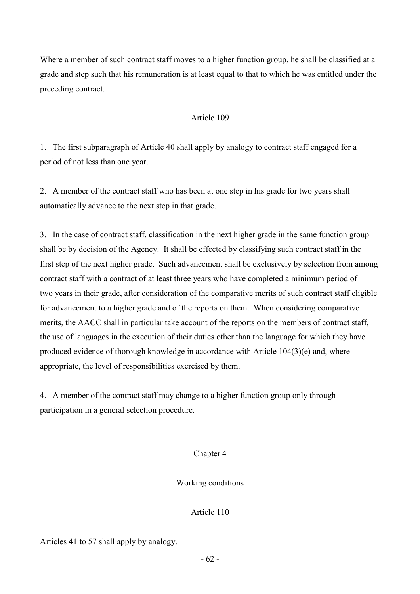Where a member of such contract staff moves to a higher function group, he shall be classified at a grade and step such that his remuneration is at least equal to that to which he was entitled under the preceding contract.

## Article 109

1. The first subparagraph of Article 40 shall apply by analogy to contract staff engaged for a period of not less than one year.

2. A member of the contract staff who has been at one step in his grade for two years shall automatically advance to the next step in that grade.

3. In the case of contract staff, classification in the next higher grade in the same function group shall be by decision of the Agency. It shall be effected by classifying such contract staff in the first step of the next higher grade. Such advancement shall be exclusively by selection from among contract staff with a contract of at least three years who have completed a minimum period of two years in their grade, after consideration of the comparative merits of such contract staff eligible for advancement to a higher grade and of the reports on them. When considering comparative merits, the AACC shall in particular take account of the reports on the members of contract staff, the use of languages in the execution of their duties other than the language for which they have produced evidence of thorough knowledge in accordance with Article 104(3)(e) and, where appropriate, the level of responsibilities exercised by them.

4. A member of the contract staff may change to a higher function group only through participation in a general selection procedure.

## Chapter 4

Working conditions

## Article 110

Articles 41 to 57 shall apply by analogy.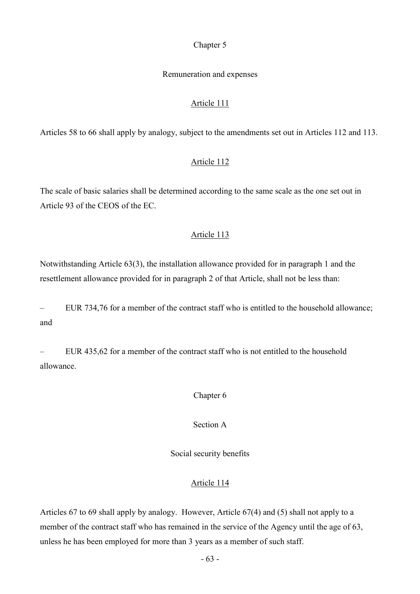### Chapter 5

### Remuneration and expenses

#### Article 111

Articles 58 to 66 shall apply by analogy, subject to the amendments set out in Articles 112 and 113.

### Article 112

The scale of basic salaries shall be determined according to the same scale as the one set out in Article 93 of the CEOS of the EC.

#### Article 113

Notwithstanding Article 63(3), the installation allowance provided for in paragraph 1 and the resettlement allowance provided for in paragraph 2 of that Article, shall not be less than:

– EUR 734,76 for a member of the contract staff who is entitled to the household allowance; and

– EUR 435,62 for a member of the contract staff who is not entitled to the household allowance.

#### Chapter 6

### Section A

Social security benefits

### Article 114

Articles 67 to 69 shall apply by analogy. However, Article 67(4) and (5) shall not apply to a member of the contract staff who has remained in the service of the Agency until the age of 63, unless he has been employed for more than 3 years as a member of such staff.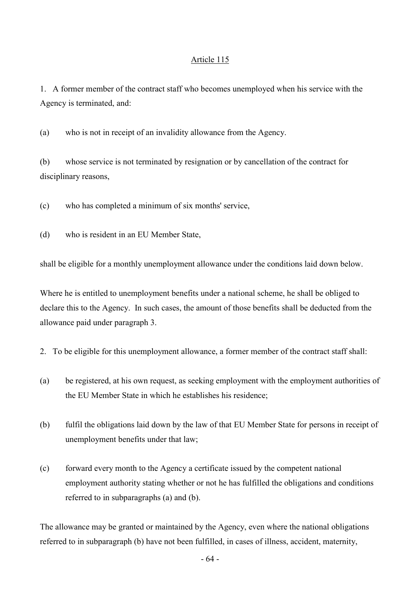1. A former member of the contract staff who becomes unemployed when his service with the Agency is terminated, and:

(a) who is not in receipt of an invalidity allowance from the Agency.

(b) whose service is not terminated by resignation or by cancellation of the contract for disciplinary reasons,

(c) who has completed a minimum of six months' service,

(d) who is resident in an EU Member State,

shall be eligible for a monthly unemployment allowance under the conditions laid down below.

Where he is entitled to unemployment benefits under a national scheme, he shall be obliged to declare this to the Agency. In such cases, the amount of those benefits shall be deducted from the allowance paid under paragraph 3.

- 2. To be eligible for this unemployment allowance, a former member of the contract staff shall:
- (a) be registered, at his own request, as seeking employment with the employment authorities of the EU Member State in which he establishes his residence;
- (b) fulfil the obligations laid down by the law of that EU Member State for persons in receipt of unemployment benefits under that law;
- (c) forward every month to the Agency a certificate issued by the competent national employment authority stating whether or not he has fulfilled the obligations and conditions referred to in subparagraphs (a) and (b).

The allowance may be granted or maintained by the Agency, even where the national obligations referred to in subparagraph (b) have not been fulfilled, in cases of illness, accident, maternity,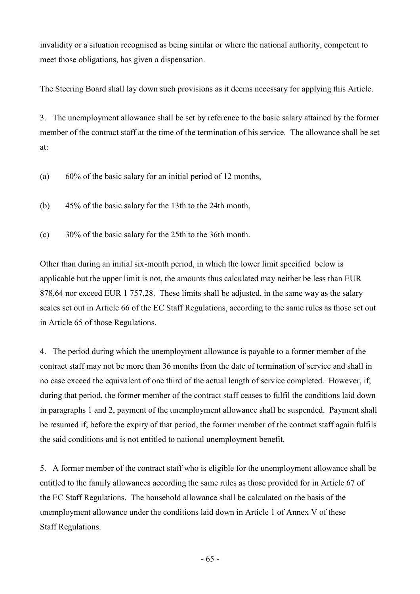invalidity or a situation recognised as being similar or where the national authority, competent to meet those obligations, has given a dispensation.

The Steering Board shall lay down such provisions as it deems necessary for applying this Article.

3. The unemployment allowance shall be set by reference to the basic salary attained by the former member of the contract staff at the time of the termination of his service. The allowance shall be set at:

- (a) 60% of the basic salary for an initial period of 12 months,
- (b) 45% of the basic salary for the 13th to the 24th month,
- (c) 30% of the basic salary for the 25th to the 36th month.

Other than during an initial six-month period, in which the lower limit specified below is applicable but the upper limit is not, the amounts thus calculated may neither be less than EUR 878,64 nor exceed EUR 1 757,28. These limits shall be adjusted, in the same way as the salary scales set out in Article 66 of the EC Staff Regulations, according to the same rules as those set out in Article 65 of those Regulations.

4. The period during which the unemployment allowance is payable to a former member of the contract staff may not be more than 36 months from the date of termination of service and shall in no case exceed the equivalent of one third of the actual length of service completed. However, if, during that period, the former member of the contract staff ceases to fulfil the conditions laid down in paragraphs 1 and 2, payment of the unemployment allowance shall be suspended. Payment shall be resumed if, before the expiry of that period, the former member of the contract staff again fulfils the said conditions and is not entitled to national unemployment benefit.

5. A former member of the contract staff who is eligible for the unemployment allowance shall be entitled to the family allowances according the same rules as those provided for in Article 67 of the EC Staff Regulations. The household allowance shall be calculated on the basis of the unemployment allowance under the conditions laid down in Article 1 of Annex V of these Staff Regulations.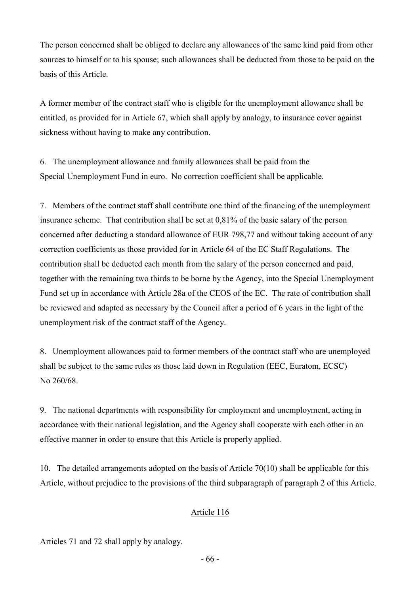The person concerned shall be obliged to declare any allowances of the same kind paid from other sources to himself or to his spouse; such allowances shall be deducted from those to be paid on the basis of this Article.

A former member of the contract staff who is eligible for the unemployment allowance shall be entitled, as provided for in Article 67, which shall apply by analogy, to insurance cover against sickness without having to make any contribution.

6. The unemployment allowance and family allowances shall be paid from the Special Unemployment Fund in euro. No correction coefficient shall be applicable.

7. Members of the contract staff shall contribute one third of the financing of the unemployment insurance scheme. That contribution shall be set at 0,81% of the basic salary of the person concerned after deducting a standard allowance of EUR 798,77 and without taking account of any correction coefficients as those provided for in Article 64 of the EC Staff Regulations. The contribution shall be deducted each month from the salary of the person concerned and paid, together with the remaining two thirds to be borne by the Agency, into the Special Unemployment Fund set up in accordance with Article 28a of the CEOS of the EC. The rate of contribution shall be reviewed and adapted as necessary by the Council after a period of 6 years in the light of the unemployment risk of the contract staff of the Agency.

8. Unemployment allowances paid to former members of the contract staff who are unemployed shall be subject to the same rules as those laid down in Regulation (EEC, Euratom, ECSC) No 260/68.

9. The national departments with responsibility for employment and unemployment, acting in accordance with their national legislation, and the Agency shall cooperate with each other in an effective manner in order to ensure that this Article is properly applied.

10. The detailed arrangements adopted on the basis of Article 70(10) shall be applicable for this Article, without prejudice to the provisions of the third subparagraph of paragraph 2 of this Article.

## Article 116

Articles 71 and 72 shall apply by analogy.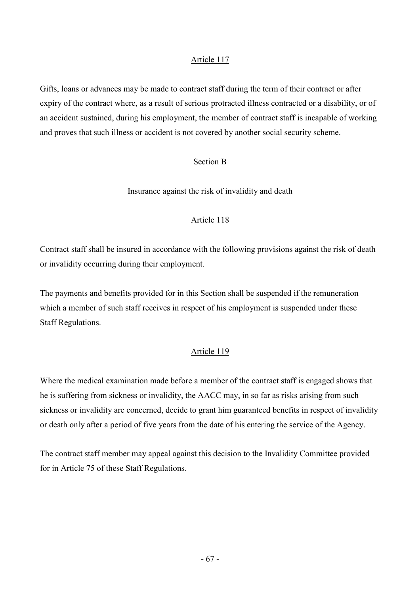Gifts, loans or advances may be made to contract staff during the term of their contract or after expiry of the contract where, as a result of serious protracted illness contracted or a disability, or of an accident sustained, during his employment, the member of contract staff is incapable of working and proves that such illness or accident is not covered by another social security scheme.

## Section B

Insurance against the risk of invalidity and death

## Article 118

Contract staff shall be insured in accordance with the following provisions against the risk of death or invalidity occurring during their employment.

The payments and benefits provided for in this Section shall be suspended if the remuneration which a member of such staff receives in respect of his employment is suspended under these Staff Regulations.

## Article 119

Where the medical examination made before a member of the contract staff is engaged shows that he is suffering from sickness or invalidity, the AACC may, in so far as risks arising from such sickness or invalidity are concerned, decide to grant him guaranteed benefits in respect of invalidity or death only after a period of five years from the date of his entering the service of the Agency.

The contract staff member may appeal against this decision to the Invalidity Committee provided for in Article 75 of these Staff Regulations.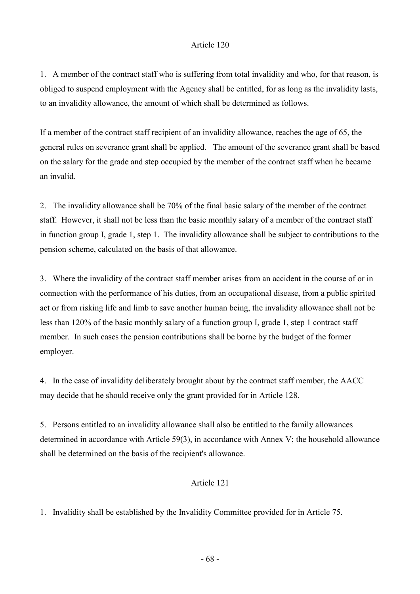1. A member of the contract staff who is suffering from total invalidity and who, for that reason, is obliged to suspend employment with the Agency shall be entitled, for as long as the invalidity lasts, to an invalidity allowance, the amount of which shall be determined as follows.

If a member of the contract staff recipient of an invalidity allowance, reaches the age of 65, the general rules on severance grant shall be applied. The amount of the severance grant shall be based on the salary for the grade and step occupied by the member of the contract staff when he became an invalid.

2. The invalidity allowance shall be 70% of the final basic salary of the member of the contract staff. However, it shall not be less than the basic monthly salary of a member of the contract staff in function group I, grade 1, step 1. The invalidity allowance shall be subject to contributions to the pension scheme, calculated on the basis of that allowance.

3. Where the invalidity of the contract staff member arises from an accident in the course of or in connection with the performance of his duties, from an occupational disease, from a public spirited act or from risking life and limb to save another human being, the invalidity allowance shall not be less than 120% of the basic monthly salary of a function group I, grade 1, step 1 contract staff member. In such cases the pension contributions shall be borne by the budget of the former employer.

4. In the case of invalidity deliberately brought about by the contract staff member, the AACC may decide that he should receive only the grant provided for in Article 128.

5. Persons entitled to an invalidity allowance shall also be entitled to the family allowances determined in accordance with Article 59(3), in accordance with Annex V; the household allowance shall be determined on the basis of the recipient's allowance.

## Article 121

1. Invalidity shall be established by the Invalidity Committee provided for in Article 75.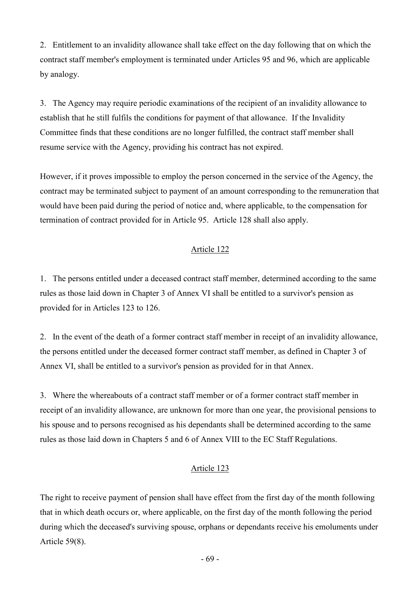2. Entitlement to an invalidity allowance shall take effect on the day following that on which the contract staff member's employment is terminated under Articles 95 and 96, which are applicable by analogy.

3. The Agency may require periodic examinations of the recipient of an invalidity allowance to establish that he still fulfils the conditions for payment of that allowance. If the Invalidity Committee finds that these conditions are no longer fulfilled, the contract staff member shall resume service with the Agency, providing his contract has not expired.

However, if it proves impossible to employ the person concerned in the service of the Agency, the contract may be terminated subject to payment of an amount corresponding to the remuneration that would have been paid during the period of notice and, where applicable, to the compensation for termination of contract provided for in Article 95. Article 128 shall also apply.

## Article 122

1. The persons entitled under a deceased contract staff member, determined according to the same rules as those laid down in Chapter 3 of Annex VI shall be entitled to a survivor's pension as provided for in Articles 123 to 126.

2. In the event of the death of a former contract staff member in receipt of an invalidity allowance, the persons entitled under the deceased former contract staff member, as defined in Chapter 3 of Annex VI, shall be entitled to a survivor's pension as provided for in that Annex.

3. Where the whereabouts of a contract staff member or of a former contract staff member in receipt of an invalidity allowance, are unknown for more than one year, the provisional pensions to his spouse and to persons recognised as his dependants shall be determined according to the same rules as those laid down in Chapters 5 and 6 of Annex VIII to the EC Staff Regulations.

## Article 123

The right to receive payment of pension shall have effect from the first day of the month following that in which death occurs or, where applicable, on the first day of the month following the period during which the deceased's surviving spouse, orphans or dependants receive his emoluments under Article 59(8).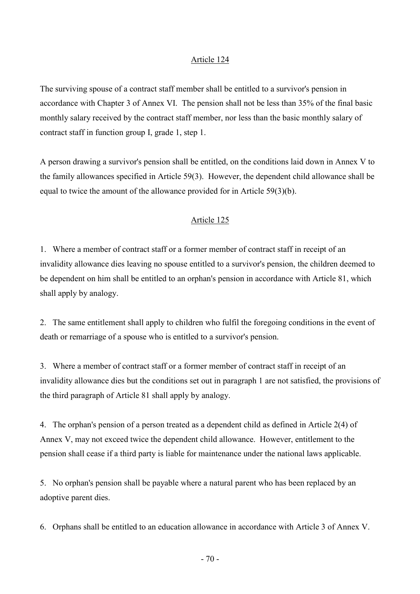The surviving spouse of a contract staff member shall be entitled to a survivor's pension in accordance with Chapter 3 of Annex VI. The pension shall not be less than 35% of the final basic monthly salary received by the contract staff member, nor less than the basic monthly salary of contract staff in function group I, grade 1, step 1.

A person drawing a survivor's pension shall be entitled, on the conditions laid down in Annex V to the family allowances specified in Article 59(3). However, the dependent child allowance shall be equal to twice the amount of the allowance provided for in Article 59(3)(b).

### Article 125

1. Where a member of contract staff or a former member of contract staff in receipt of an invalidity allowance dies leaving no spouse entitled to a survivor's pension, the children deemed to be dependent on him shall be entitled to an orphan's pension in accordance with Article 81, which shall apply by analogy.

2. The same entitlement shall apply to children who fulfil the foregoing conditions in the event of death or remarriage of a spouse who is entitled to a survivor's pension.

3. Where a member of contract staff or a former member of contract staff in receipt of an invalidity allowance dies but the conditions set out in paragraph 1 are not satisfied, the provisions of the third paragraph of Article 81 shall apply by analogy.

4. The orphan's pension of a person treated as a dependent child as defined in Article 2(4) of Annex V, may not exceed twice the dependent child allowance. However, entitlement to the pension shall cease if a third party is liable for maintenance under the national laws applicable.

5. No orphan's pension shall be payable where a natural parent who has been replaced by an adoptive parent dies.

6. Orphans shall be entitled to an education allowance in accordance with Article 3 of Annex V.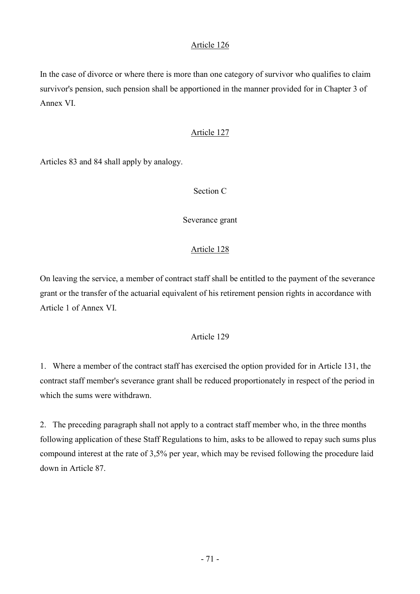In the case of divorce or where there is more than one category of survivor who qualifies to claim survivor's pension, such pension shall be apportioned in the manner provided for in Chapter 3 of Annex VI.

### Article 127

Articles 83 and 84 shall apply by analogy.

### Section C

Severance grant

## Article 128

On leaving the service, a member of contract staff shall be entitled to the payment of the severance grant or the transfer of the actuarial equivalent of his retirement pension rights in accordance with Article 1 of Annex VI.

## Article 129

1. Where a member of the contract staff has exercised the option provided for in Article 131, the contract staff member's severance grant shall be reduced proportionately in respect of the period in which the sums were withdrawn.

2. The preceding paragraph shall not apply to a contract staff member who, in the three months following application of these Staff Regulations to him, asks to be allowed to repay such sums plus compound interest at the rate of 3,5% per year, which may be revised following the procedure laid down in Article 87.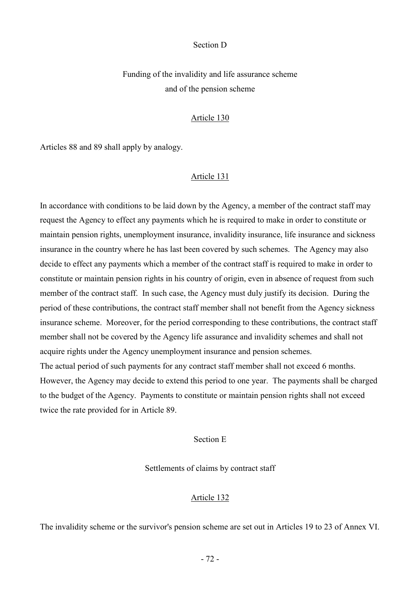#### Section D

Funding of the invalidity and life assurance scheme and of the pension scheme

#### Article 130

Articles 88 and 89 shall apply by analogy.

#### Article 131

In accordance with conditions to be laid down by the Agency, a member of the contract staff may request the Agency to effect any payments which he is required to make in order to constitute or maintain pension rights, unemployment insurance, invalidity insurance, life insurance and sickness insurance in the country where he has last been covered by such schemes. The Agency may also decide to effect any payments which a member of the contract staff is required to make in order to constitute or maintain pension rights in his country of origin, even in absence of request from such member of the contract staff. In such case, the Agency must duly justify its decision. During the period of these contributions, the contract staff member shall not benefit from the Agency sickness insurance scheme. Moreover, for the period corresponding to these contributions, the contract staff member shall not be covered by the Agency life assurance and invalidity schemes and shall not acquire rights under the Agency unemployment insurance and pension schemes. The actual period of such payments for any contract staff member shall not exceed 6 months. However, the Agency may decide to extend this period to one year. The payments shall be charged

to the budget of the Agency. Payments to constitute or maintain pension rights shall not exceed twice the rate provided for in Article 89.

### Section E

Settlements of claims by contract staff

#### Article 132

The invalidity scheme or the survivor's pension scheme are set out in Articles 19 to 23 of Annex VI.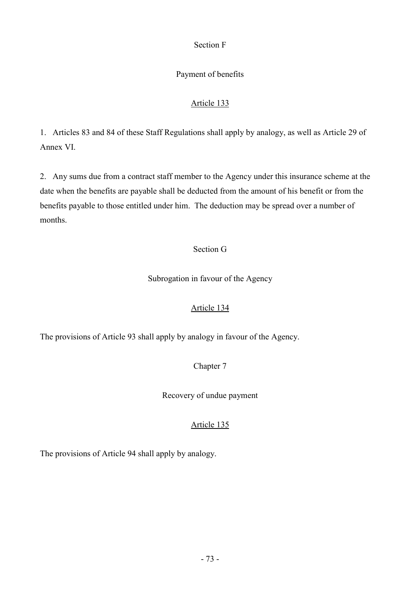# Section F

# Payment of benefits

# Article 133

1. Articles 83 and 84 of these Staff Regulations shall apply by analogy, as well as Article 29 of Annex VI.

2. Any sums due from a contract staff member to the Agency under this insurance scheme at the date when the benefits are payable shall be deducted from the amount of his benefit or from the benefits payable to those entitled under him. The deduction may be spread over a number of months.

# Section G

Subrogation in favour of the Agency

# Article 134

The provisions of Article 93 shall apply by analogy in favour of the Agency.

# Chapter 7

Recovery of undue payment

# Article 135

The provisions of Article 94 shall apply by analogy.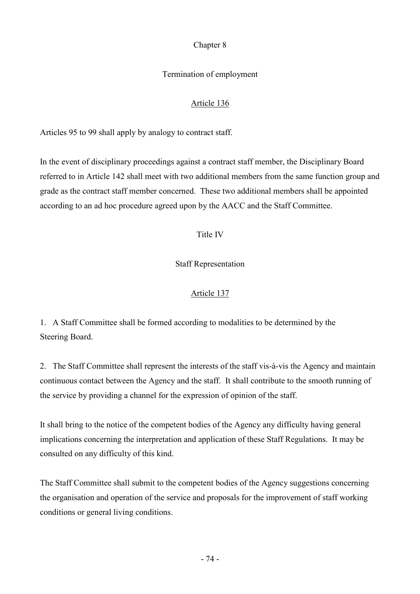## Chapter 8

# Termination of employment

# Article 136

Articles 95 to 99 shall apply by analogy to contract staff.

In the event of disciplinary proceedings against a contract staff member, the Disciplinary Board referred to in Article 142 shall meet with two additional members from the same function group and grade as the contract staff member concerned. These two additional members shall be appointed according to an ad hoc procedure agreed upon by the AACC and the Staff Committee.

# Title IV

# Staff Representation

# Article 137

1. A Staff Committee shall be formed according to modalities to be determined by the Steering Board.

2. The Staff Committee shall represent the interests of the staff vis-à-vis the Agency and maintain continuous contact between the Agency and the staff. It shall contribute to the smooth running of the service by providing a channel for the expression of opinion of the staff.

It shall bring to the notice of the competent bodies of the Agency any difficulty having general implications concerning the interpretation and application of these Staff Regulations. It may be consulted on any difficulty of this kind.

The Staff Committee shall submit to the competent bodies of the Agency suggestions concerning the organisation and operation of the service and proposals for the improvement of staff working conditions or general living conditions.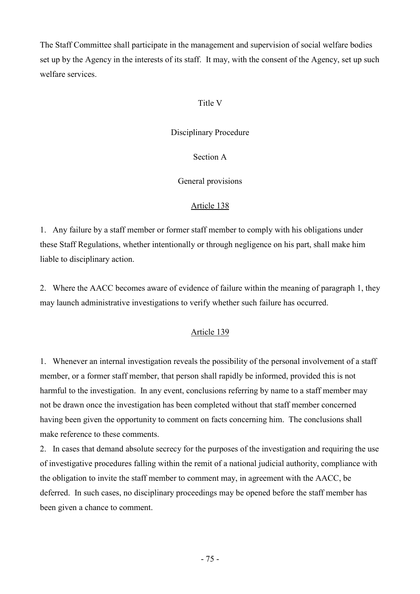The Staff Committee shall participate in the management and supervision of social welfare bodies set up by the Agency in the interests of its staff. It may, with the consent of the Agency, set up such welfare services.

## Title V

## Disciplinary Procedure

Section A

General provisions

## Article 138

1. Any failure by a staff member or former staff member to comply with his obligations under these Staff Regulations, whether intentionally or through negligence on his part, shall make him liable to disciplinary action.

2. Where the AACC becomes aware of evidence of failure within the meaning of paragraph 1, they may launch administrative investigations to verify whether such failure has occurred.

## Article 139

1. Whenever an internal investigation reveals the possibility of the personal involvement of a staff member, or a former staff member, that person shall rapidly be informed, provided this is not harmful to the investigation. In any event, conclusions referring by name to a staff member may not be drawn once the investigation has been completed without that staff member concerned having been given the opportunity to comment on facts concerning him. The conclusions shall make reference to these comments.

2. In cases that demand absolute secrecy for the purposes of the investigation and requiring the use of investigative procedures falling within the remit of a national judicial authority, compliance with the obligation to invite the staff member to comment may, in agreement with the AACC, be deferred. In such cases, no disciplinary proceedings may be opened before the staff member has been given a chance to comment.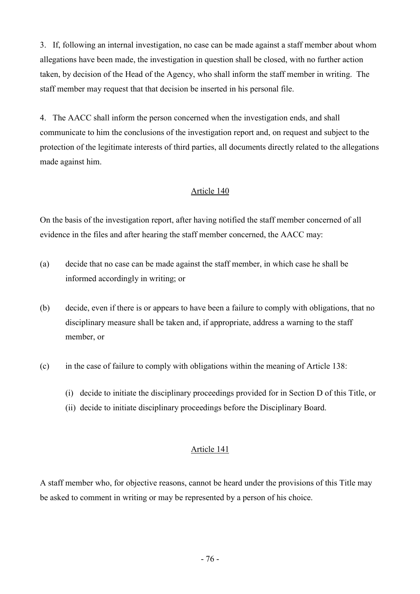3. If, following an internal investigation, no case can be made against a staff member about whom allegations have been made, the investigation in question shall be closed, with no further action taken, by decision of the Head of the Agency, who shall inform the staff member in writing. The staff member may request that that decision be inserted in his personal file.

4. The AACC shall inform the person concerned when the investigation ends, and shall communicate to him the conclusions of the investigation report and, on request and subject to the protection of the legitimate interests of third parties, all documents directly related to the allegations made against him.

## Article 140

On the basis of the investigation report, after having notified the staff member concerned of all evidence in the files and after hearing the staff member concerned, the AACC may:

- (a) decide that no case can be made against the staff member, in which case he shall be informed accordingly in writing; or
- (b) decide, even if there is or appears to have been a failure to comply with obligations, that no disciplinary measure shall be taken and, if appropriate, address a warning to the staff member, or
- (c) in the case of failure to comply with obligations within the meaning of Article 138:
	- (i) decide to initiate the disciplinary proceedings provided for in Section D of this Title, or
	- (ii) decide to initiate disciplinary proceedings before the Disciplinary Board.

## Article 141

A staff member who, for objective reasons, cannot be heard under the provisions of this Title may be asked to comment in writing or may be represented by a person of his choice.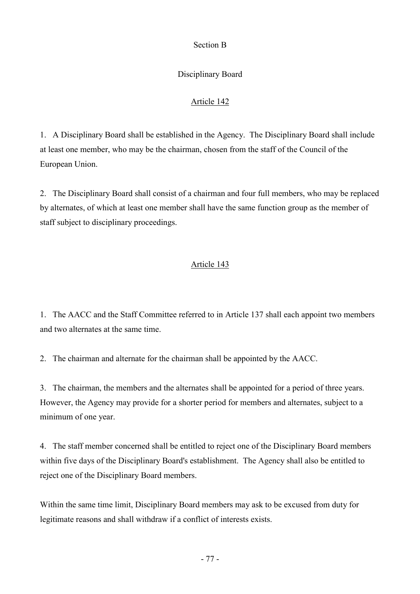## Section B

# Disciplinary Board

# Article 142

1. A Disciplinary Board shall be established in the Agency. The Disciplinary Board shall include at least one member, who may be the chairman, chosen from the staff of the Council of the European Union.

2. The Disciplinary Board shall consist of a chairman and four full members, who may be replaced by alternates, of which at least one member shall have the same function group as the member of staff subject to disciplinary proceedings.

## Article 143

1. The AACC and the Staff Committee referred to in Article 137 shall each appoint two members and two alternates at the same time.

2. The chairman and alternate for the chairman shall be appointed by the AACC.

3. The chairman, the members and the alternates shall be appointed for a period of three years. However, the Agency may provide for a shorter period for members and alternates, subject to a minimum of one year.

4. The staff member concerned shall be entitled to reject one of the Disciplinary Board members within five days of the Disciplinary Board's establishment. The Agency shall also be entitled to reject one of the Disciplinary Board members.

Within the same time limit, Disciplinary Board members may ask to be excused from duty for legitimate reasons and shall withdraw if a conflict of interests exists.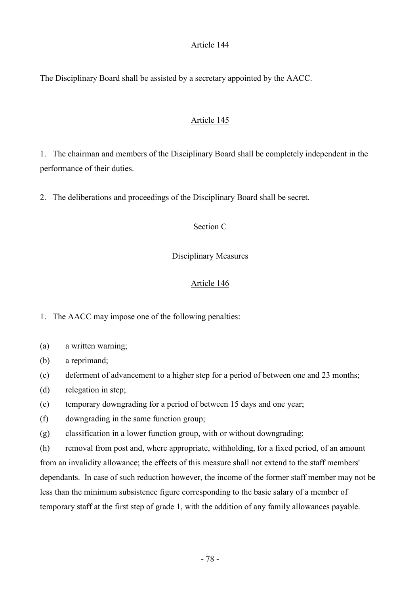## Article 144

The Disciplinary Board shall be assisted by a secretary appointed by the AACC.

## Article 145

1. The chairman and members of the Disciplinary Board shall be completely independent in the performance of their duties.

2. The deliberations and proceedings of the Disciplinary Board shall be secret.

## Section C

## Disciplinary Measures

# Article 146

1. The AACC may impose one of the following penalties:

- (a) a written warning;
- (b) a reprimand;
- (c) deferment of advancement to a higher step for a period of between one and 23 months;
- (d) relegation in step;
- (e) temporary downgrading for a period of between 15 days and one year;
- (f) downgrading in the same function group;
- (g) classification in a lower function group, with or without downgrading;

(h) removal from post and, where appropriate, withholding, for a fixed period, of an amount from an invalidity allowance; the effects of this measure shall not extend to the staff members' dependants. In case of such reduction however, the income of the former staff member may not be less than the minimum subsistence figure corresponding to the basic salary of a member of temporary staff at the first step of grade 1, with the addition of any family allowances payable.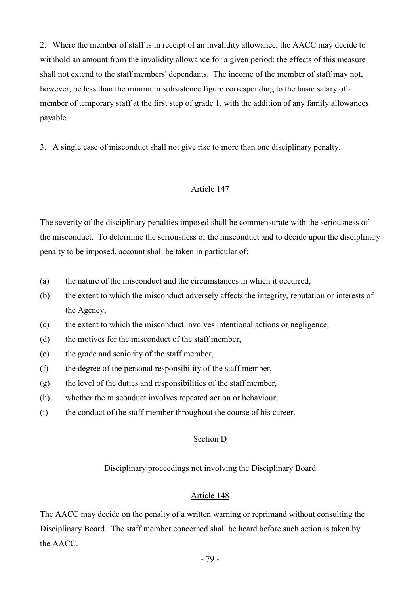2. Where the member of staff is in receipt of an invalidity allowance, the AACC may decide to withhold an amount from the invalidity allowance for a given period; the effects of this measure shall not extend to the staff members' dependants. The income of the member of staff may not, however, be less than the minimum subsistence figure corresponding to the basic salary of a member of temporary staff at the first step of grade 1, with the addition of any family allowances payable.

3. A single case of misconduct shall not give rise to more than one disciplinary penalty.

## Article 147

The severity of the disciplinary penalties imposed shall be commensurate with the seriousness of the misconduct. To determine the seriousness of the misconduct and to decide upon the disciplinary penalty to be imposed, account shall be taken in particular of:

- (a) the nature of the misconduct and the circumstances in which it occurred,
- (b) the extent to which the misconduct adversely affects the integrity, reputation or interests of the Agency,
- (c) the extent to which the misconduct involves intentional actions or negligence,
- (d) the motives for the misconduct of the staff member,
- (e) the grade and seniority of the staff member,
- (f) the degree of the personal responsibility of the staff member,
- (g) the level of the duties and responsibilities of the staff member,
- (h) whether the misconduct involves repeated action or behaviour,
- (i) the conduct of the staff member throughout the course of his career.

## Section D

Disciplinary proceedings not involving the Disciplinary Board

## Article 148

The AACC may decide on the penalty of a written warning or reprimand without consulting the Disciplinary Board. The staff member concerned shall be heard before such action is taken by the AACC.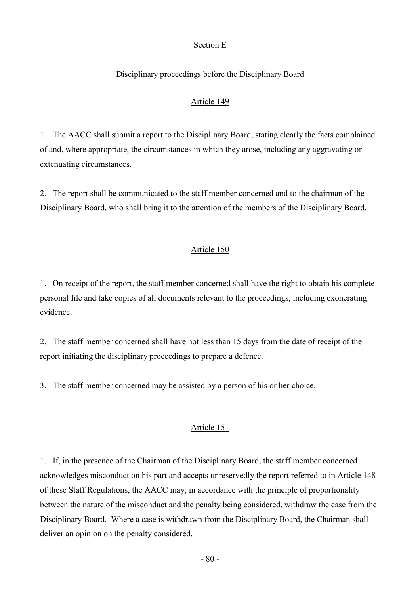### Section E

### Disciplinary proceedings before the Disciplinary Board

### Article 149

1. The AACC shall submit a report to the Disciplinary Board, stating clearly the facts complained of and, where appropriate, the circumstances in which they arose, including any aggravating or extenuating circumstances.

2. The report shall be communicated to the staff member concerned and to the chairman of the Disciplinary Board, who shall bring it to the attention of the members of the Disciplinary Board.

### Article 150

1. On receipt of the report, the staff member concerned shall have the right to obtain his complete personal file and take copies of all documents relevant to the proceedings, including exonerating evidence.

2. The staff member concerned shall have not less than 15 days from the date of receipt of the report initiating the disciplinary proceedings to prepare a defence.

3. The staff member concerned may be assisted by a person of his or her choice.

### Article 151

1. If, in the presence of the Chairman of the Disciplinary Board, the staff member concerned acknowledges misconduct on his part and accepts unreservedly the report referred to in Article 148 of these Staff Regulations, the AACC may, in accordance with the principle of proportionality between the nature of the misconduct and the penalty being considered, withdraw the case from the Disciplinary Board. Where a case is withdrawn from the Disciplinary Board, the Chairman shall deliver an opinion on the penalty considered.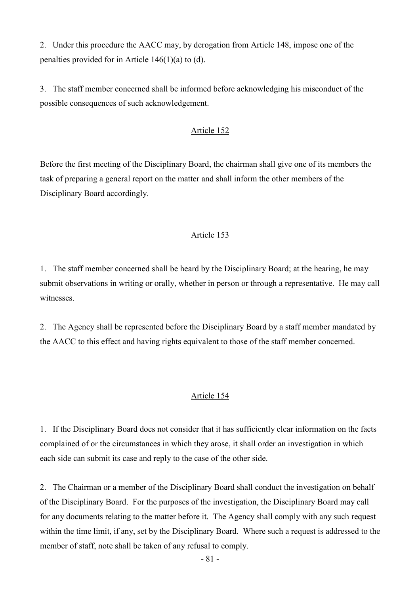2. Under this procedure the AACC may, by derogation from Article 148, impose one of the penalties provided for in Article 146(1)(a) to (d).

3. The staff member concerned shall be informed before acknowledging his misconduct of the possible consequences of such acknowledgement.

## Article 152

Before the first meeting of the Disciplinary Board, the chairman shall give one of its members the task of preparing a general report on the matter and shall inform the other members of the Disciplinary Board accordingly.

### Article 153

1. The staff member concerned shall be heard by the Disciplinary Board; at the hearing, he may submit observations in writing or orally, whether in person or through a representative. He may call witnesses.

2. The Agency shall be represented before the Disciplinary Board by a staff member mandated by the AACC to this effect and having rights equivalent to those of the staff member concerned.

### Article 154

1. If the Disciplinary Board does not consider that it has sufficiently clear information on the facts complained of or the circumstances in which they arose, it shall order an investigation in which each side can submit its case and reply to the case of the other side.

2. The Chairman or a member of the Disciplinary Board shall conduct the investigation on behalf of the Disciplinary Board. For the purposes of the investigation, the Disciplinary Board may call for any documents relating to the matter before it. The Agency shall comply with any such request within the time limit, if any, set by the Disciplinary Board. Where such a request is addressed to the member of staff, note shall be taken of any refusal to comply.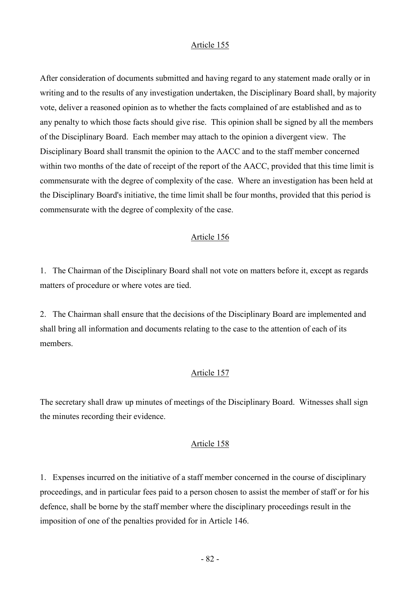### Article 155

After consideration of documents submitted and having regard to any statement made orally or in writing and to the results of any investigation undertaken, the Disciplinary Board shall, by majority vote, deliver a reasoned opinion as to whether the facts complained of are established and as to any penalty to which those facts should give rise. This opinion shall be signed by all the members of the Disciplinary Board. Each member may attach to the opinion a divergent view. The Disciplinary Board shall transmit the opinion to the AACC and to the staff member concerned within two months of the date of receipt of the report of the AACC, provided that this time limit is commensurate with the degree of complexity of the case. Where an investigation has been held at the Disciplinary Board's initiative, the time limit shall be four months, provided that this period is commensurate with the degree of complexity of the case.

### Article 156

1. The Chairman of the Disciplinary Board shall not vote on matters before it, except as regards matters of procedure or where votes are tied.

2. The Chairman shall ensure that the decisions of the Disciplinary Board are implemented and shall bring all information and documents relating to the case to the attention of each of its members.

### Article 157

The secretary shall draw up minutes of meetings of the Disciplinary Board. Witnesses shall sign the minutes recording their evidence.

### Article 158

1. Expenses incurred on the initiative of a staff member concerned in the course of disciplinary proceedings, and in particular fees paid to a person chosen to assist the member of staff or for his defence, shall be borne by the staff member where the disciplinary proceedings result in the imposition of one of the penalties provided for in Article 146.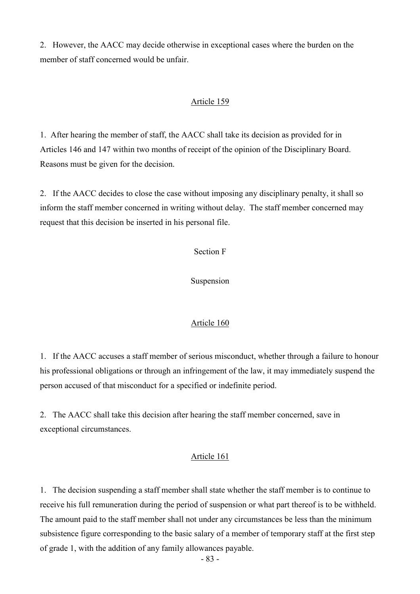2. However, the AACC may decide otherwise in exceptional cases where the burden on the member of staff concerned would be unfair.

### Article 159

1. After hearing the member of staff, the AACC shall take its decision as provided for in Articles 146 and 147 within two months of receipt of the opinion of the Disciplinary Board. Reasons must be given for the decision.

2. If the AACC decides to close the case without imposing any disciplinary penalty, it shall so inform the staff member concerned in writing without delay. The staff member concerned may request that this decision be inserted in his personal file.

Section F

Suspension

## Article 160

1. If the AACC accuses a staff member of serious misconduct, whether through a failure to honour his professional obligations or through an infringement of the law, it may immediately suspend the person accused of that misconduct for a specified or indefinite period.

2. The AACC shall take this decision after hearing the staff member concerned, save in exceptional circumstances.

### Article 161

1. The decision suspending a staff member shall state whether the staff member is to continue to receive his full remuneration during the period of suspension or what part thereof is to be withheld. The amount paid to the staff member shall not under any circumstances be less than the minimum subsistence figure corresponding to the basic salary of a member of temporary staff at the first step of grade 1, with the addition of any family allowances payable.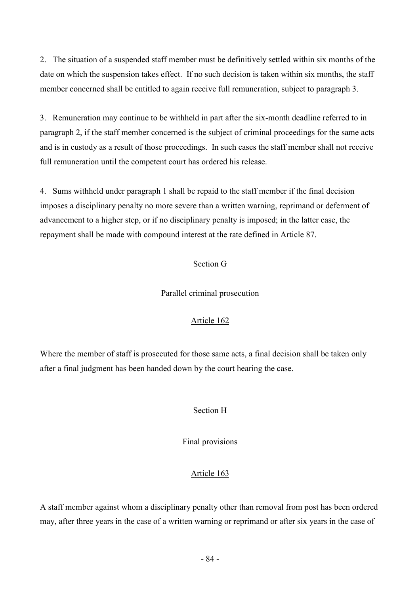2. The situation of a suspended staff member must be definitively settled within six months of the date on which the suspension takes effect. If no such decision is taken within six months, the staff member concerned shall be entitled to again receive full remuneration, subject to paragraph 3.

3. Remuneration may continue to be withheld in part after the six-month deadline referred to in paragraph 2, if the staff member concerned is the subject of criminal proceedings for the same acts and is in custody as a result of those proceedings. In such cases the staff member shall not receive full remuneration until the competent court has ordered his release.

4. Sums withheld under paragraph 1 shall be repaid to the staff member if the final decision imposes a disciplinary penalty no more severe than a written warning, reprimand or deferment of advancement to a higher step, or if no disciplinary penalty is imposed; in the latter case, the repayment shall be made with compound interest at the rate defined in Article 87.

# Section G

Parallel criminal prosecution

# Article 162

Where the member of staff is prosecuted for those same acts, a final decision shall be taken only after a final judgment has been handed down by the court hearing the case.

# Section H

Final provisions

# Article 163

A staff member against whom a disciplinary penalty other than removal from post has been ordered may, after three years in the case of a written warning or reprimand or after six years in the case of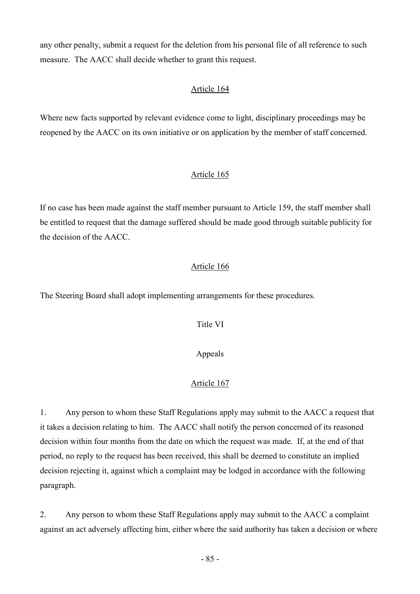any other penalty, submit a request for the deletion from his personal file of all reference to such measure. The AACC shall decide whether to grant this request.

## Article 164

Where new facts supported by relevant evidence come to light, disciplinary proceedings may be reopened by the AACC on its own initiative or on application by the member of staff concerned.

## Article 165

If no case has been made against the staff member pursuant to Article 159, the staff member shall be entitled to request that the damage suffered should be made good through suitable publicity for the decision of the AACC.

## Article 166

The Steering Board shall adopt implementing arrangements for these procedures.

Title VI

Appeals

# Article 167

1. Any person to whom these Staff Regulations apply may submit to the AACC a request that it takes a decision relating to him. The AACC shall notify the person concerned of its reasoned decision within four months from the date on which the request was made. If, at the end of that period, no reply to the request has been received, this shall be deemed to constitute an implied decision rejecting it, against which a complaint may be lodged in accordance with the following paragraph.

2. Any person to whom these Staff Regulations apply may submit to the AACC a complaint against an act adversely affecting him, either where the said authority has taken a decision or where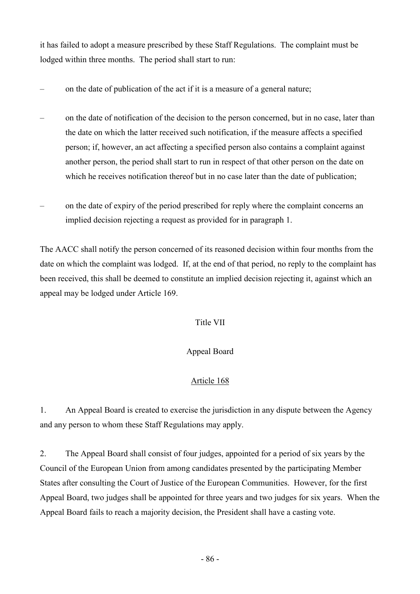it has failed to adopt a measure prescribed by these Staff Regulations. The complaint must be lodged within three months. The period shall start to run:

- on the date of publication of the act if it is a measure of a general nature;
- on the date of notification of the decision to the person concerned, but in no case, later than the date on which the latter received such notification, if the measure affects a specified person; if, however, an act affecting a specified person also contains a complaint against another person, the period shall start to run in respect of that other person on the date on which he receives notification thereof but in no case later than the date of publication;
- on the date of expiry of the period prescribed for reply where the complaint concerns an implied decision rejecting a request as provided for in paragraph 1.

The AACC shall notify the person concerned of its reasoned decision within four months from the date on which the complaint was lodged. If, at the end of that period, no reply to the complaint has been received, this shall be deemed to constitute an implied decision rejecting it, against which an appeal may be lodged under Article 169.

# Title VII

# Appeal Board

# Article 168

1. An Appeal Board is created to exercise the jurisdiction in any dispute between the Agency and any person to whom these Staff Regulations may apply.

2. The Appeal Board shall consist of four judges, appointed for a period of six years by the Council of the European Union from among candidates presented by the participating Member States after consulting the Court of Justice of the European Communities. However, for the first Appeal Board, two judges shall be appointed for three years and two judges for six years. When the Appeal Board fails to reach a majority decision, the President shall have a casting vote.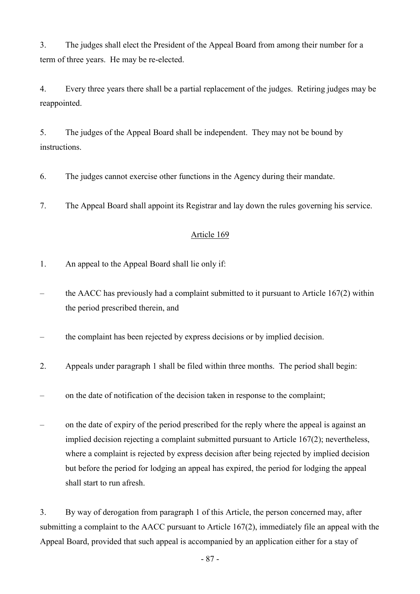3. The judges shall elect the President of the Appeal Board from among their number for a term of three years. He may be re-elected.

4. Every three years there shall be a partial replacement of the judges. Retiring judges may be reappointed.

5. The judges of the Appeal Board shall be independent. They may not be bound by instructions.

6. The judges cannot exercise other functions in the Agency during their mandate.

7. The Appeal Board shall appoint its Registrar and lay down the rules governing his service.

# Article 169

- 1. An appeal to the Appeal Board shall lie only if:
- the AACC has previously had a complaint submitted to it pursuant to Article  $167(2)$  within the period prescribed therein, and
- the complaint has been rejected by express decisions or by implied decision.
- 2. Appeals under paragraph 1 shall be filed within three months. The period shall begin:
- on the date of notification of the decision taken in response to the complaint;
- on the date of expiry of the period prescribed for the reply where the appeal is against an implied decision rejecting a complaint submitted pursuant to Article 167(2); nevertheless, where a complaint is rejected by express decision after being rejected by implied decision but before the period for lodging an appeal has expired, the period for lodging the appeal shall start to run afresh.

3. By way of derogation from paragraph 1 of this Article, the person concerned may, after submitting a complaint to the AACC pursuant to Article 167(2), immediately file an appeal with the Appeal Board, provided that such appeal is accompanied by an application either for a stay of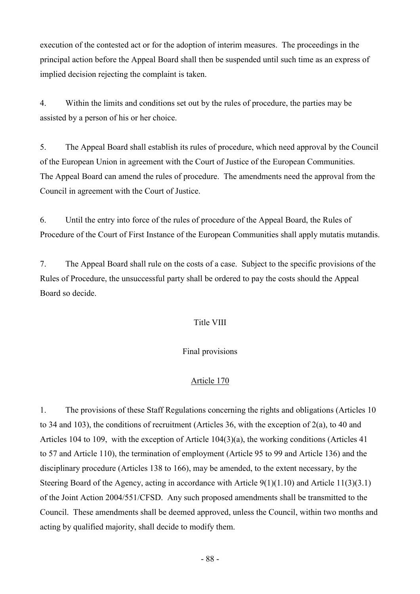execution of the contested act or for the adoption of interim measures. The proceedings in the principal action before the Appeal Board shall then be suspended until such time as an express of implied decision rejecting the complaint is taken.

4. Within the limits and conditions set out by the rules of procedure, the parties may be assisted by a person of his or her choice.

5. The Appeal Board shall establish its rules of procedure, which need approval by the Council of the European Union in agreement with the Court of Justice of the European Communities. The Appeal Board can amend the rules of procedure. The amendments need the approval from the Council in agreement with the Court of Justice.

6. Until the entry into force of the rules of procedure of the Appeal Board, the Rules of Procedure of the Court of First Instance of the European Communities shall apply mutatis mutandis.

7. The Appeal Board shall rule on the costs of a case. Subject to the specific provisions of the Rules of Procedure, the unsuccessful party shall be ordered to pay the costs should the Appeal Board so decide.

# Title VIII

## Final provisions

## Article 170

1. The provisions of these Staff Regulations concerning the rights and obligations (Articles 10 to 34 and 103), the conditions of recruitment (Articles 36, with the exception of 2(a), to 40 and Articles 104 to 109, with the exception of Article 104(3)(a), the working conditions (Articles 41 to 57 and Article 110), the termination of employment (Article 95 to 99 and Article 136) and the disciplinary procedure (Articles 138 to 166), may be amended, to the extent necessary, by the Steering Board of the Agency, acting in accordance with Article 9(1)(1.10) and Article 11(3)(3.1) of the Joint Action 2004/551/CFSD. Any such proposed amendments shall be transmitted to the Council. These amendments shall be deemed approved, unless the Council, within two months and acting by qualified majority, shall decide to modify them.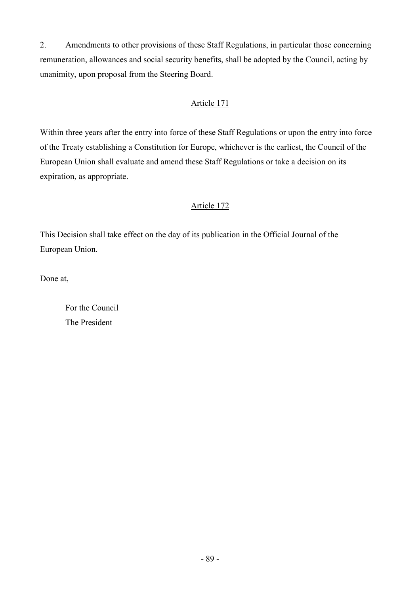2. Amendments to other provisions of these Staff Regulations, in particular those concerning remuneration, allowances and social security benefits, shall be adopted by the Council, acting by unanimity, upon proposal from the Steering Board.

# Article 171

Within three years after the entry into force of these Staff Regulations or upon the entry into force of the Treaty establishing a Constitution for Europe, whichever is the earliest, the Council of the European Union shall evaluate and amend these Staff Regulations or take a decision on its expiration, as appropriate.

# Article 172

This Decision shall take effect on the day of its publication in the Official Journal of the European Union.

Done at,

 For the Council The President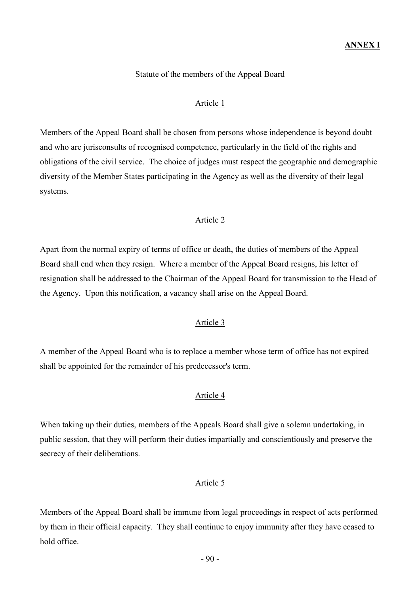## Statute of the members of the Appeal Board

## Article 1

Members of the Appeal Board shall be chosen from persons whose independence is beyond doubt and who are jurisconsults of recognised competence, particularly in the field of the rights and obligations of the civil service. The choice of judges must respect the geographic and demographic diversity of the Member States participating in the Agency as well as the diversity of their legal systems.

### Article 2

Apart from the normal expiry of terms of office or death, the duties of members of the Appeal Board shall end when they resign. Where a member of the Appeal Board resigns, his letter of resignation shall be addressed to the Chairman of the Appeal Board for transmission to the Head of the Agency. Upon this notification, a vacancy shall arise on the Appeal Board.

### Article 3

A member of the Appeal Board who is to replace a member whose term of office has not expired shall be appointed for the remainder of his predecessor's term.

## Article 4

When taking up their duties, members of the Appeals Board shall give a solemn undertaking, in public session, that they will perform their duties impartially and conscientiously and preserve the secrecy of their deliberations.

## Article 5

Members of the Appeal Board shall be immune from legal proceedings in respect of acts performed by them in their official capacity. They shall continue to enjoy immunity after they have ceased to hold office.

- 90 -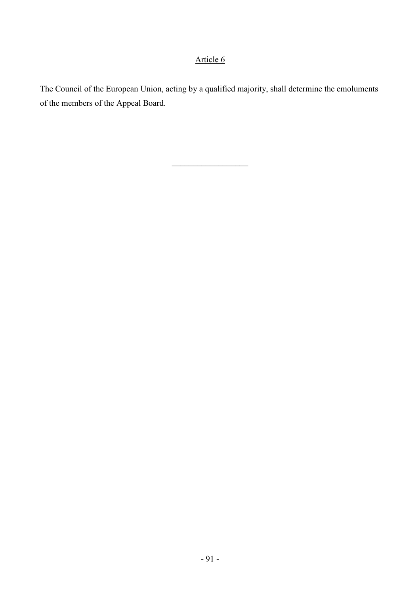# Article 6

The Council of the European Union, acting by a qualified majority, shall determine the emoluments of the members of the Appeal Board.

\_\_\_\_\_\_\_\_\_\_\_\_\_\_\_\_\_\_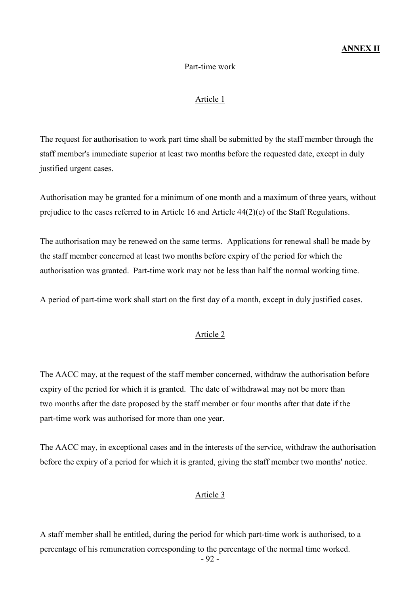### ANNEX II

### Part-time work

#### Article 1

The request for authorisation to work part time shall be submitted by the staff member through the staff member's immediate superior at least two months before the requested date, except in duly justified urgent cases.

Authorisation may be granted for a minimum of one month and a maximum of three years, without prejudice to the cases referred to in Article 16 and Article 44(2)(e) of the Staff Regulations.

The authorisation may be renewed on the same terms. Applications for renewal shall be made by the staff member concerned at least two months before expiry of the period for which the authorisation was granted. Part-time work may not be less than half the normal working time.

A period of part-time work shall start on the first day of a month, except in duly justified cases.

#### Article 2

The AACC may, at the request of the staff member concerned, withdraw the authorisation before expiry of the period for which it is granted. The date of withdrawal may not be more than two months after the date proposed by the staff member or four months after that date if the part-time work was authorised for more than one year.

The AACC may, in exceptional cases and in the interests of the service, withdraw the authorisation before the expiry of a period for which it is granted, giving the staff member two months' notice.

#### Article 3

A staff member shall be entitled, during the period for which part-time work is authorised, to a percentage of his remuneration corresponding to the percentage of the normal time worked.

- 92 -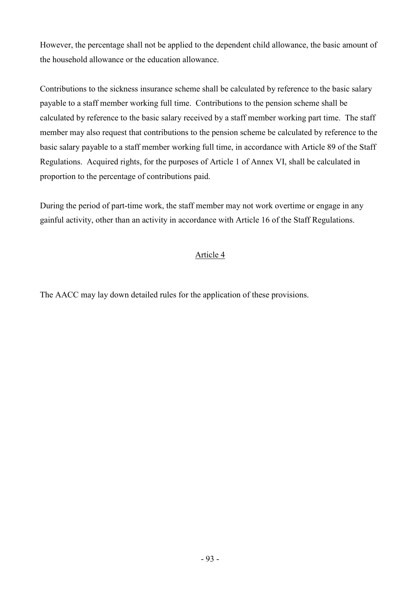However, the percentage shall not be applied to the dependent child allowance, the basic amount of the household allowance or the education allowance.

Contributions to the sickness insurance scheme shall be calculated by reference to the basic salary payable to a staff member working full time. Contributions to the pension scheme shall be calculated by reference to the basic salary received by a staff member working part time. The staff member may also request that contributions to the pension scheme be calculated by reference to the basic salary payable to a staff member working full time, in accordance with Article 89 of the Staff Regulations. Acquired rights, for the purposes of Article 1 of Annex VI, shall be calculated in proportion to the percentage of contributions paid.

During the period of part-time work, the staff member may not work overtime or engage in any gainful activity, other than an activity in accordance with Article 16 of the Staff Regulations.

# Article 4

The AACC may lay down detailed rules for the application of these provisions.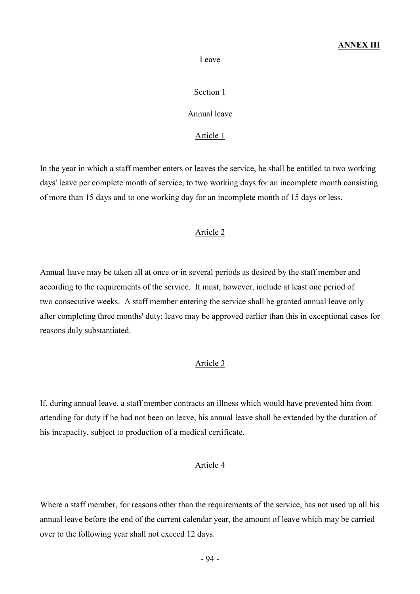### ANNEX III

#### Leave

### Section 1

### Annual leave

## Article 1

In the year in which a staff member enters or leaves the service, he shall be entitled to two working days' leave per complete month of service, to two working days for an incomplete month consisting of more than 15 days and to one working day for an incomplete month of 15 days or less.

### Article 2

Annual leave may be taken all at once or in several periods as desired by the staff member and according to the requirements of the service. It must, however, include at least one period of two consecutive weeks. A staff member entering the service shall be granted annual leave only after completing three months' duty; leave may be approved earlier than this in exceptional cases for reasons duly substantiated.

### Article 3

If, during annual leave, a staff member contracts an illness which would have prevented him from attending for duty if he had not been on leave, his annual leave shall be extended by the duration of his incapacity, subject to production of a medical certificate.

#### Article 4

Where a staff member, for reasons other than the requirements of the service, has not used up all his annual leave before the end of the current calendar year, the amount of leave which may be carried over to the following year shall not exceed 12 days.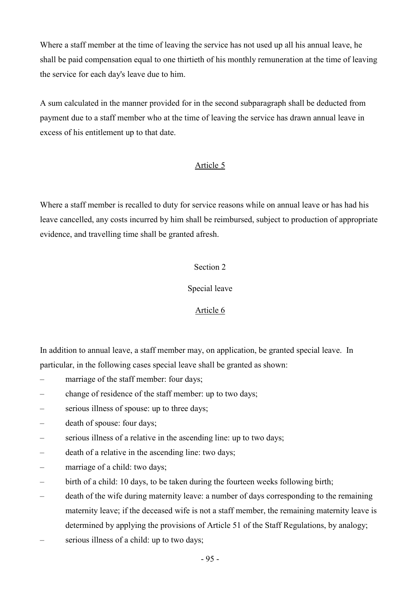Where a staff member at the time of leaving the service has not used up all his annual leave, he shall be paid compensation equal to one thirtieth of his monthly remuneration at the time of leaving the service for each day's leave due to him.

A sum calculated in the manner provided for in the second subparagraph shall be deducted from payment due to a staff member who at the time of leaving the service has drawn annual leave in excess of his entitlement up to that date.

## Article 5

Where a staff member is recalled to duty for service reasons while on annual leave or has had his leave cancelled, any costs incurred by him shall be reimbursed, subject to production of appropriate evidence, and travelling time shall be granted afresh.

## Section 2

## Special leave

# Article 6

In addition to annual leave, a staff member may, on application, be granted special leave. In particular, in the following cases special leave shall be granted as shown:

- marriage of the staff member: four days;
- change of residence of the staff member: up to two days;
- serious illness of spouse: up to three days;
- death of spouse: four days;
- serious illness of a relative in the ascending line: up to two days;
- death of a relative in the ascending line: two days;
- marriage of a child: two days;
- birth of a child: 10 days, to be taken during the fourteen weeks following birth;
- death of the wife during maternity leave: a number of days corresponding to the remaining maternity leave; if the deceased wife is not a staff member, the remaining maternity leave is determined by applying the provisions of Article 51 of the Staff Regulations, by analogy;
- serious illness of a child: up to two days;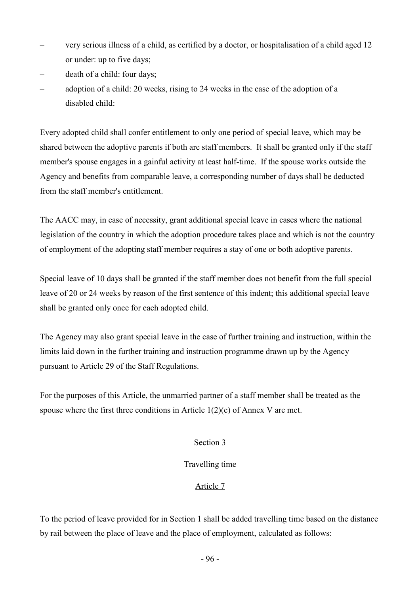- very serious illness of a child, as certified by a doctor, or hospitalisation of a child aged 12 or under: up to five days;
- death of a child: four days;
- adoption of a child: 20 weeks, rising to 24 weeks in the case of the adoption of a disabled child:

Every adopted child shall confer entitlement to only one period of special leave, which may be shared between the adoptive parents if both are staff members. It shall be granted only if the staff member's spouse engages in a gainful activity at least half-time. If the spouse works outside the Agency and benefits from comparable leave, a corresponding number of days shall be deducted from the staff member's entitlement.

The AACC may, in case of necessity, grant additional special leave in cases where the national legislation of the country in which the adoption procedure takes place and which is not the country of employment of the adopting staff member requires a stay of one or both adoptive parents.

Special leave of 10 days shall be granted if the staff member does not benefit from the full special leave of 20 or 24 weeks by reason of the first sentence of this indent; this additional special leave shall be granted only once for each adopted child.

The Agency may also grant special leave in the case of further training and instruction, within the limits laid down in the further training and instruction programme drawn up by the Agency pursuant to Article 29 of the Staff Regulations.

For the purposes of this Article, the unmarried partner of a staff member shall be treated as the spouse where the first three conditions in Article  $1(2)(c)$  of Annex V are met.

## Section 3

## Travelling time

# Article 7

To the period of leave provided for in Section 1 shall be added travelling time based on the distance by rail between the place of leave and the place of employment, calculated as follows: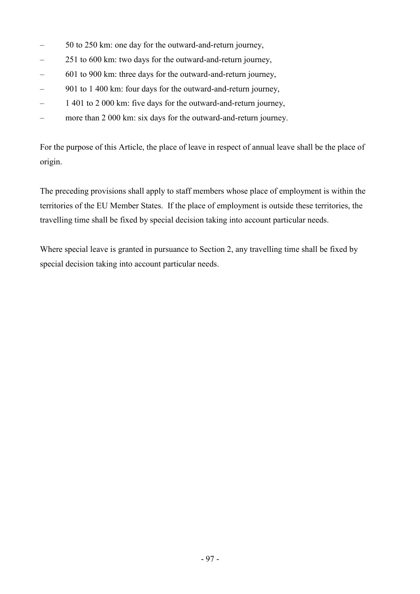- 50 to 250 km: one day for the outward-and-return journey,
- 251 to 600 km: two days for the outward-and-return journey,
- 601 to 900 km: three days for the outward-and-return journey,
- 901 to 1 400 km: four days for the outward-and-return journey,
- 1 401 to 2 000 km: five days for the outward-and-return journey,
- more than 2 000 km: six days for the outward-and-return journey.

For the purpose of this Article, the place of leave in respect of annual leave shall be the place of origin.

The preceding provisions shall apply to staff members whose place of employment is within the territories of the EU Member States. If the place of employment is outside these territories, the travelling time shall be fixed by special decision taking into account particular needs.

Where special leave is granted in pursuance to Section 2, any travelling time shall be fixed by special decision taking into account particular needs.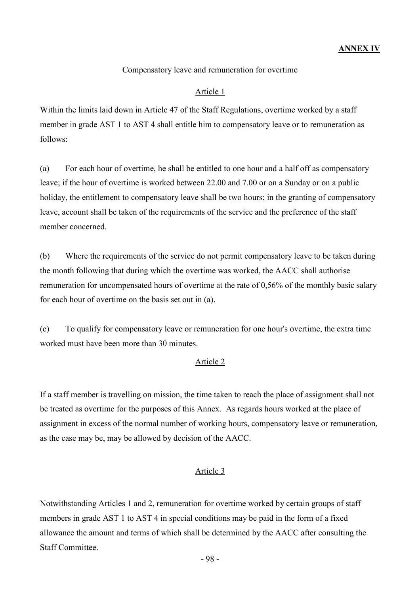## Compensatory leave and remuneration for overtime

### Article 1

Within the limits laid down in Article 47 of the Staff Regulations, overtime worked by a staff member in grade AST 1 to AST 4 shall entitle him to compensatory leave or to remuneration as follows:

(a) For each hour of overtime, he shall be entitled to one hour and a half off as compensatory leave; if the hour of overtime is worked between 22.00 and 7.00 or on a Sunday or on a public holiday, the entitlement to compensatory leave shall be two hours; in the granting of compensatory leave, account shall be taken of the requirements of the service and the preference of the staff member concerned.

(b) Where the requirements of the service do not permit compensatory leave to be taken during the month following that during which the overtime was worked, the AACC shall authorise remuneration for uncompensated hours of overtime at the rate of 0,56% of the monthly basic salary for each hour of overtime on the basis set out in (a).

(c) To qualify for compensatory leave or remuneration for one hour's overtime, the extra time worked must have been more than 30 minutes.

### Article 2

If a staff member is travelling on mission, the time taken to reach the place of assignment shall not be treated as overtime for the purposes of this Annex. As regards hours worked at the place of assignment in excess of the normal number of working hours, compensatory leave or remuneration, as the case may be, may be allowed by decision of the AACC.

### Article 3

Notwithstanding Articles 1 and 2, remuneration for overtime worked by certain groups of staff members in grade AST 1 to AST 4 in special conditions may be paid in the form of a fixed allowance the amount and terms of which shall be determined by the AACC after consulting the Staff Committee.

- 98 -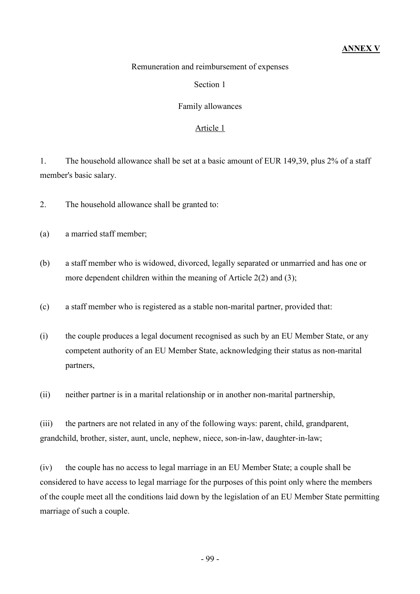### Remuneration and reimbursement of expenses

### Section 1

### Family allowances

### Article 1

1. The household allowance shall be set at a basic amount of EUR 149,39, plus 2% of a staff member's basic salary.

2. The household allowance shall be granted to:

- (a) a married staff member;
- (b) a staff member who is widowed, divorced, legally separated or unmarried and has one or more dependent children within the meaning of Article 2(2) and (3);
- (c) a staff member who is registered as a stable non-marital partner, provided that:
- (i) the couple produces a legal document recognised as such by an EU Member State, or any competent authority of an EU Member State, acknowledging their status as non-marital partners,
- (ii) neither partner is in a marital relationship or in another non-marital partnership,

(iii) the partners are not related in any of the following ways: parent, child, grandparent, grandchild, brother, sister, aunt, uncle, nephew, niece, son-in-law, daughter-in-law;

(iv) the couple has no access to legal marriage in an EU Member State; a couple shall be considered to have access to legal marriage for the purposes of this point only where the members of the couple meet all the conditions laid down by the legislation of an EU Member State permitting marriage of such a couple.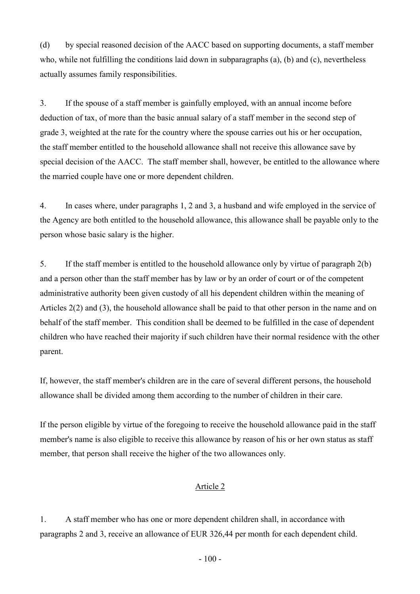(d) by special reasoned decision of the AACC based on supporting documents, a staff member who, while not fulfilling the conditions laid down in subparagraphs (a), (b) and (c), nevertheless actually assumes family responsibilities.

3. If the spouse of a staff member is gainfully employed, with an annual income before deduction of tax, of more than the basic annual salary of a staff member in the second step of grade 3, weighted at the rate for the country where the spouse carries out his or her occupation, the staff member entitled to the household allowance shall not receive this allowance save by special decision of the AACC. The staff member shall, however, be entitled to the allowance where the married couple have one or more dependent children.

4. In cases where, under paragraphs 1, 2 and 3, a husband and wife employed in the service of the Agency are both entitled to the household allowance, this allowance shall be payable only to the person whose basic salary is the higher.

5. If the staff member is entitled to the household allowance only by virtue of paragraph 2(b) and a person other than the staff member has by law or by an order of court or of the competent administrative authority been given custody of all his dependent children within the meaning of Articles 2(2) and (3), the household allowance shall be paid to that other person in the name and on behalf of the staff member. This condition shall be deemed to be fulfilled in the case of dependent children who have reached their majority if such children have their normal residence with the other parent.

If, however, the staff member's children are in the care of several different persons, the household allowance shall be divided among them according to the number of children in their care.

If the person eligible by virtue of the foregoing to receive the household allowance paid in the staff member's name is also eligible to receive this allowance by reason of his or her own status as staff member, that person shall receive the higher of the two allowances only.

# Article 2

1. A staff member who has one or more dependent children shall, in accordance with paragraphs 2 and 3, receive an allowance of EUR 326,44 per month for each dependent child.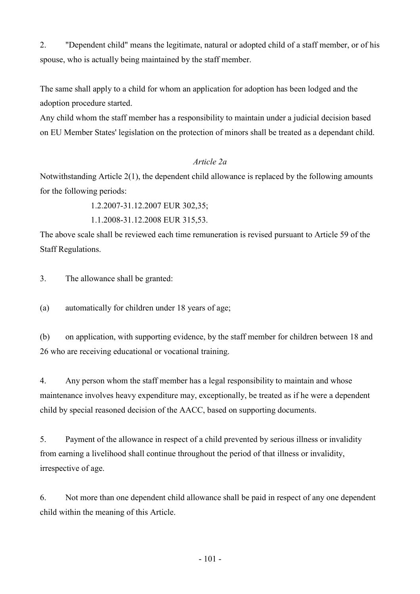2. "Dependent child" means the legitimate, natural or adopted child of a staff member, or of his spouse, who is actually being maintained by the staff member.

The same shall apply to a child for whom an application for adoption has been lodged and the adoption procedure started.

Any child whom the staff member has a responsibility to maintain under a judicial decision based on EU Member States' legislation on the protection of minors shall be treated as a dependant child.

## Article 2a

Notwithstanding Article 2(1), the dependent child allowance is replaced by the following amounts for the following periods:

1.2.2007-31.12.2007 EUR 302,35;

1.1.2008-31.12.2008 EUR 315,53.

The above scale shall be reviewed each time remuneration is revised pursuant to Article 59 of the Staff Regulations.

3. The allowance shall be granted:

(a) automatically for children under 18 years of age;

(b) on application, with supporting evidence, by the staff member for children between 18 and 26 who are receiving educational or vocational training.

4. Any person whom the staff member has a legal responsibility to maintain and whose maintenance involves heavy expenditure may, exceptionally, be treated as if he were a dependent child by special reasoned decision of the AACC, based on supporting documents.

5. Payment of the allowance in respect of a child prevented by serious illness or invalidity from earning a livelihood shall continue throughout the period of that illness or invalidity, irrespective of age.

6. Not more than one dependent child allowance shall be paid in respect of any one dependent child within the meaning of this Article.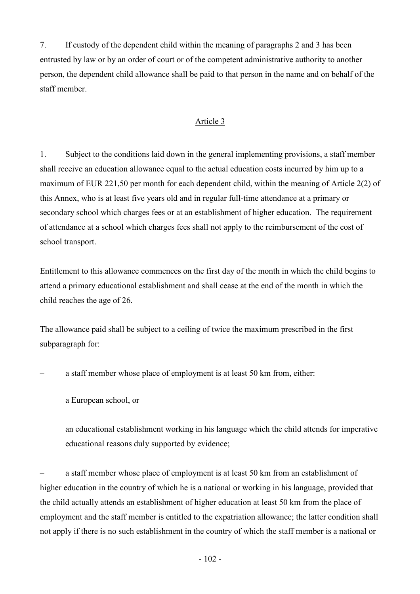7. If custody of the dependent child within the meaning of paragraphs 2 and 3 has been entrusted by law or by an order of court or of the competent administrative authority to another person, the dependent child allowance shall be paid to that person in the name and on behalf of the staff member.

# Article 3

1. Subject to the conditions laid down in the general implementing provisions, a staff member shall receive an education allowance equal to the actual education costs incurred by him up to a maximum of EUR 221,50 per month for each dependent child, within the meaning of Article 2(2) of this Annex, who is at least five years old and in regular full-time attendance at a primary or secondary school which charges fees or at an establishment of higher education. The requirement of attendance at a school which charges fees shall not apply to the reimbursement of the cost of school transport.

Entitlement to this allowance commences on the first day of the month in which the child begins to attend a primary educational establishment and shall cease at the end of the month in which the child reaches the age of 26.

The allowance paid shall be subject to a ceiling of twice the maximum prescribed in the first subparagraph for:

– a staff member whose place of employment is at least 50 km from, either:

a European school, or

an educational establishment working in his language which the child attends for imperative educational reasons duly supported by evidence;

– a staff member whose place of employment is at least 50 km from an establishment of higher education in the country of which he is a national or working in his language, provided that the child actually attends an establishment of higher education at least 50 km from the place of employment and the staff member is entitled to the expatriation allowance; the latter condition shall not apply if there is no such establishment in the country of which the staff member is a national or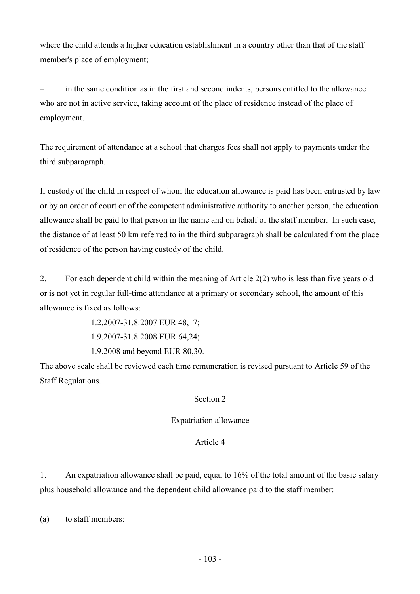where the child attends a higher education establishment in a country other than that of the staff member's place of employment;

– in the same condition as in the first and second indents, persons entitled to the allowance who are not in active service, taking account of the place of residence instead of the place of employment.

The requirement of attendance at a school that charges fees shall not apply to payments under the third subparagraph.

If custody of the child in respect of whom the education allowance is paid has been entrusted by law or by an order of court or of the competent administrative authority to another person, the education allowance shall be paid to that person in the name and on behalf of the staff member. In such case, the distance of at least 50 km referred to in the third subparagraph shall be calculated from the place of residence of the person having custody of the child.

2. For each dependent child within the meaning of Article 2(2) who is less than five years old or is not yet in regular full-time attendance at a primary or secondary school, the amount of this allowance is fixed as follows:

> 1.2.2007-31.8.2007 EUR 48,17; 1.9.2007-31.8.2008 EUR 64,24;

1.9.2008 and beyond EUR 80,30.

The above scale shall be reviewed each time remuneration is revised pursuant to Article 59 of the Staff Regulations.

# Section 2

# Expatriation allowance

# Article 4

1. An expatriation allowance shall be paid, equal to 16% of the total amount of the basic salary plus household allowance and the dependent child allowance paid to the staff member:

(a) to staff members: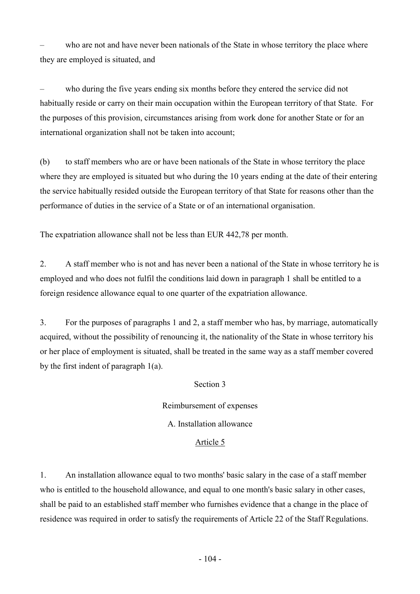who are not and have never been nationals of the State in whose territory the place where they are employed is situated, and

– who during the five years ending six months before they entered the service did not habitually reside or carry on their main occupation within the European territory of that State. For the purposes of this provision, circumstances arising from work done for another State or for an international organization shall not be taken into account;

(b) to staff members who are or have been nationals of the State in whose territory the place where they are employed is situated but who during the 10 years ending at the date of their entering the service habitually resided outside the European territory of that State for reasons other than the performance of duties in the service of a State or of an international organisation.

The expatriation allowance shall not be less than EUR 442,78 per month.

2. A staff member who is not and has never been a national of the State in whose territory he is employed and who does not fulfil the conditions laid down in paragraph 1 shall be entitled to a foreign residence allowance equal to one quarter of the expatriation allowance.

3. For the purposes of paragraphs 1 and 2, a staff member who has, by marriage, automatically acquired, without the possibility of renouncing it, the nationality of the State in whose territory his or her place of employment is situated, shall be treated in the same way as a staff member covered by the first indent of paragraph 1(a).

## Section 3

Reimbursement of expenses A. Installation allowance

### Article 5

1. An installation allowance equal to two months' basic salary in the case of a staff member who is entitled to the household allowance, and equal to one month's basic salary in other cases, shall be paid to an established staff member who furnishes evidence that a change in the place of residence was required in order to satisfy the requirements of Article 22 of the Staff Regulations.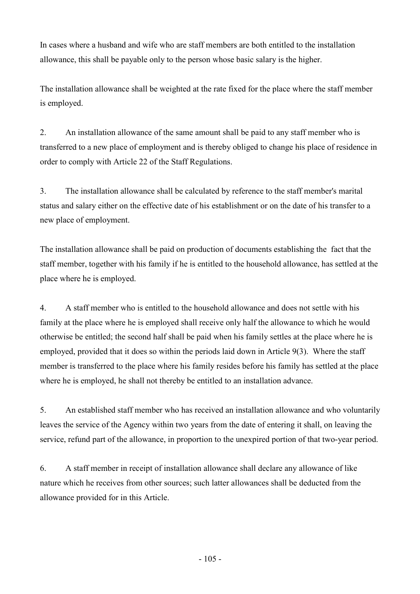In cases where a husband and wife who are staff members are both entitled to the installation allowance, this shall be payable only to the person whose basic salary is the higher.

The installation allowance shall be weighted at the rate fixed for the place where the staff member is employed.

2. An installation allowance of the same amount shall be paid to any staff member who is transferred to a new place of employment and is thereby obliged to change his place of residence in order to comply with Article 22 of the Staff Regulations.

3. The installation allowance shall be calculated by reference to the staff member's marital status and salary either on the effective date of his establishment or on the date of his transfer to a new place of employment.

The installation allowance shall be paid on production of documents establishing the fact that the staff member, together with his family if he is entitled to the household allowance, has settled at the place where he is employed.

4. A staff member who is entitled to the household allowance and does not settle with his family at the place where he is employed shall receive only half the allowance to which he would otherwise be entitled; the second half shall be paid when his family settles at the place where he is employed, provided that it does so within the periods laid down in Article 9(3). Where the staff member is transferred to the place where his family resides before his family has settled at the place where he is employed, he shall not thereby be entitled to an installation advance.

5. An established staff member who has received an installation allowance and who voluntarily leaves the service of the Agency within two years from the date of entering it shall, on leaving the service, refund part of the allowance, in proportion to the unexpired portion of that two-year period.

6. A staff member in receipt of installation allowance shall declare any allowance of like nature which he receives from other sources; such latter allowances shall be deducted from the allowance provided for in this Article.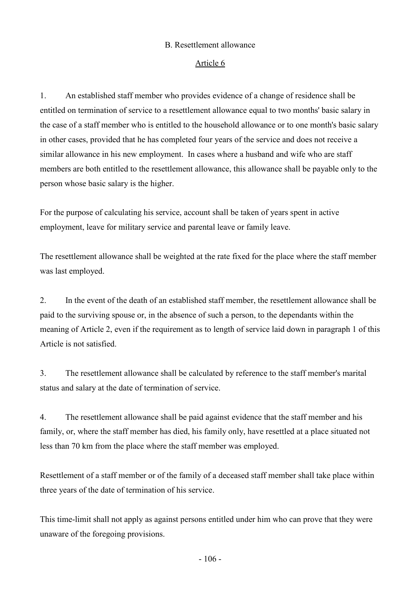### B. Resettlement allowance

### Article 6

1. An established staff member who provides evidence of a change of residence shall be entitled on termination of service to a resettlement allowance equal to two months' basic salary in the case of a staff member who is entitled to the household allowance or to one month's basic salary in other cases, provided that he has completed four years of the service and does not receive a similar allowance in his new employment. In cases where a husband and wife who are staff members are both entitled to the resettlement allowance, this allowance shall be payable only to the person whose basic salary is the higher.

For the purpose of calculating his service, account shall be taken of years spent in active employment, leave for military service and parental leave or family leave.

The resettlement allowance shall be weighted at the rate fixed for the place where the staff member was last employed.

2. In the event of the death of an established staff member, the resettlement allowance shall be paid to the surviving spouse or, in the absence of such a person, to the dependants within the meaning of Article 2, even if the requirement as to length of service laid down in paragraph 1 of this Article is not satisfied.

3. The resettlement allowance shall be calculated by reference to the staff member's marital status and salary at the date of termination of service.

4. The resettlement allowance shall be paid against evidence that the staff member and his family, or, where the staff member has died, his family only, have resettled at a place situated not less than 70 km from the place where the staff member was employed.

Resettlement of a staff member or of the family of a deceased staff member shall take place within three years of the date of termination of his service.

This time-limit shall not apply as against persons entitled under him who can prove that they were unaware of the foregoing provisions.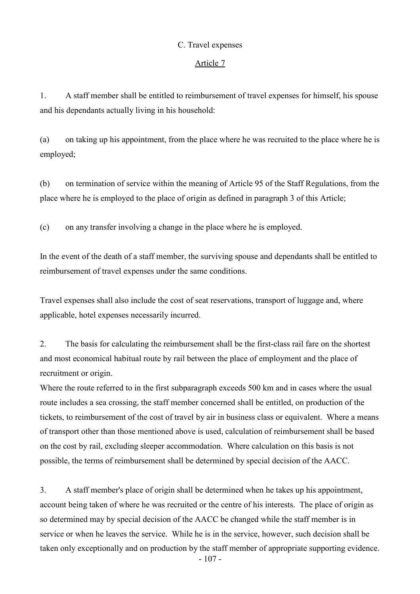### C. Travel expenses

### Article 7

1. A staff member shall be entitled to reimbursement of travel expenses for himself, his spouse and his dependants actually living in his household:

(a) on taking up his appointment, from the place where he was recruited to the place where he is employed;

(b) on termination of service within the meaning of Article 95 of the Staff Regulations, from the place where he is employed to the place of origin as defined in paragraph 3 of this Article;

(c) on any transfer involving a change in the place where he is employed.

In the event of the death of a staff member, the surviving spouse and dependants shall be entitled to reimbursement of travel expenses under the same conditions.

Travel expenses shall also include the cost of seat reservations, transport of luggage and, where applicable, hotel expenses necessarily incurred.

2. The basis for calculating the reimbursement shall be the first-class rail fare on the shortest and most economical habitual route by rail between the place of employment and the place of recruitment or origin.

Where the route referred to in the first subparagraph exceeds 500 km and in cases where the usual route includes a sea crossing, the staff member concerned shall be entitled, on production of the tickets, to reimbursement of the cost of travel by air in business class or equivalent. Where a means of transport other than those mentioned above is used, calculation of reimbursement shall be based on the cost by rail, excluding sleeper accommodation. Where calculation on this basis is not possible, the terms of reimbursement shall be determined by special decision of the AACC.

3. A staff member's place of origin shall be determined when he takes up his appointment, account being taken of where he was recruited or the centre of his interests. The place of origin as so determined may by special decision of the AACC be changed while the staff member is in service or when he leaves the service. While he is in the service, however, such decision shall be taken only exceptionally and on production by the staff member of appropriate supporting evidence.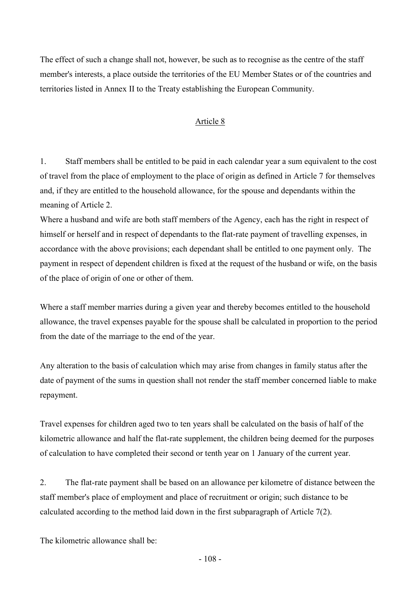The effect of such a change shall not, however, be such as to recognise as the centre of the staff member's interests, a place outside the territories of the EU Member States or of the countries and territories listed in Annex II to the Treaty establishing the European Community.

## Article 8

1. Staff members shall be entitled to be paid in each calendar year a sum equivalent to the cost of travel from the place of employment to the place of origin as defined in Article 7 for themselves and, if they are entitled to the household allowance, for the spouse and dependants within the meaning of Article 2.

Where a husband and wife are both staff members of the Agency, each has the right in respect of himself or herself and in respect of dependants to the flat-rate payment of travelling expenses, in accordance with the above provisions; each dependant shall be entitled to one payment only. The payment in respect of dependent children is fixed at the request of the husband or wife, on the basis of the place of origin of one or other of them.

Where a staff member marries during a given year and thereby becomes entitled to the household allowance, the travel expenses payable for the spouse shall be calculated in proportion to the period from the date of the marriage to the end of the year.

Any alteration to the basis of calculation which may arise from changes in family status after the date of payment of the sums in question shall not render the staff member concerned liable to make repayment.

Travel expenses for children aged two to ten years shall be calculated on the basis of half of the kilometric allowance and half the flat-rate supplement, the children being deemed for the purposes of calculation to have completed their second or tenth year on 1 January of the current year.

2. The flat-rate payment shall be based on an allowance per kilometre of distance between the staff member's place of employment and place of recruitment or origin; such distance to be calculated according to the method laid down in the first subparagraph of Article 7(2).

The kilometric allowance shall be: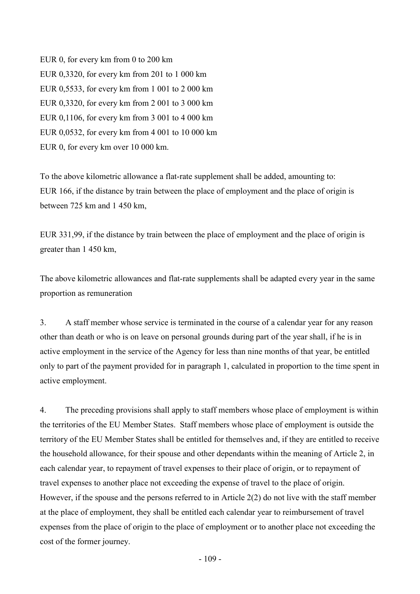EUR 0, for every km from 0 to 200 km EUR 0,3320, for every km from 201 to 1 000 km EUR 0,5533, for every km from 1 001 to 2 000 km EUR 0,3320, for every km from 2 001 to 3 000 km EUR 0,1106, for every km from 3 001 to 4 000 km EUR 0,0532, for every km from 4 001 to 10 000 km EUR 0, for every km over 10 000 km.

To the above kilometric allowance a flat-rate supplement shall be added, amounting to: EUR 166, if the distance by train between the place of employment and the place of origin is between 725 km and 1 450 km,

EUR 331,99, if the distance by train between the place of employment and the place of origin is greater than 1 450 km,

The above kilometric allowances and flat-rate supplements shall be adapted every year in the same proportion as remuneration

3. A staff member whose service is terminated in the course of a calendar year for any reason other than death or who is on leave on personal grounds during part of the year shall, if he is in active employment in the service of the Agency for less than nine months of that year, be entitled only to part of the payment provided for in paragraph 1, calculated in proportion to the time spent in active employment.

4. The preceding provisions shall apply to staff members whose place of employment is within the territories of the EU Member States. Staff members whose place of employment is outside the territory of the EU Member States shall be entitled for themselves and, if they are entitled to receive the household allowance, for their spouse and other dependants within the meaning of Article 2, in each calendar year, to repayment of travel expenses to their place of origin, or to repayment of travel expenses to another place not exceeding the expense of travel to the place of origin. However, if the spouse and the persons referred to in Article 2(2) do not live with the staff member at the place of employment, they shall be entitled each calendar year to reimbursement of travel expenses from the place of origin to the place of employment or to another place not exceeding the cost of the former journey.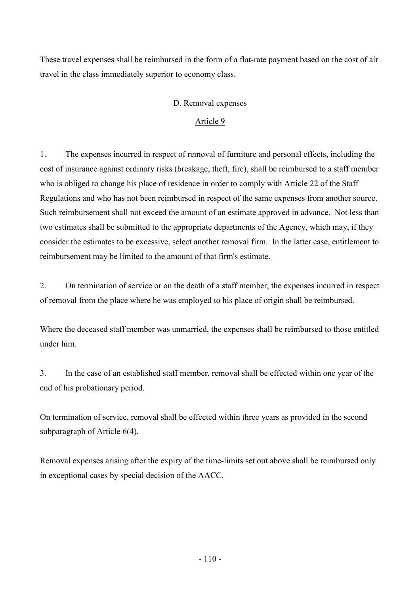These travel expenses shall be reimbursed in the form of a flat-rate payment based on the cost of air travel in the class immediately superior to economy class.

# D. Removal expenses

# Article 9

1. The expenses incurred in respect of removal of furniture and personal effects, including the cost of insurance against ordinary risks (breakage, theft, fire), shall be reimbursed to a staff member who is obliged to change his place of residence in order to comply with Article 22 of the Staff Regulations and who has not been reimbursed in respect of the same expenses from another source. Such reimbursement shall not exceed the amount of an estimate approved in advance. Not less than two estimates shall be submitted to the appropriate departments of the Agency, which may, if they consider the estimates to be excessive, select another removal firm. In the latter case, entitlement to reimbursement may be limited to the amount of that firm's estimate.

2. On termination of service or on the death of a staff member, the expenses incurred in respect of removal from the place where he was employed to his place of origin shall be reimbursed.

Where the deceased staff member was unmarried, the expenses shall be reimbursed to those entitled under him.

3. In the case of an established staff member, removal shall be effected within one year of the end of his probationary period.

On termination of service, removal shall be effected within three years as provided in the second subparagraph of Article 6(4).

Removal expenses arising after the expiry of the time-limits set out above shall be reimbursed only in exceptional cases by special decision of the AACC.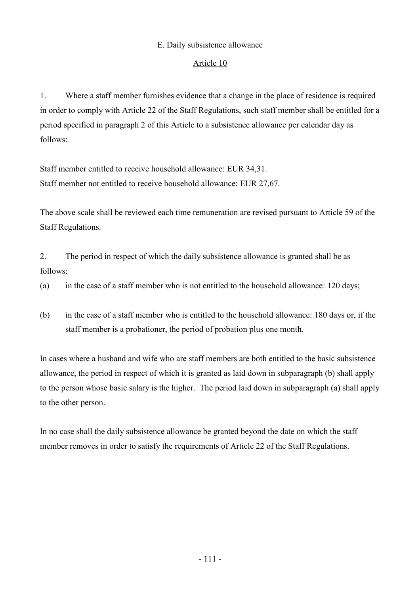# E. Daily subsistence allowance

# Article 10

1. Where a staff member furnishes evidence that a change in the place of residence is required in order to comply with Article 22 of the Staff Regulations, such staff member shall be entitled for a period specified in paragraph 2 of this Article to a subsistence allowance per calendar day as follows:

Staff member entitled to receive household allowance: EUR 34,31. Staff member not entitled to receive household allowance: EUR 27,67.

The above scale shall be reviewed each time remuneration are revised pursuant to Article 59 of the Staff Regulations.

2. The period in respect of which the daily subsistence allowance is granted shall be as follows:

(a) in the case of a staff member who is not entitled to the household allowance: 120 days;

(b) in the case of a staff member who is entitled to the household allowance: 180 days or, if the staff member is a probationer, the period of probation plus one month.

In cases where a husband and wife who are staff members are both entitled to the basic subsistence allowance, the period in respect of which it is granted as laid down in subparagraph (b) shall apply to the person whose basic salary is the higher. The period laid down in subparagraph (a) shall apply to the other person.

In no case shall the daily subsistence allowance be granted beyond the date on which the staff member removes in order to satisfy the requirements of Article 22 of the Staff Regulations.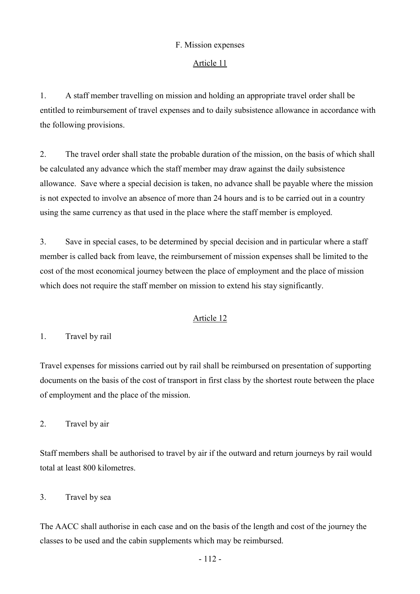# F. Mission expenses

### Article 11

1. A staff member travelling on mission and holding an appropriate travel order shall be entitled to reimbursement of travel expenses and to daily subsistence allowance in accordance with the following provisions.

2. The travel order shall state the probable duration of the mission, on the basis of which shall be calculated any advance which the staff member may draw against the daily subsistence allowance. Save where a special decision is taken, no advance shall be payable where the mission is not expected to involve an absence of more than 24 hours and is to be carried out in a country using the same currency as that used in the place where the staff member is employed.

3. Save in special cases, to be determined by special decision and in particular where a staff member is called back from leave, the reimbursement of mission expenses shall be limited to the cost of the most economical journey between the place of employment and the place of mission which does not require the staff member on mission to extend his stay significantly.

#### Article 12

1. Travel by rail

Travel expenses for missions carried out by rail shall be reimbursed on presentation of supporting documents on the basis of the cost of transport in first class by the shortest route between the place of employment and the place of the mission.

2. Travel by air

Staff members shall be authorised to travel by air if the outward and return journeys by rail would total at least 800 kilometres.

#### 3. Travel by sea

The AACC shall authorise in each case and on the basis of the length and cost of the journey the classes to be used and the cabin supplements which may be reimbursed.

- 112 -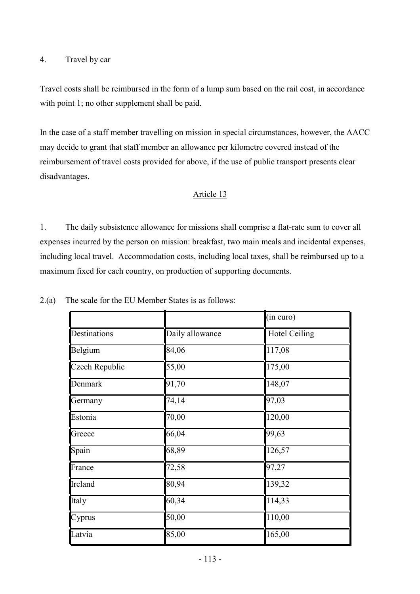### 4. Travel by car

Travel costs shall be reimbursed in the form of a lump sum based on the rail cost, in accordance with point 1; no other supplement shall be paid.

In the case of a staff member travelling on mission in special circumstances, however, the AACC may decide to grant that staff member an allowance per kilometre covered instead of the reimbursement of travel costs provided for above, if the use of public transport presents clear disadvantages.

# Article 13

1. The daily subsistence allowance for missions shall comprise a flat-rate sum to cover all expenses incurred by the person on mission: breakfast, two main meals and incidental expenses, including local travel. Accommodation costs, including local taxes, shall be reimbursed up to a maximum fixed for each country, on production of supporting documents.

|                |                 | (in euro)            |
|----------------|-----------------|----------------------|
| Destinations   | Daily allowance | <b>Hotel Ceiling</b> |
| Belgium        | 84,06           | 117,08               |
| Czech Republic | 55,00           | 175,00               |
| Denmark        | 91,70           | 148,07               |
| Germany        | 74,14           | 97,03                |
| Estonia        | 70,00           | 120,00               |
| Greece         | 66,04           | 99,63                |
| Spain          | 68,89           | 126,57               |
| France         | 72,58           | 97,27                |
| Ireland        | 80,94           | 139,32               |
| Italy          | 60,34           | 114,33               |
| Cyprus         | 50,00           | 110,00               |
| Latvia         | 85,00           | 165,00               |

2.(a) The scale for the EU Member States is as follows: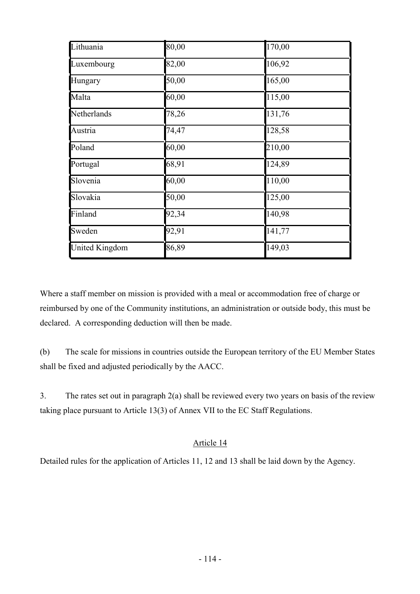| Lithuania             | 80,00 | 170,00 |
|-----------------------|-------|--------|
| Luxembourg            | 82,00 | 106,92 |
| Hungary               | 50,00 | 165,00 |
| Malta                 | 60,00 | 115,00 |
| Netherlands           | 78,26 | 131,76 |
| Austria               | 74,47 | 128,58 |
| Poland                | 60,00 | 210,00 |
| Portugal              | 68,91 | 124,89 |
| Slovenia              | 60,00 | 110,00 |
| Slovakia              | 50,00 | 125,00 |
| Finland               | 92,34 | 140,98 |
| Sweden                | 92,91 | 141,77 |
| <b>United Kingdom</b> | 86,89 | 149,03 |

Where a staff member on mission is provided with a meal or accommodation free of charge or reimbursed by one of the Community institutions, an administration or outside body, this must be declared. A corresponding deduction will then be made.

(b) The scale for missions in countries outside the European territory of the EU Member States shall be fixed and adjusted periodically by the AACC.

3. The rates set out in paragraph 2(a) shall be reviewed every two years on basis of the review taking place pursuant to Article 13(3) of Annex VII to the EC Staff Regulations.

# Article 14

Detailed rules for the application of Articles 11, 12 and 13 shall be laid down by the Agency.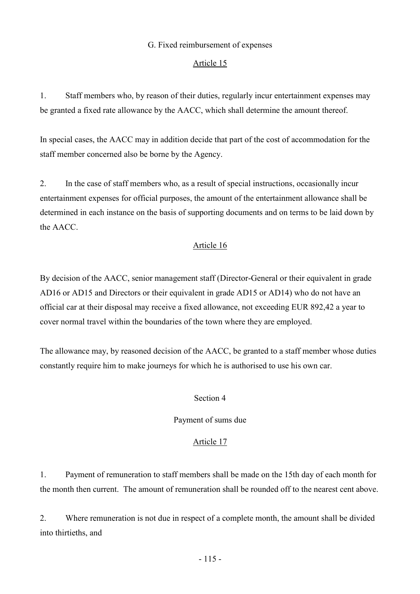### G. Fixed reimbursement of expenses

#### Article 15

1. Staff members who, by reason of their duties, regularly incur entertainment expenses may be granted a fixed rate allowance by the AACC, which shall determine the amount thereof.

In special cases, the AACC may in addition decide that part of the cost of accommodation for the staff member concerned also be borne by the Agency.

2. In the case of staff members who, as a result of special instructions, occasionally incur entertainment expenses for official purposes, the amount of the entertainment allowance shall be determined in each instance on the basis of supporting documents and on terms to be laid down by the AACC.

# Article 16

By decision of the AACC, senior management staff (Director-General or their equivalent in grade AD16 or AD15 and Directors or their equivalent in grade AD15 or AD14) who do not have an official car at their disposal may receive a fixed allowance, not exceeding EUR 892,42 a year to cover normal travel within the boundaries of the town where they are employed.

The allowance may, by reasoned decision of the AACC, be granted to a staff member whose duties constantly require him to make journeys for which he is authorised to use his own car.

#### Section 4

#### Payment of sums due

#### Article 17

1. Payment of remuneration to staff members shall be made on the 15th day of each month for the month then current. The amount of remuneration shall be rounded off to the nearest cent above.

2. Where remuneration is not due in respect of a complete month, the amount shall be divided into thirtieths, and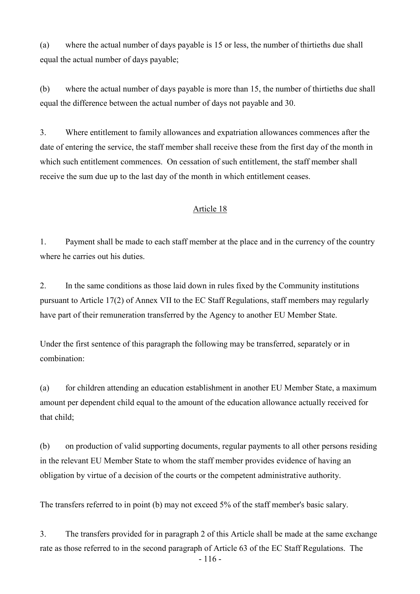(a) where the actual number of days payable is 15 or less, the number of thirtieths due shall equal the actual number of days payable;

(b) where the actual number of days payable is more than 15, the number of thirtieths due shall equal the difference between the actual number of days not payable and 30.

3. Where entitlement to family allowances and expatriation allowances commences after the date of entering the service, the staff member shall receive these from the first day of the month in which such entitlement commences. On cessation of such entitlement, the staff member shall receive the sum due up to the last day of the month in which entitlement ceases.

# Article 18

1. Payment shall be made to each staff member at the place and in the currency of the country where he carries out his duties.

2. In the same conditions as those laid down in rules fixed by the Community institutions pursuant to Article 17(2) of Annex VII to the EC Staff Regulations, staff members may regularly have part of their remuneration transferred by the Agency to another EU Member State.

Under the first sentence of this paragraph the following may be transferred, separately or in combination:

(a) for children attending an education establishment in another EU Member State, a maximum amount per dependent child equal to the amount of the education allowance actually received for that child;

(b) on production of valid supporting documents, regular payments to all other persons residing in the relevant EU Member State to whom the staff member provides evidence of having an obligation by virtue of a decision of the courts or the competent administrative authority.

The transfers referred to in point (b) may not exceed 5% of the staff member's basic salary.

- 116 - 3. The transfers provided for in paragraph 2 of this Article shall be made at the same exchange rate as those referred to in the second paragraph of Article 63 of the EC Staff Regulations. The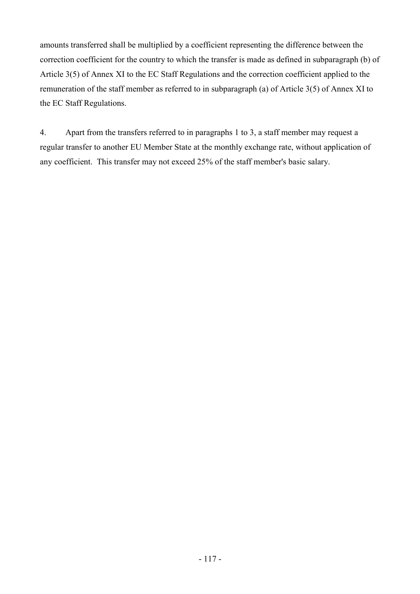amounts transferred shall be multiplied by a coefficient representing the difference between the correction coefficient for the country to which the transfer is made as defined in subparagraph (b) of Article 3(5) of Annex XI to the EC Staff Regulations and the correction coefficient applied to the remuneration of the staff member as referred to in subparagraph (a) of Article 3(5) of Annex XI to the EC Staff Regulations.

4. Apart from the transfers referred to in paragraphs 1 to 3, a staff member may request a regular transfer to another EU Member State at the monthly exchange rate, without application of any coefficient. This transfer may not exceed 25% of the staff member's basic salary.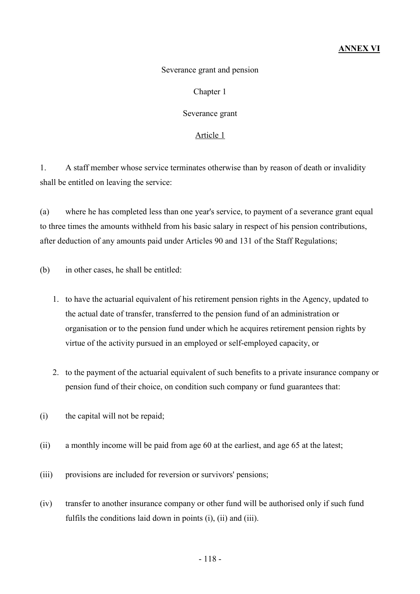# ANNEX VI

#### Severance grant and pension

#### Chapter 1

#### Severance grant

#### Article 1

1. A staff member whose service terminates otherwise than by reason of death or invalidity shall be entitled on leaving the service:

(a) where he has completed less than one year's service, to payment of a severance grant equal to three times the amounts withheld from his basic salary in respect of his pension contributions, after deduction of any amounts paid under Articles 90 and 131 of the Staff Regulations;

(b) in other cases, he shall be entitled:

- 1. to have the actuarial equivalent of his retirement pension rights in the Agency, updated to the actual date of transfer, transferred to the pension fund of an administration or organisation or to the pension fund under which he acquires retirement pension rights by virtue of the activity pursued in an employed or self-employed capacity, or
- 2. to the payment of the actuarial equivalent of such benefits to a private insurance company or pension fund of their choice, on condition such company or fund guarantees that:
- (i) the capital will not be repaid;
- (ii) a monthly income will be paid from age 60 at the earliest, and age 65 at the latest;
- (iii) provisions are included for reversion or survivors' pensions;
- (iv) transfer to another insurance company or other fund will be authorised only if such fund fulfils the conditions laid down in points (i), (ii) and (iii).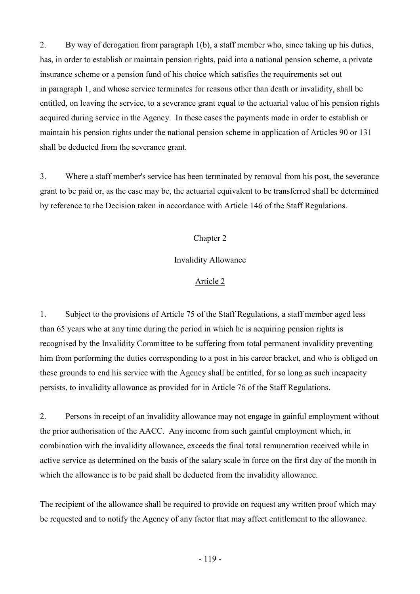2. By way of derogation from paragraph 1(b), a staff member who, since taking up his duties, has, in order to establish or maintain pension rights, paid into a national pension scheme, a private insurance scheme or a pension fund of his choice which satisfies the requirements set out in paragraph 1, and whose service terminates for reasons other than death or invalidity, shall be entitled, on leaving the service, to a severance grant equal to the actuarial value of his pension rights acquired during service in the Agency. In these cases the payments made in order to establish or maintain his pension rights under the national pension scheme in application of Articles 90 or 131 shall be deducted from the severance grant.

3. Where a staff member's service has been terminated by removal from his post, the severance grant to be paid or, as the case may be, the actuarial equivalent to be transferred shall be determined by reference to the Decision taken in accordance with Article 146 of the Staff Regulations.

# Chapter 2

# Invalidity Allowance

#### Article 2

1. Subject to the provisions of Article 75 of the Staff Regulations, a staff member aged less than 65 years who at any time during the period in which he is acquiring pension rights is recognised by the Invalidity Committee to be suffering from total permanent invalidity preventing him from performing the duties corresponding to a post in his career bracket, and who is obliged on these grounds to end his service with the Agency shall be entitled, for so long as such incapacity persists, to invalidity allowance as provided for in Article 76 of the Staff Regulations.

2. Persons in receipt of an invalidity allowance may not engage in gainful employment without the prior authorisation of the AACC. Any income from such gainful employment which, in combination with the invalidity allowance, exceeds the final total remuneration received while in active service as determined on the basis of the salary scale in force on the first day of the month in which the allowance is to be paid shall be deducted from the invalidity allowance.

The recipient of the allowance shall be required to provide on request any written proof which may be requested and to notify the Agency of any factor that may affect entitlement to the allowance.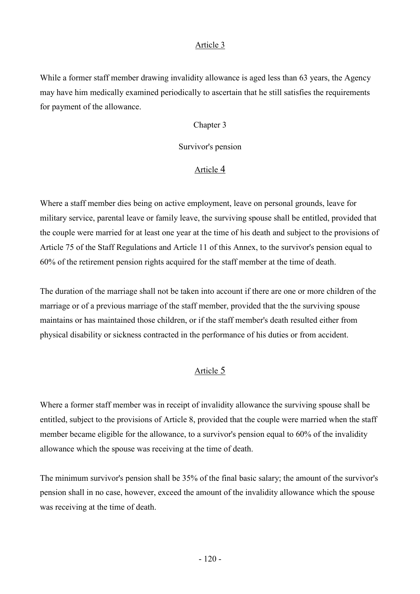While a former staff member drawing invalidity allowance is aged less than 63 years, the Agency may have him medically examined periodically to ascertain that he still satisfies the requirements for payment of the allowance.

#### Chapter 3

#### Survivor's pension

# Article 4

Where a staff member dies being on active employment, leave on personal grounds, leave for military service, parental leave or family leave, the surviving spouse shall be entitled, provided that the couple were married for at least one year at the time of his death and subject to the provisions of Article 75 of the Staff Regulations and Article 11 of this Annex, to the survivor's pension equal to 60% of the retirement pension rights acquired for the staff member at the time of death.

The duration of the marriage shall not be taken into account if there are one or more children of the marriage or of a previous marriage of the staff member, provided that the the surviving spouse maintains or has maintained those children, or if the staff member's death resulted either from physical disability or sickness contracted in the performance of his duties or from accident.

# Article 5

Where a former staff member was in receipt of invalidity allowance the surviving spouse shall be entitled, subject to the provisions of Article 8, provided that the couple were married when the staff member became eligible for the allowance, to a survivor's pension equal to 60% of the invalidity allowance which the spouse was receiving at the time of death.

The minimum survivor's pension shall be 35% of the final basic salary; the amount of the survivor's pension shall in no case, however, exceed the amount of the invalidity allowance which the spouse was receiving at the time of death.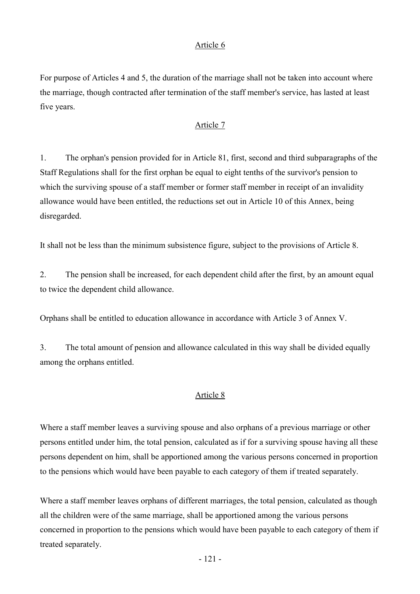For purpose of Articles 4 and 5, the duration of the marriage shall not be taken into account where the marriage, though contracted after termination of the staff member's service, has lasted at least five years.

#### Article 7

1. The orphan's pension provided for in Article 81, first, second and third subparagraphs of the Staff Regulations shall for the first orphan be equal to eight tenths of the survivor's pension to which the surviving spouse of a staff member or former staff member in receipt of an invalidity allowance would have been entitled, the reductions set out in Article 10 of this Annex, being disregarded.

It shall not be less than the minimum subsistence figure, subject to the provisions of Article 8.

2. The pension shall be increased, for each dependent child after the first, by an amount equal to twice the dependent child allowance.

Orphans shall be entitled to education allowance in accordance with Article 3 of Annex V.

3. The total amount of pension and allowance calculated in this way shall be divided equally among the orphans entitled.

#### Article 8

Where a staff member leaves a surviving spouse and also orphans of a previous marriage or other persons entitled under him, the total pension, calculated as if for a surviving spouse having all these persons dependent on him, shall be apportioned among the various persons concerned in proportion to the pensions which would have been payable to each category of them if treated separately.

Where a staff member leaves orphans of different marriages, the total pension, calculated as though all the children were of the same marriage, shall be apportioned among the various persons concerned in proportion to the pensions which would have been payable to each category of them if treated separately.

- 121 -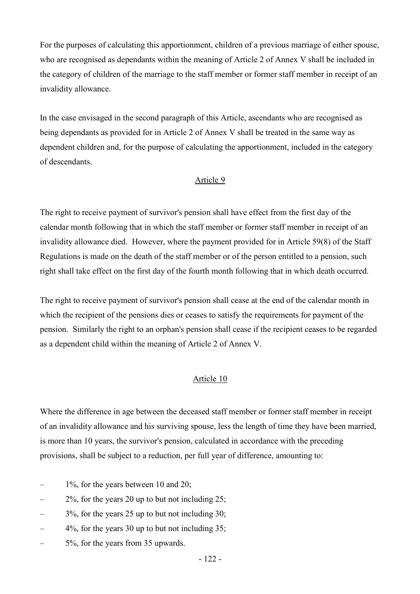For the purposes of calculating this apportionment, children of a previous marriage of either spouse, who are recognised as dependants within the meaning of Article 2 of Annex V shall be included in the category of children of the marriage to the staff member or former staff member in receipt of an invalidity allowance.

In the case envisaged in the second paragraph of this Article, ascendants who are recognised as being dependants as provided for in Article 2 of Annex V shall be treated in the same way as dependent children and, for the purpose of calculating the apportionment, included in the category of descendants.

#### Article 9

The right to receive payment of survivor's pension shall have effect from the first day of the calendar month following that in which the staff member or former staff member in receipt of an invalidity allowance died. However, where the payment provided for in Article 59(8) of the Staff Regulations is made on the death of the staff member or of the person entitled to a pension, such right shall take effect on the first day of the fourth month following that in which death occurred.

The right to receive payment of survivor's pension shall cease at the end of the calendar month in which the recipient of the pensions dies or ceases to satisfy the requirements for payment of the pension. Similarly the right to an orphan's pension shall cease if the recipient ceases to be regarded as a dependent child within the meaning of Article 2 of Annex V.

#### Article 10

Where the difference in age between the deceased staff member or former staff member in receipt of an invalidity allowance and his surviving spouse, less the length of time they have been married, is more than 10 years, the survivor's pension, calculated in accordance with the preceding provisions, shall be subject to a reduction, per full year of difference, amounting to:

- $-$  1%, for the years between 10 and 20;
- $2\%$ , for the years 20 up to but not including 25;
- $3\%$ , for the years 25 up to but not including 30;
- $4\%$ , for the years 30 up to but not including 35;
- 5%, for the years from 35 upwards.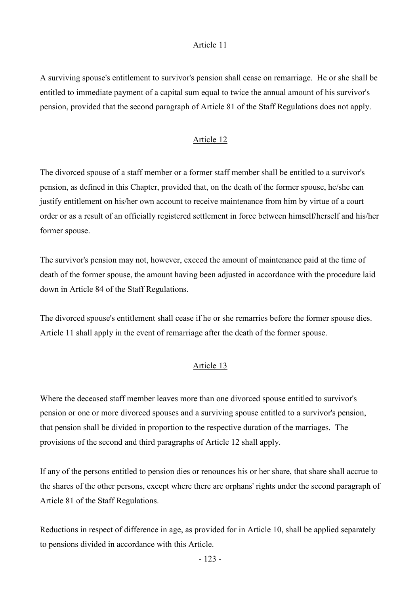A surviving spouse's entitlement to survivor's pension shall cease on remarriage. He or she shall be entitled to immediate payment of a capital sum equal to twice the annual amount of his survivor's pension, provided that the second paragraph of Article 81 of the Staff Regulations does not apply.

#### Article 12

The divorced spouse of a staff member or a former staff member shall be entitled to a survivor's pension, as defined in this Chapter, provided that, on the death of the former spouse, he/she can justify entitlement on his/her own account to receive maintenance from him by virtue of a court order or as a result of an officially registered settlement in force between himself/herself and his/her former spouse.

The survivor's pension may not, however, exceed the amount of maintenance paid at the time of death of the former spouse, the amount having been adjusted in accordance with the procedure laid down in Article 84 of the Staff Regulations.

The divorced spouse's entitlement shall cease if he or she remarries before the former spouse dies. Article 11 shall apply in the event of remarriage after the death of the former spouse.

#### Article 13

Where the deceased staff member leaves more than one divorced spouse entitled to survivor's pension or one or more divorced spouses and a surviving spouse entitled to a survivor's pension, that pension shall be divided in proportion to the respective duration of the marriages. The provisions of the second and third paragraphs of Article 12 shall apply.

If any of the persons entitled to pension dies or renounces his or her share, that share shall accrue to the shares of the other persons, except where there are orphans' rights under the second paragraph of Article 81 of the Staff Regulations.

Reductions in respect of difference in age, as provided for in Article 10, shall be applied separately to pensions divided in accordance with this Article.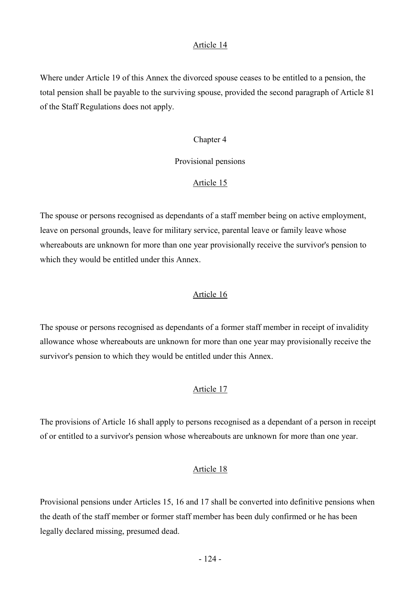Where under Article 19 of this Annex the divorced spouse ceases to be entitled to a pension, the total pension shall be payable to the surviving spouse, provided the second paragraph of Article 81 of the Staff Regulations does not apply.

#### Chapter 4

# Provisional pensions

# Article 15

The spouse or persons recognised as dependants of a staff member being on active employment, leave on personal grounds, leave for military service, parental leave or family leave whose whereabouts are unknown for more than one year provisionally receive the survivor's pension to which they would be entitled under this Annex.

#### Article 16

The spouse or persons recognised as dependants of a former staff member in receipt of invalidity allowance whose whereabouts are unknown for more than one year may provisionally receive the survivor's pension to which they would be entitled under this Annex.

# Article 17

The provisions of Article 16 shall apply to persons recognised as a dependant of a person in receipt of or entitled to a survivor's pension whose whereabouts are unknown for more than one year.

# Article 18

Provisional pensions under Articles 15, 16 and 17 shall be converted into definitive pensions when the death of the staff member or former staff member has been duly confirmed or he has been legally declared missing, presumed dead.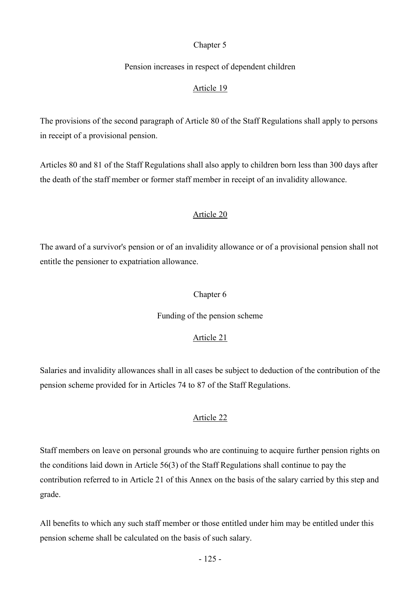# Chapter 5

# Pension increases in respect of dependent children

# Article 19

The provisions of the second paragraph of Article 80 of the Staff Regulations shall apply to persons in receipt of a provisional pension.

Articles 80 and 81 of the Staff Regulations shall also apply to children born less than 300 days after the death of the staff member or former staff member in receipt of an invalidity allowance.

# Article 20

The award of a survivor's pension or of an invalidity allowance or of a provisional pension shall not entitle the pensioner to expatriation allowance.

# Chapter 6

# Funding of the pension scheme

# Article 21

Salaries and invalidity allowances shall in all cases be subject to deduction of the contribution of the pension scheme provided for in Articles 74 to 87 of the Staff Regulations.

# Article 22

Staff members on leave on personal grounds who are continuing to acquire further pension rights on the conditions laid down in Article 56(3) of the Staff Regulations shall continue to pay the contribution referred to in Article 21 of this Annex on the basis of the salary carried by this step and grade.

All benefits to which any such staff member or those entitled under him may be entitled under this pension scheme shall be calculated on the basis of such salary.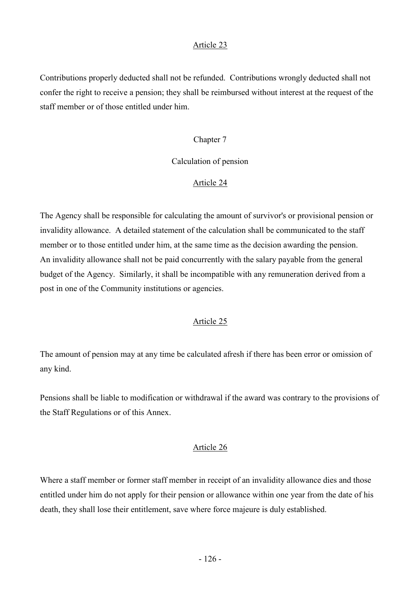Contributions properly deducted shall not be refunded. Contributions wrongly deducted shall not confer the right to receive a pension; they shall be reimbursed without interest at the request of the staff member or of those entitled under him.

#### Chapter 7

### Calculation of pension

#### Article 24

The Agency shall be responsible for calculating the amount of survivor's or provisional pension or invalidity allowance. A detailed statement of the calculation shall be communicated to the staff member or to those entitled under him, at the same time as the decision awarding the pension. An invalidity allowance shall not be paid concurrently with the salary payable from the general budget of the Agency. Similarly, it shall be incompatible with any remuneration derived from a post in one of the Community institutions or agencies.

# Article 25

The amount of pension may at any time be calculated afresh if there has been error or omission of any kind.

Pensions shall be liable to modification or withdrawal if the award was contrary to the provisions of the Staff Regulations or of this Annex.

# Article 26

Where a staff member or former staff member in receipt of an invalidity allowance dies and those entitled under him do not apply for their pension or allowance within one year from the date of his death, they shall lose their entitlement, save where force majeure is duly established.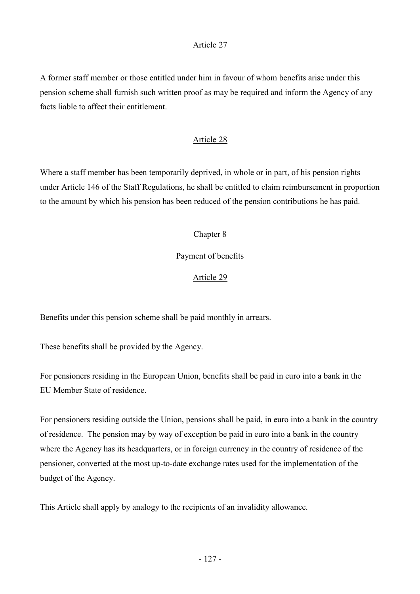A former staff member or those entitled under him in favour of whom benefits arise under this pension scheme shall furnish such written proof as may be required and inform the Agency of any facts liable to affect their entitlement.

# Article 28

Where a staff member has been temporarily deprived, in whole or in part, of his pension rights under Article 146 of the Staff Regulations, he shall be entitled to claim reimbursement in proportion to the amount by which his pension has been reduced of the pension contributions he has paid.

# Chapter 8

# Payment of benefits

# Article 29

Benefits under this pension scheme shall be paid monthly in arrears.

These benefits shall be provided by the Agency.

For pensioners residing in the European Union, benefits shall be paid in euro into a bank in the EU Member State of residence.

For pensioners residing outside the Union, pensions shall be paid, in euro into a bank in the country of residence. The pension may by way of exception be paid in euro into a bank in the country where the Agency has its headquarters, or in foreign currency in the country of residence of the pensioner, converted at the most up-to-date exchange rates used for the implementation of the budget of the Agency.

This Article shall apply by analogy to the recipients of an invalidity allowance.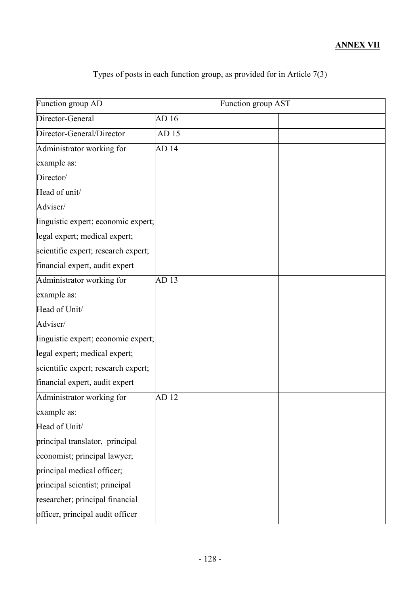# ANNEX VII

| Function group AD                   |       | Function group AST |  |
|-------------------------------------|-------|--------------------|--|
| Director-General                    | AD 16 |                    |  |
| Director-General/Director           | AD 15 |                    |  |
| Administrator working for           | AD 14 |                    |  |
| example as:                         |       |                    |  |
| Director/                           |       |                    |  |
| Head of unit/                       |       |                    |  |
| Adviser/                            |       |                    |  |
| linguistic expert; economic expert; |       |                    |  |
| legal expert; medical expert;       |       |                    |  |
| scientific expert; research expert; |       |                    |  |
| financial expert, audit expert      |       |                    |  |
| Administrator working for           | AD13  |                    |  |
| example as:                         |       |                    |  |
| Head of Unit/                       |       |                    |  |
| Adviser/                            |       |                    |  |
| linguistic expert; economic expert; |       |                    |  |
| legal expert; medical expert;       |       |                    |  |
| scientific expert; research expert; |       |                    |  |
| financial expert, audit expert      |       |                    |  |
| Administrator working for           | AD 12 |                    |  |
| example as:                         |       |                    |  |
| Head of Unit/                       |       |                    |  |
| principal translator, principal     |       |                    |  |
| economist; principal lawyer;        |       |                    |  |
| principal medical officer;          |       |                    |  |
| principal scientist; principal      |       |                    |  |
| researcher; principal financial     |       |                    |  |
| officer, principal audit officer    |       |                    |  |

Types of posts in each function group, as provided for in Article 7(3)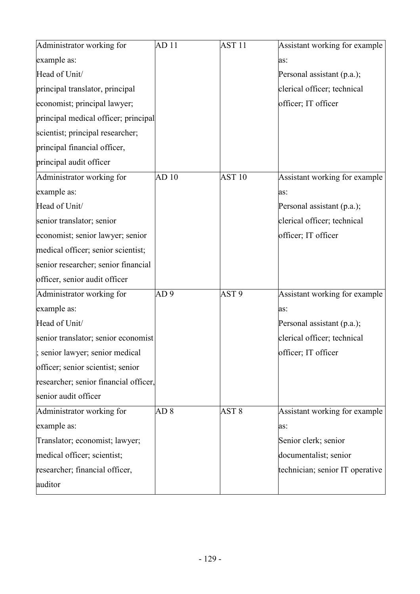| Administrator working for             | AD <sub>11</sub> | AST <sub>11</sub> | Assistant working for example   |
|---------------------------------------|------------------|-------------------|---------------------------------|
| example as:                           |                  |                   | as:                             |
| Head of Unit/                         |                  |                   | Personal assistant (p.a.);      |
| principal translator, principal       |                  |                   | clerical officer; technical     |
| economist; principal lawyer;          |                  |                   | officer; IT officer             |
| principal medical officer; principal  |                  |                   |                                 |
| scientist; principal researcher;      |                  |                   |                                 |
| principal financial officer,          |                  |                   |                                 |
| principal audit officer               |                  |                   |                                 |
| Administrator working for             | AD 10            | AST <sub>10</sub> | Assistant working for example   |
| example as:                           |                  |                   | as:                             |
| Head of Unit/                         |                  |                   | Personal assistant (p.a.);      |
| senior translator; senior             |                  |                   | clerical officer; technical     |
| economist; senior lawyer; senior      |                  |                   | officer; IT officer             |
| medical officer; senior scientist;    |                  |                   |                                 |
| senior researcher; senior financial   |                  |                   |                                 |
| officer, senior audit officer         |                  |                   |                                 |
| Administrator working for             | AD <sub>9</sub>  | AST <sub>9</sub>  | Assistant working for example   |
| example as:                           |                  |                   | as:                             |
| Head of Unit/                         |                  |                   | Personal assistant (p.a.);      |
| senior translator; senior economist   |                  |                   | clerical officer; technical     |
| ; senior lawyer; senior medical       |                  |                   | officer; IT officer             |
| officer; senior scientist; senior     |                  |                   |                                 |
| researcher; senior financial officer, |                  |                   |                                 |
| senior audit officer                  |                  |                   |                                 |
| Administrator working for             | AD <sub>8</sub>  | AST <sub>8</sub>  | Assistant working for example   |
| example as:                           |                  |                   | as:                             |
| Translator; economist; lawyer;        |                  |                   | Senior clerk; senior            |
| medical officer; scientist;           |                  |                   | documentalist; senior           |
| researcher; financial officer,        |                  |                   | technician; senior IT operative |
| auditor                               |                  |                   |                                 |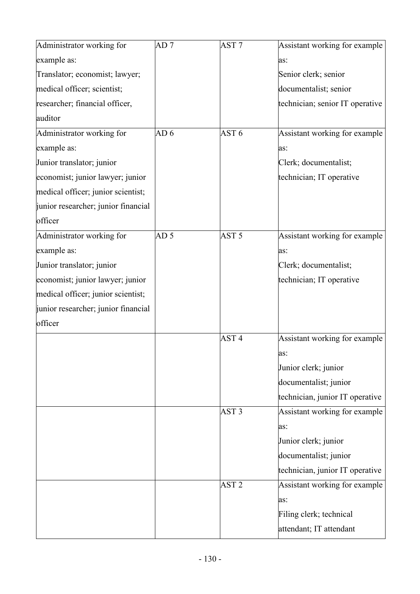| Administrator working for           | AD <sub>7</sub> | AST <sub>7</sub> | Assistant working for example   |
|-------------------------------------|-----------------|------------------|---------------------------------|
| example as:                         |                 |                  | as:                             |
| Translator; economist; lawyer;      |                 |                  | Senior clerk; senior            |
| medical officer; scientist;         |                 |                  | documentalist; senior           |
| researcher; financial officer,      |                 |                  | technician; senior IT operative |
| auditor                             |                 |                  |                                 |
| Administrator working for           | AD <sub>6</sub> | AST <sub>6</sub> | Assistant working for example   |
| example as:                         |                 |                  | as:                             |
| Junior translator; junior           |                 |                  | Clerk; documentalist;           |
| economist; junior lawyer; junior    |                 |                  | technician; IT operative        |
| medical officer; junior scientist;  |                 |                  |                                 |
| junior researcher; junior financial |                 |                  |                                 |
| officer                             |                 |                  |                                 |
| Administrator working for           | AD <sub>5</sub> | AST <sub>5</sub> | Assistant working for example   |
| example as:                         |                 |                  | as:                             |
| Junior translator; junior           |                 |                  | Clerk; documentalist;           |
| economist; junior lawyer; junior    |                 |                  | technician; IT operative        |
| medical officer; junior scientist;  |                 |                  |                                 |
| junior researcher; junior financial |                 |                  |                                 |
| officer                             |                 |                  |                                 |
|                                     |                 | AST <sub>4</sub> | Assistant working for example   |
|                                     |                 |                  | as:                             |
|                                     |                 |                  | Junior clerk; junior            |
|                                     |                 |                  | documentalist; junior           |
|                                     |                 |                  | technician, junior IT operative |
|                                     |                 | AST <sub>3</sub> | Assistant working for example   |
|                                     |                 |                  | as:                             |
|                                     |                 |                  | Junior clerk; junior            |
|                                     |                 |                  | documentalist; junior           |
|                                     |                 |                  | technician, junior IT operative |
|                                     |                 | AST <sub>2</sub> | Assistant working for example   |
|                                     |                 |                  | as:                             |
|                                     |                 |                  | Filing clerk; technical         |
|                                     |                 |                  | attendant; IT attendant         |